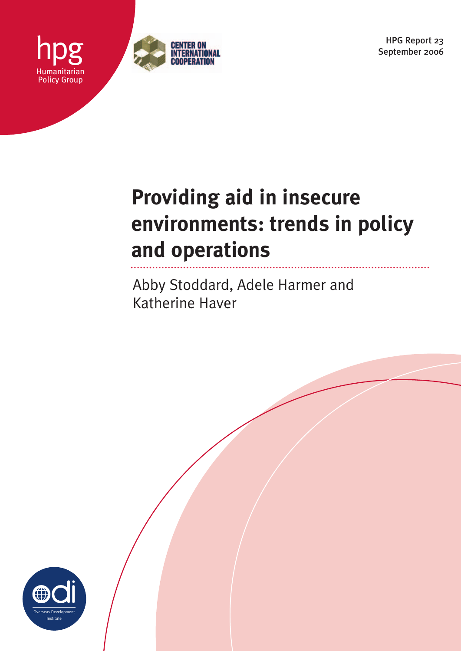HPG Report 23 September 2006



# **Providing aid in insecure environments: trends in policy and operations**

Abby Stoddard, Adele Harmer and Katherine Haver



Humanitarian Policy Group

hpg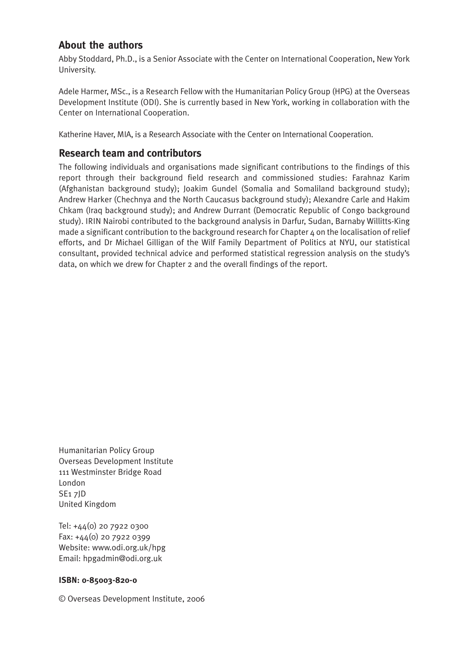# **About the authors**

Abby Stoddard, Ph.D., is a Senior Associate with the Center on International Cooperation, New York University.

Adele Harmer, MSc., is a Research Fellow with the Humanitarian Policy Group (HPG) at the Overseas Development Institute (ODI). She is currently based in New York, working in collaboration with the Center on International Cooperation.

Katherine Haver, MIA, is a Research Associate with the Center on International Cooperation.

# **Research team and contributors**

The following individuals and organisations made significant contributions to the findings of this report through their background field research and commissioned studies: Farahnaz Karim (Afghanistan background study); Joakim Gundel (Somalia and Somaliland background study); Andrew Harker (Chechnya and the North Caucasus background study); Alexandre Carle and Hakim Chkam (Iraq background study); and Andrew Durrant (Democratic Republic of Congo background study). IRIN Nairobi contributed to the background analysis in Darfur, Sudan, Barnaby Willitts-King made a significant contribution to the background research for Chapter 4 on the localisation of relief efforts, and Dr Michael Gilligan of the Wilf Family Department of Politics at NYU, our statistical consultant, provided technical advice and performed statistical regression analysis on the study's data, on which we drew for Chapter 2 and the overall findings of the report.

Humanitarian Policy Group Overseas Development Institute 111 Westminster Bridge Road London SE1 7JD United Kingdom

Tel: +44(0) 20 7922 0300 Fax: +44(0) 20 7922 0399 Website: www.odi.org.uk/hpg Email: hpgadmin@odi.org.uk

# **ISBN: 0-85003-820-0**

© Overseas Development Institute, 2006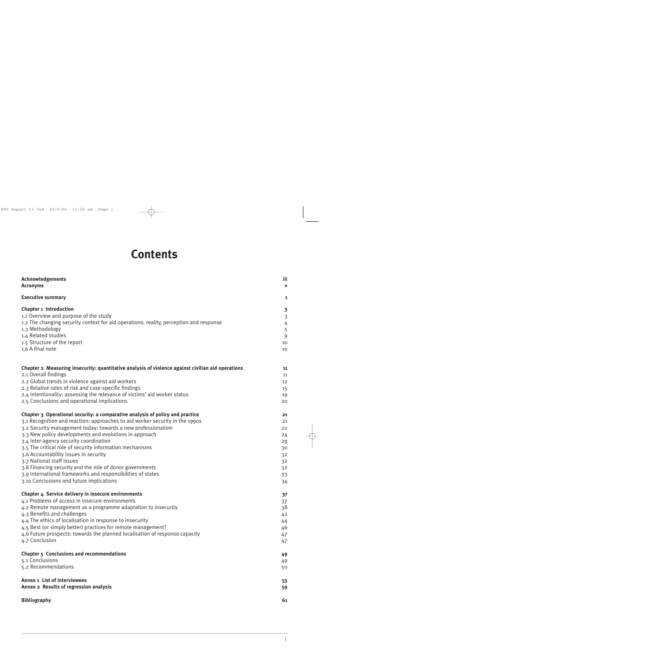# **Contents**

| <b>Acknowledgements</b><br><b>Acronyms</b>                                                         | iii<br>$\mathbf v$ |
|----------------------------------------------------------------------------------------------------|--------------------|
| <b>Executive summary</b>                                                                           | 1                  |
| <b>Chapter 1 Introduction</b>                                                                      | 3                  |
| 1.1 Overview and purpose of the study                                                              | $\mathfrak{Z}$     |
| 1.2 The changing security context for aid operations: reality, perception and response             | $\overline{4}$     |
| 1.3 Methodology                                                                                    | 5                  |
| 1.4 Related studies                                                                                | 9                  |
| 1.5 Structure of the report                                                                        | 10                 |
| 1.6 A final note                                                                                   | 10                 |
| Chapter 2 Measuring insecurity: quantitative analysis of violence against civilian aid operations  | 11                 |
| 2.1 Overall findings                                                                               | 11                 |
| 2.2 Global trends in violence against aid workers                                                  | 12                 |
| 2.3 Relative rates of risk and case-specific findings                                              | 15                 |
| 2.4 Intentionality: assessing the relevance of victims' aid worker status                          | 19                 |
| 2.5 Conclusions and operational implications                                                       | 20                 |
| Chapter 3 Operational security: a comparative analysis of policy and practice                      | 21                 |
| 3.1 Recognition and reaction: approaches to aid worker security in the 1990s                       | 21                 |
| 3.2 Security management today: towards a new professionalism                                       | 22                 |
| 3.3 New policy developments and evolutions in approach                                             | 24                 |
| 3.4 Inter-agency security coordination<br>3.5 The critical role of security information mechanisms | 29                 |
| 3.6 Accountability issues in security                                                              | 30                 |
| 3.7 National staff issues                                                                          | 32                 |
| 3.8 Financing security and the role of donor governments                                           | 32                 |
| 3.9 International frameworks and responsibilities of states                                        | 32                 |
| 3.10 Conclusions and future implications                                                           | 33                 |
|                                                                                                    | 34                 |
| Chapter 4 Service delivery in insecure environments                                                | 37                 |
| 4.1 Problems of access in insecure environments                                                    | 37                 |
| 4.2 Remote management as a programme adaptation to insecurity                                      | 38                 |
| 4.3 Benefits and challenges                                                                        | 42                 |
| 4.4 The ethics of localisation in response to insecurity                                           | 44                 |
| 4.5 Best (or simply better) practices for remote management?                                       | 46                 |
| 4.6 Future prospects: towards the planned localisation of response capacity                        | 47                 |
| 4.7 Conclusion                                                                                     | 47                 |
| Chapter 5 Conclusions and recommendations                                                          | 49                 |
| 5.1 Conclusions                                                                                    | 49                 |
| 5.2 Recommendations                                                                                | 50                 |
| Annex 1 List of interviewees                                                                       | 53                 |
| Annex 2 Results of regression analysis                                                             | 59                 |
| <b>Bibliography</b>                                                                                | 61                 |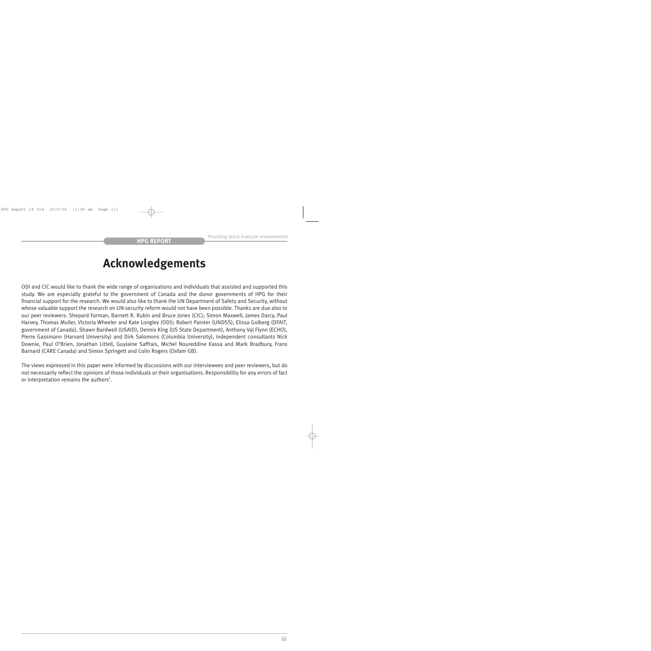# **Acknowledgements**

ODI and CIC would like to thank the wide range of organisations and individuals that assisted and supported this study. We are especially grateful to the government of Canada and the donor governments of HPG for their financial support for the research. We would also like to thank the UN Department of Safety and Security, without whose valuable support the research on UN security reform would not have been possible. Thanks are due also to our peer reviewers: Shepard Forman, Barnett R. Rubin and Bruce Jones (CIC); Simon Maxwell, James Darcy, Paul Harvey, Thomas Muller, Victoria Wheeler and Kate Longley (ODI); Robert Painter (UNDSS), Elissa Golberg (DFAIT, government of Canada), Shawn Bardwell (USAID), Dennis King (US State Department), Anthony Val Flynn (ECHO), Pierre Gassmann (Harvard University) and Dirk Salomons (Columbia University), independent consultants Nick Downie, Paul O'Brien, Jonathan Littell, Guylaine Saffrais, Michel Noureddine Kassa and Mark Bradbury, Frans Barnard (CARE Canada) and Simon Springett and Colin Rogers (Oxfam GB).

The views expressed in this paper were informed by discussions with our interviewees and peer reviewers, but do not necessarily reflect the opinions of those individuals or their organisations. Responsibility for any errors of fact or interpretation remains the authors'.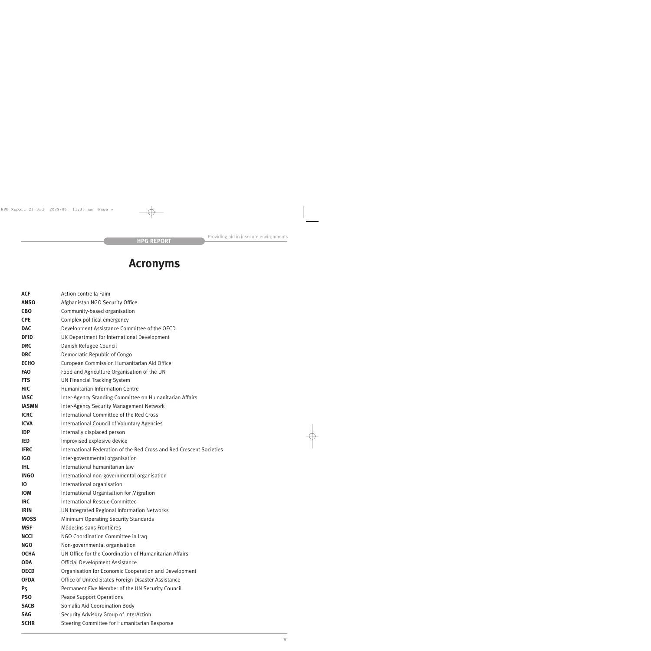# **Acronyms**

| <b>ACF</b>   | Action contre la Faim                                                |
|--------------|----------------------------------------------------------------------|
| <b>ANSO</b>  | Afghanistan NGO Security Office                                      |
| <b>CBO</b>   | Community-based organisation                                         |
| <b>CPE</b>   | Complex political emergency                                          |
| <b>DAC</b>   | Development Assistance Committee of the OECD                         |
| <b>DFID</b>  | UK Department for International Development                          |
| <b>DRC</b>   | Danish Refugee Council                                               |
| <b>DRC</b>   | Democratic Republic of Congo                                         |
| <b>ECHO</b>  | European Commission Humanitarian Aid Office                          |
| <b>FAO</b>   | Food and Agriculture Organisation of the UN                          |
| <b>FTS</b>   | <b>UN Financial Tracking System</b>                                  |
| <b>HIC</b>   | Humanitarian Information Centre                                      |
| <b>IASC</b>  | Inter-Agency Standing Committee on Humanitarian Affairs              |
| <b>IASMN</b> | <b>Inter-Agency Security Management Network</b>                      |
| <b>ICRC</b>  | International Committee of the Red Cross                             |
| <b>ICVA</b>  | <b>International Council of Voluntary Agencies</b>                   |
| <b>IDP</b>   | Internally displaced person                                          |
| <b>IED</b>   | Improvised explosive device                                          |
| <b>IFRC</b>  | International Federation of the Red Cross and Red Crescent Societies |
| IGO          | Inter-governmental organisation                                      |
| <b>IHL</b>   | International humanitarian law                                       |
| <b>INGO</b>  | International non-governmental organisation                          |
| 10           | International organisation                                           |
| <b>IOM</b>   | International Organisation for Migration                             |
| <b>IRC</b>   | International Rescue Committee                                       |
| <b>IRIN</b>  | UN Integrated Regional Information Networks                          |
| <b>MOSS</b>  | Minimum Operating Security Standards                                 |
| <b>MSF</b>   | Médecins sans Frontières                                             |
| <b>NCCI</b>  | NGO Coordination Committee in Iraq                                   |
| <b>NGO</b>   | Non-governmental organisation                                        |
| <b>OCHA</b>  | UN Office for the Coordination of Humanitarian Affairs               |
| <b>ODA</b>   | Official Development Assistance                                      |
| <b>OECD</b>  | Organisation for Economic Cooperation and Development                |
| <b>OFDA</b>  | Office of United States Foreign Disaster Assistance                  |
| P5           | Permanent Five Member of the UN Security Council                     |
| <b>PSO</b>   | <b>Peace Support Operations</b>                                      |
| <b>SACB</b>  | Somalia Aid Coordination Body                                        |
| <b>SAG</b>   | Security Advisory Group of InterAction                               |
| <b>SCHR</b>  | Steering Committee for Humanitarian Response                         |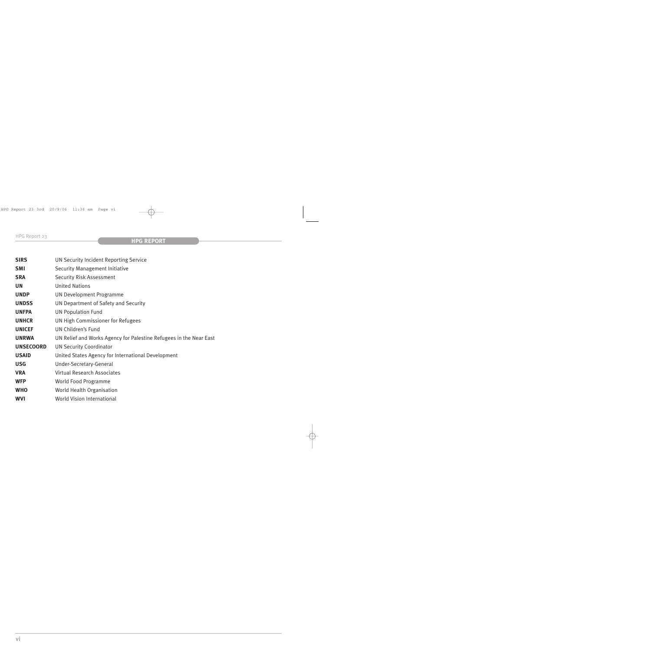| UN Security Incident Reporting Service                             |
|--------------------------------------------------------------------|
| Security Management Initiative                                     |
| <b>Security Risk Assessment</b>                                    |
| <b>United Nations</b>                                              |
| <b>UN Development Programme</b>                                    |
| UN Department of Safety and Security                               |
| <b>UN Population Fund</b>                                          |
| UN High Commissioner for Refugees                                  |
| UN Children's Fund                                                 |
| UN Relief and Works Agency for Palestine Refugees in the Near East |
| <b>UN Security Coordinator</b>                                     |
| United States Agency for International Development                 |
| Under-Secretary-General                                            |
| <b>Virtual Research Associates</b>                                 |
| World Food Programme                                               |
| World Health Organisation                                          |
| <b>World Vision International</b>                                  |
|                                                                    |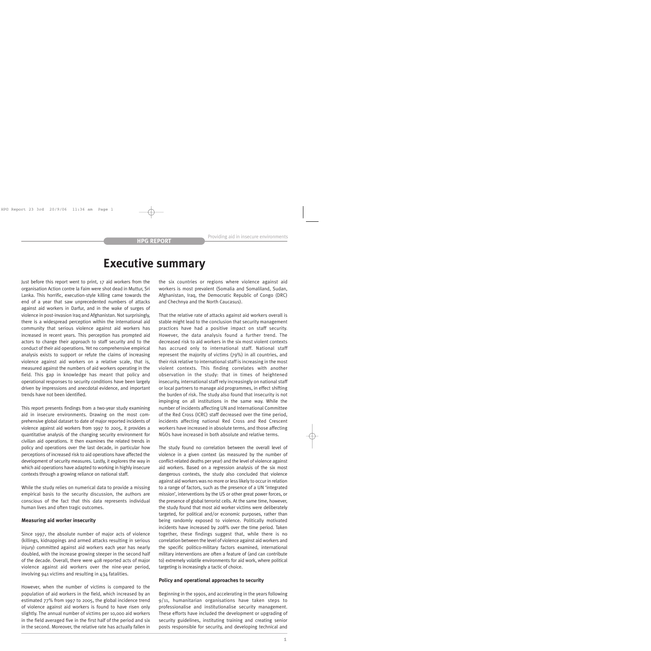# **Executive summary**

Just before this report went to print, 17 aid workers from the organisation Action contre la Faim were shot dead in Muttur, Sri Lanka. This horrific, execution-style killing came towards the end of a year that saw unprecedented numbers of attacks against aid workers in Darfur, and in the wake of surges of violence in post-invasion Iraq and Afghanistan. Not surprisingly, there is a widespread perception within the international aid community that serious violence against aid workers has increased in recent years. This perception has prompted aid actors to change their approach to staff security and to the conduct of their aid operations. Yet no comprehensive empirical analysis exists to support or refute the claims of increasing violence against aid workers on a relative scale, that is, measured against the numbers of aid workers operating in the field. This gap in knowledge has meant that policy and operational responses to security conditions have been largely driven by impressions and anecdotal evidence, and important trends have not been identified.

This report presents findings from a two-year study examining aid in insecure environments. Drawing on the most comprehensive global dataset to date of major reported incidents of violence against aid workers from 1997 to 2005, it provides a quantitative analysis of the changing security environment for civilian aid operations. It then examines the related trends in policy and operations over the last decade, in particular how perceptions of increased risk to aid operations have affected the development of security measures. Lastly, it explores the way in which aid operations have adapted to working in highly insecure contexts through a growing reliance on national staff.

While the study relies on numerical data to provide a missing empirical basis to the security discussion, the authors are conscious of the fact that this data represents individual human lives and often tragic outcomes.

#### **Measuring aid worker insecurity**

Since 1997, the absolute number of major acts of violence (killings, kidnappings and armed attacks resulting in serious injury) committed against aid workers each year has nearly doubled, with the increase growing steeper in the second half of the decade. Overall, there were 408 reported acts of major violence against aid workers over the nine-year period, involving 941 victims and resulting in 434 fatalities.

However, when the number of victims is compared to the population of aid workers in the field, which increased by an estimated 77% from 1997 to 2005, the global incidence trend of violence against aid workers is found to have risen only slightly. The annual number of victims per 10,000 aid workers in the field averaged five in the first half of the period and six in the second. Moreover, the relative rate has actually fallen in the six countries or regions where violence against aid workers is most prevalent (Somalia and Somaliland, Sudan, Afghanistan, Iraq, the Democratic Republic of Congo (DRC) and Chechnya and the North Caucasus).

That the relative rate of attacks against aid workers overall is stable might lead to the conclusion that security management practices have had a positive impact on staff security. However, the data analysis found a further trend. The decreased risk to aid workers in the six most violent contexts has accrued only to international staff. National staff represent the majority of victims (79%) in all countries, and their risk relative to international staff is increasing in the most violent contexts. This finding correlates with another observation in the study: that in times of heightened insecurity, international staff rely increasingly on national staff or local partners to manage aid programmes, in effect shifting the burden of risk. The study also found that insecurity is not impinging on all institutions in the same way. While the number of incidents affecting UN and International Committee of the Red Cross (ICRC) staff decreased over the time period, incidents affecting national Red Cross and Red Crescent workers have increased in absolute terms, and those affecting NGOs have increased in both absolute and relative terms.

The study found no correlation between the overall level of violence in a given context (as measured by the number of conflict-related deaths per year) and the level of violence against aid workers. Based on a regression analysis of the six most dangerous contexts, the study also concluded that violence against aid workers was no more or less likely to occur in relation to a range of factors, such as the presence of a UN 'integrated mission', interventions by the US or other great power forces, or the presence of global terrorist cells. At the same time, however, the study found that most aid worker victims were deliberately targeted, for political and/or economic purposes, rather than being randomly exposed to violence. Politically motivated incidents have increased by 208% over the time period. Taken together, these findings suggest that, while there is no correlation between the level of violence against aid workers and the specific politico-military factors examined, international military interventions are often a feature of (and can contribute to) extremely volatile environments for aid work, where political targeting is increasingly a tactic of choice.

#### **Policy and operational approaches to security**

Beginning in the 1990s, and accelerating in the years following 9/11, humanitarian organisations have taken steps to professionalise and institutionalise security management. These efforts have included the development or upgrading of security guidelines, instituting training and creating senior posts responsible for security, and developing technical and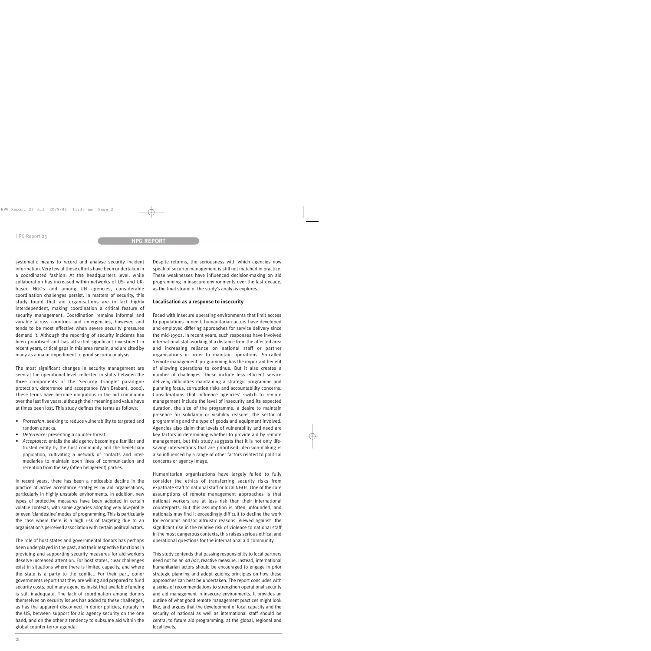systematic means to record and analyse security incident information. Very few of these efforts have been undertaken in a coordinated fashion. At the headquarters level, while collaboration has increased within networks of US- and UKbased NGOs and among UN agencies, considerable coordination challenges persist. In matters of security, this study found that aid organisations are in fact highly interdependent, making coordination a critical feature of security management. Coordination remains informal and variable across countries and emergencies, however, and tends to be most effective when severe security pressures demand it. Although the reporting of security incidents has been prioritised and has attracted significant investment in recent years, critical gaps in this area remain, and are cited by many as a major impediment to good security analysis.

The most significant changes in security management are seen at the operational level, reflected in shifts between the three components of the 'security triangle' paradigm: protection, deterrence and acceptance (Van Brabant, 2000). These terms have become ubiquitous in the aid community over the last five years, although their meaning and value have at times been lost. This study defines the terms as follows:

- *Protection*: seeking to reduce vulnerability to targeted and random attacks.
- *• Deterrence*: presenting a counter-threat.
- *• Acceptance*: entails the aid agency becoming a familiar and trusted entity by the host community and the beneficiary population, cultivating a network of contacts and intermediaries to maintain open lines of communication and reception from the key (often belligerent) parties.

In recent years, there has been a noticeable decline in the practice of *active* acceptance strategies by aid organisations, particularly in highly unstable environments. In addition, new types of protective measures have been adopted in certain volatile contexts, with some agencies adopting very low-profile or even 'clandestine' modes of programming. This is particularly the case where there is a high risk of targeting due to an organisation's perceived association with certain political actors.

The role of host states and governmental donors has perhaps been underplayed in the past, and their respective functions in providing and supporting security measures for aid workers deserve increased attention. For host states, clear challenges exist in situations where there is limited capacity, and where the state is a party to the conflict. For their part, donor governments report that they are willing and prepared to fund security costs, but many agencies insist that available funding is still inadequate. The lack of coordination among donors themselves on security issues has added to these challenges, as has the apparent disconnect in donor policies, notably in the US, between support for aid agency security on the one hand, and on the other a tendency to subsume aid within the global counter-terror agenda.

Despite reforms, the seriousness with which agencies now speak of security management is still not matched in practice. These weaknesses have influenced decision-making on aid programming in insecure environments over the last decade, as the final strand of the study's analysis explores.

#### **Localisation as a response to insecurity**

Faced with insecure operating environments that limit access to populations in need, humanitarian actors have developed and employed differing approaches for service delivery since the mid-1990s. In recent years, such responses have involved international staff working at a distance from the affected area and increasing reliance on national staff or partner organisations in order to maintain operations. So-called 'remote management' programming has the important benefit of allowing operations to continue. But it also creates a number of challenges. These include less efficient service delivery, difficulties maintaining a strategic programme and planning focus, corruption risks and accountability concerns. Considerations that influence agencies' switch to remote management include the level of insecurity and its expected duration, the size of the programme, a desire to maintain presence for solidarity or visibility reasons, the sector of programming and the type of goods and equipment involved. Agencies also claim that levels of vulnerability and need are key factors in determining whether to provide aid by remote management, but this study suggests that it is not only lifesaving interventions that are prioritised; decision-making is also influenced by a range of other factors related to political concerns or agency image.

Humanitarian organisations have largely failed to fully consider the ethics of transferring security risks from expatriate staff to national staff or local NGOs. One of the core assumptions of remote management approaches is that national workers are at less risk than their international counterparts. But this assumption is often unfounded, and nationals may find it exceedingly difficult to decline the work for economic and/or altruistic reasons. Viewed against the significant rise in the relative risk of violence to national staff in the most dangerous contexts, this raises serious ethical and operational questions for the international aid community.

This study contends that passing responsibility to local partners need not be an *ad hoc*, reactive measure. Instead, international humanitarian actors should be encouraged to engage in prior strategic planning and adopt guiding principles on how these approaches can best be undertaken. The report concludes with a series of recommendations to strengthen operational security and aid management in insecure environments. It provides an outline of what good remote management practices might look like, and argues that the development of local capacity and the security of national as well as international staff should be central to future aid programming, at the global, regional and local levels.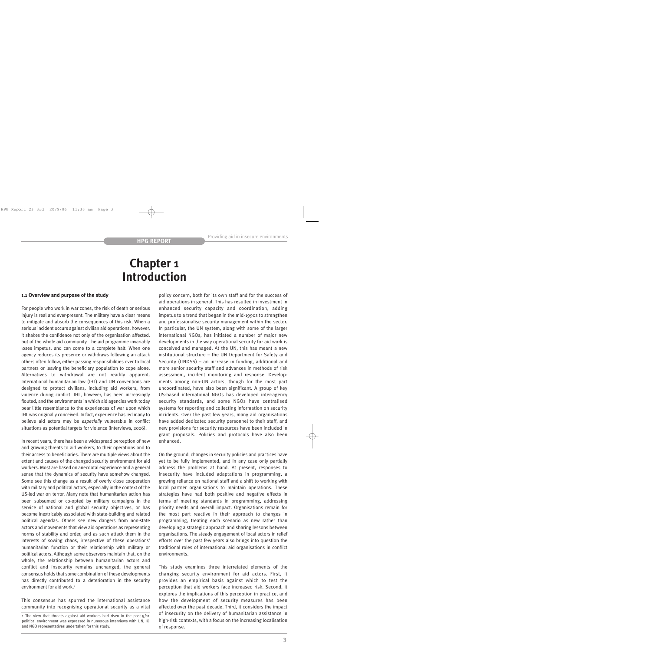# **Chapter 1 Introduction**

#### **1.1 Overview and purpose of the study**

For people who work in war zones, the risk of death or serious injury is real and ever-present. The military have a clear means to mitigate and absorb the consequences of this risk. When a serious incident occurs against civilian aid operations, however, it shakes the confidence not only of the organisation affected, but of the whole aid community. The aid programme invariably loses impetus, and can come to a complete halt. When one agency reduces its presence or withdraws following an attack others often follow, either passing responsibilities over to local partners or leaving the beneficiary population to cope alone. Alternatives to withdrawal are not readily apparent. International humanitarian law (IHL) and UN conventions are designed to protect civilians, including aid workers, from violence during conflict. IHL, however, has been increasingly flouted, and the environments in which aid agencies work today bear little resemblance to the experiences of war upon which IHLwas originally conceived. In fact, experience has led many to believe aid actors may be *especially* vulnerable in conflict situations as potential targets for violence (interviews, 2006).

In recent years, there has been a widespread perception of new and growing threats to aid workers, to their operations and to their access to beneficiaries. There are multiple views about the extent and causes of the changed security environment for aid workers. Most are based on anecdotal experience and a general sense that the dynamics of security have somehow changed. Some see this change as a result of overly close cooperation with military and political actors, especially in the context of the US-led war on terror. Many note that humanitarian action has been subsumed or co-opted by military campaigns in the service of national and global security objectives, or has become inextricably associated with state-building and related political agendas. Others see new dangers from non-state actors and movements that view aid operations as representing norms of stability and order, and as such attack them in the interests of sowing chaos, irrespective of these operations' humanitarian function or their relationship with military or political actors. Although some observers maintain that, on the whole, the relationship between humanitarian actors and conflict and insecurity remains unchanged, the general consensus holds that some combination of these developments has directly contributed to a deterioration in the security environment for aid work.<sup>1</sup>

This consensus has spurred the international assistance community into recognising operational security as a vital policy concern, both for its own staff and for the success of aid operations in general. This has resulted in investment in enhanced security capacity and coordination, adding impetus to a trend that began in the mid-1990s to strengthen and professionalise security management within the sector. In particular, the UN system, along with some of the larger international NGOs, has initiated a number of major new developments in the way operational security for aid work is conceived and managed. At the UN, this has meant a new institutional structure – the UN Department for Safety and Security (UNDSS) – an increase in funding, additional and more senior security staff and advances in methods of risk assessment, incident monitoring and response. Developments among non-UN actors, though for the most part uncoordinated, have also been significant. A group of key US-based international NGOs has developed inter-agency security standards, and some NGOs have centralised systems for reporting and collecting information on security incidents. Over the past few years, many aid organisations have added dedicated security personnel to their staff, and new provisions for security resources have been included in grant proposals. Policies and protocols have also been enhanced.

On the ground, changes in security policies and practices have yet to be fully implemented, and in any case only partially address the problems at hand. At present, responses to insecurity have included adaptations in programming, a growing reliance on national staff and a shift to working with local partner organisations to maintain operations. These strategies have had both positive and negative effects in terms of meeting standards in programming, addressing priority needs and overall impact. Organisations remain for the most part reactive in their approach to changes in programming, treating each scenario as new rather than developing a strategic approach and sharing lessons between organisations. The steady engagement of local actors in relief efforts over the past few years also brings into question the traditional roles of international aid organisations in conflict environments.

This study examines three interrelated elements of the changing security environment for aid actors. First, it provides an empirical basis against which to test the perception that aid workers face increased risk. Second, it explores the implications of this perception in practice, and how the development of security measures has been affected over the past decade. Third, it considers the impact of insecurity on the delivery of humanitarian assistance in high-risk contexts, with a focus on the increasing localisation of response.

<sup>1</sup> The view that threats against aid workers had risen in the post-9/11 political environment was expressed in numerous interviews with UN, IO and NGO representatives undertaken for this study.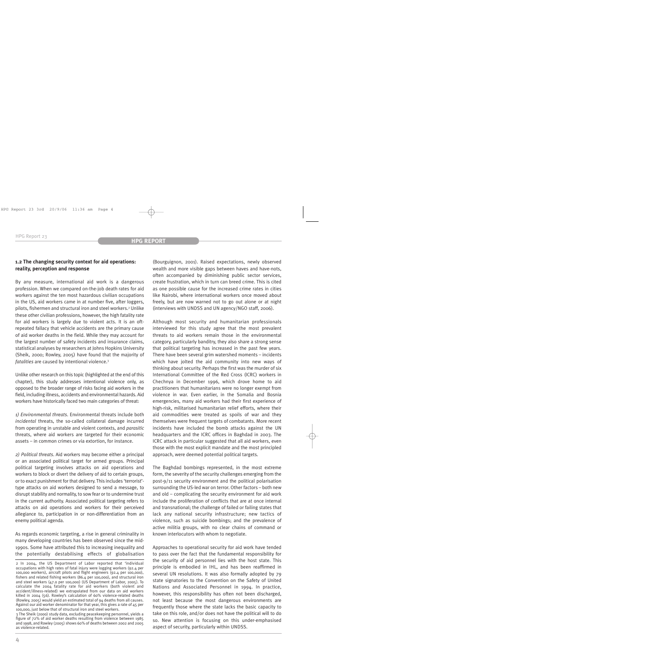# **1.2 The changing security context for aid operations: reality, perception and response**

By any measure, international aid work is a dangerous profession. When we compared on-the-job death rates for aid workers against the ten most hazardous civilian occupations in the US, aid workers came in at number five, after loggers, pilots, fishermen and structural iron and steel workers.<sup>2</sup> Unlike these other civilian professions, however, the high fatality rate for aid workers is largely due to violent acts. It is an oftrepeated fallacy that vehicle accidents are the primary cause of aid worker deaths in the field. While they may account for the largest number of safety incidents and insurance claims, statistical analyses by researchers at Johns Hopkins University (Sheik, 2000; Rowley, 2005) have found that the majority of *fatalities* are caused by intentional violence.3

Unlike other research on this topic (highlighted at the end of this chapter), this study addresses intentional violence only, as opposed to the broader range of risks facing aid workers in the field, including illness, accidents and environmental hazards. Aid workers have historically faced two main categories of threat:

*1) Environmental threats*. Environmental threats include both *incidental* threats, the so-called collateral damage incurred from operating in unstable and violent contexts, and *parasitic* threats, where aid workers are targeted for their economic assets – in common crimes or via extortion, for instance.

*2) Political threats*. Aid workers may become either a principal or an associated political target for armed groups. Principal political targeting involves attacks on aid operations and workers to block or divert the delivery of aid to certain groups, or to exact punishment for that delivery. This includes 'terrorist' type attacks on aid workers designed to send a message, to disrupt stability and normality, to sow fear or to undermine trust in the current authority. Associated political targeting refers to attacks on aid operations and workers for their perceived allegiance to, participation in or non-differentiation from an enemy political agenda.

As regards economic targeting, a rise in general criminality in many developing countries has been observed since the mid-1990s. Some have attributed this to increasing inequality and the potentially destabilising effects of globalisation

3 The Sheik (2000) study data, excluding peacekeeping personnel, yields a figure of 72% of aid worker deaths resulting from violence between 1985 and 1998, and Rowley (2005) shows 60% of deaths between 2002 and 2005 as violence-related.

(Bourguignon, 2001). Raised expectations, newly observed wealth and more visible gaps between haves and have-nots, often accompanied by diminishing public sector services, create frustration, which in turn can breed crime. This is cited as one possible cause for the increased crime rates in cities like Nairobi, where international workers once moved about freely, but are now warned not to go out alone or at night (interviews with UNDSS and UN agency/NGO staff, 2006).

Although most security and humanitarian professionals interviewed for this study agree that the most prevalent threats to aid workers remain those in the environmental category, particularly banditry, they also share a strong sense that political targeting has increased in the past few years. There have been several grim watershed moments – incidents which have jolted the aid community into new ways of thinking about security. Perhaps the first was the murder of six International Committee of the Red Cross (ICRC) workers in Chechnya in December 1996, which drove home to aid practitioners that humanitarians were no longer exempt from violence in war. Even earlier, in the Somalia and Bosnia emergencies, many aid workers had their first experience of high-risk, militarised humanitarian relief efforts, where their aid commodities were treated as spoils of war and they themselves were frequent targets of combatants. More recent incidents have included the bomb attacks against the UN headquarters and the ICRC offices in Baghdad in 2003. The ICRC attack in particular suggested that all aid workers, even those with the most explicit mandate and the most principled approach, were deemed potential political targets.

The Baghdad bombings represented, in the most extreme form, the severity of the security challenges emerging from the post-9/11 security environment and the political polarisation surrounding the US-led war on terror. Other factors – both new and old – complicating the security environment for aid work include the proliferation of conflicts that are at once internal and transnational; the challenge of failed or failing states that lack any national security infrastructure; new tactics of violence, such as suicide bombings; and the prevalence of active militia groups, with no clear chains of command or known interlocutors with whom to negotiate.

Approaches to operational security for aid work have tended to pass over the fact that the fundamental responsibility for the security of aid personnel lies with the host state. This principle is embodied in IHL, and has been reaffirmed in several UN resolutions. It was also formally adopted by 79 state signatories to the Convention on the Safety of United Nations and Associated Personnel in 1994. In practice, however, this responsibility has often not been discharged, not least because the most dangerous environments are frequently those where the state lacks the basic capacity to take on this role, and/or does not have the political will to do so. New attention is focusing on this under-emphasised aspect of security, particularly within UNDSS.

<sup>2</sup> In 2004, the US Department of Labor reported that 'individual occupations with high rates of fatal injury were logging workers (92.4 per 100,000 workers), aircraft pilots and flight engineers (92.4 per 100,000), fishers and related fishing workers (86.4 per 100,000), and structural iron and steel workers (47.0 per 100,000) (US Department of Labor, 2005). To calculate the 2004 fatality rate for aid workers (both violent and accident/illness-related) we extrapolated from our data on aid workers killed in 2004 (56). Rowley's calculation of 60% violence-related deaths (Rowley, 2005) would yield an estimated total of 94 deaths from all causes. Against our aid worker denominator for that year, this gives a rate of 45 per 100,000, just below that of structural iron and steel workers.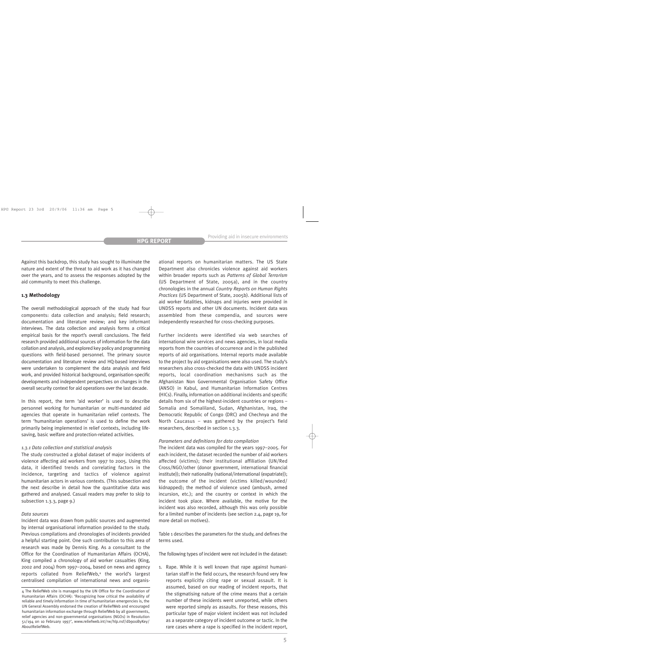Against this backdrop, this study has sought to illuminate the nature and extent of the threat to aid work as it has changed over the years, and to assess the responses adopted by the aid community to meet this challenge.

#### **1.3 Methodology**

The overall methodological approach of the study had four components: data collection and analysis; field research; documentation and literature review; and key informant interviews. The data collection and analysis forms a critical empirical basis for the report's overall conclusions. The field research provided additional sources of information for the data collation and analysis, and explored key policy and programming questions with field-based personnel. The primary source documentation and literature review and HQ-based interviews were undertaken to complement the data analysis and field work, and provided historical background, organisation-specific developments and independent perspectives on changes in the overall security context for aid operations over the last decade.

In this report, the term 'aid worker' is used to describe personnel working for humanitarian or multi-mandated aid agencies that operate in humanitarian relief contexts. The term 'humanitarian operations' is used to define the work primarily being implemented in relief contexts, including lifesaving, basic welfare and protection-related activities.

#### *1.3.1 Data collection and statistical analysis*

The study constructed a global dataset of major incidents of violence affecting aid workers from 1997 to 2005. Using this data, it identified trends and correlating factors in the incidence, targeting and tactics of violence against humanitarian actors in various contexts. (This subsection and the next describe in detail how the quantitative data was gathered and analysed. Casual readers may prefer to skip to subsection 1.3.3, page 9.)

#### *Data sources*

Incident data was drawn from public sources and augmented by internal organisational information provided to the study. Previous compilations and chronologies of incidents provided a helpful starting point. One such contribution to this area of research was made by Dennis King. As a consultant to the Office for the Coordination of Humanitarian Affairs (OCHA), King compiled a chronology of aid worker casualties (King, 2002 and 2004) from 1997–2004, based on news and agency reports collated from ReliefWeb,<sup>4</sup> the world's largest centralised compilation of international news and organisational reports on humanitarian matters. The US State Department also chronicles violence against aid workers within broader reports such as *Patterns of Global Terrorism* (US Department of State, 2005a), and in the country chronologies in the annual *Country Reports on Human Rights Practices* (US Department of State, 2005b). Additional lists of aid worker fatalities, kidnaps and injuries were provided in UNDSS reports and other UN documents. Incident data was assembled from these compendia, and sources were independently researched for cross-checking purposes.

Further incidents were identified via web searches of international wire services and news agencies, in local media reports from the countries of occurrence and in the published reports of aid organisations. Internal reports made available to the project by aid organisations were also used. The study's researchers also cross-checked the data with UNDSS incident reports, local coordination mechanisms such as the Afghanistan Non Governmental Organisation Safety Office (ANSO) in Kabul, and Humanitarian Information Centres (HICs). Finally, information on additional incidents and specific details from six of the highest-incident countries or regions – Somalia and Somaliland, Sudan, Afghanistan, Iraq, the Democratic Republic of Congo (DRC) and Chechnya and the North Caucasus – was gathered by the project's field researchers, described in section 1.3.3.

#### *Parameters and definitions for data compilation*

The incident data was compiled for the years 1997–2005. For each incident, the dataset recorded the number of aid workers affected (victims); their institutional affiliation (UN/Red Cross/NGO/other (donor government, international financial institute)); their nationality (national/international (expatriate)); the outcome of the incident (victims killed/wounded/ kidnapped); the method of violence used (ambush, armed incursion, etc.); and the country or context in which the incident took place. Where available, the motive for the incident was also recorded, although this was only possible for a limited number of incidents (see section 2.4, page 19, for more detail on motives).

Table 1 describes the parameters for the study, and defines the terms used.

The following types of incident were not included in the dataset:

1. Rape. While it is well known that rape against humanitarian staff in the field occurs, the research found very few reports explicitly citing rape or sexual assault. It is assumed, based on our reading of incident reports, that the stigmatising nature of the crime means that a certain number of these incidents went unreported, while others were reported simply as assaults. For these reasons, this particular type of major violent incident was not included as a separate category of incident outcome or tactic. In the rare cases where a rape is specified in the incident report,

<sup>4</sup> The ReliefWeb site is managed by the UN Office for the Coordination of Humanitarian Affairs (OCHA): 'Recognizing how critical the availability of reliable and timely information in time of humanitarian emergencies is, the UN General Assembly endorsed the creation of ReliefWeb and encouraged humanitarian information exchange through ReliefWeb by all governments, relief agencies and non-governmental organisations (NGOs) in Resolution 51/194 on 10 February 1997', www.reliefweb.int/rw/hlp.nsf/db900ByKey/ AboutReliefWeb.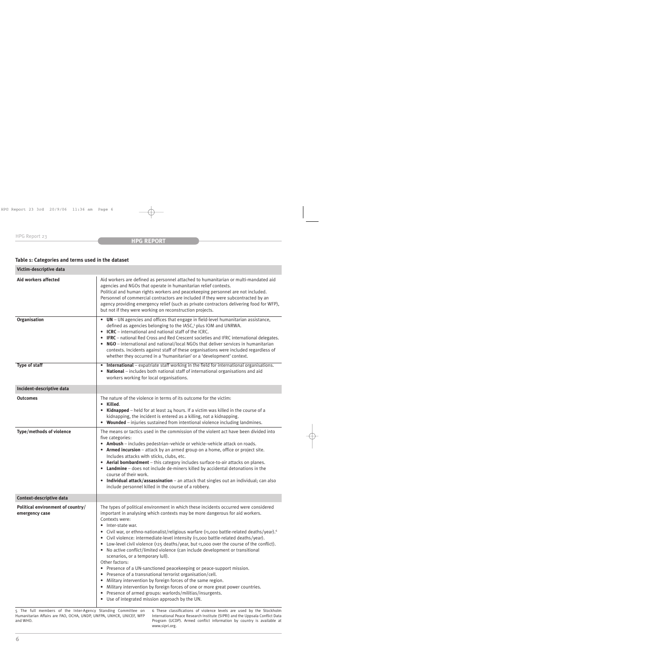# **Table 1: Categories and terms used in the dataset**

| Victim-descriptive data                             |                                                                                                                                                                                                                                                                                                                                                                                                                                                                                                                                                                                                                                                                                                                                                                                                                                                                                                                                                                                                                                                         |
|-----------------------------------------------------|---------------------------------------------------------------------------------------------------------------------------------------------------------------------------------------------------------------------------------------------------------------------------------------------------------------------------------------------------------------------------------------------------------------------------------------------------------------------------------------------------------------------------------------------------------------------------------------------------------------------------------------------------------------------------------------------------------------------------------------------------------------------------------------------------------------------------------------------------------------------------------------------------------------------------------------------------------------------------------------------------------------------------------------------------------|
| Aid workers affected                                | Aid workers are defined as personnel attached to humanitarian or multi-mandated aid<br>agencies and NGOs that operate in humanitarian relief contexts.<br>Political and human rights workers and peacekeeping personnel are not included.<br>Personnel of commercial contractors are included if they were subcontracted by an<br>agency providing emergency relief (such as private contractors delivering food for WFP),<br>but not if they were working on reconstruction projects.                                                                                                                                                                                                                                                                                                                                                                                                                                                                                                                                                                  |
| Organisation                                        | • UN - UN agencies and offices that engage in field-level humanitarian assistance,<br>defined as agencies belonging to the IASC, <sup>5</sup> plus IOM and UNRWA.<br>• ICRC - international and national staff of the ICRC.<br>• IFRC - national Red Cross and Red Crescent societies and IFRC international delegates.<br>• NGO – international and national/local NGOs that deliver services in humanitarian<br>contexts. Incidents against staff of these organisations were included regardless of<br>whether they occurred in a 'humanitarian' or a 'development' context.                                                                                                                                                                                                                                                                                                                                                                                                                                                                         |
| Type of staff                                       | International - expatriate staff working in the field for international organisations.<br>$\bullet$<br>National - includes both national staff of international organisations and aid<br>workers working for local organisations.                                                                                                                                                                                                                                                                                                                                                                                                                                                                                                                                                                                                                                                                                                                                                                                                                       |
| Incident-descriptive data                           |                                                                                                                                                                                                                                                                                                                                                                                                                                                                                                                                                                                                                                                                                                                                                                                                                                                                                                                                                                                                                                                         |
| <b>Outcomes</b>                                     | The nature of the violence in terms of its outcome for the victim:<br>• Killed.<br>• Kidnapped - held for at least 24 hours. If a victim was killed in the course of a<br>kidnapping, the incident is entered as a killing, not a kidnapping.<br>• Wounded - injuries sustained from intentional violence including landmines.                                                                                                                                                                                                                                                                                                                                                                                                                                                                                                                                                                                                                                                                                                                          |
| Type/methods of violence                            | The means or tactics used in the commission of the violent act have been divided into<br>five categories:<br>• Ambush - includes pedestrian-vehicle or vehicle-vehicle attack on roads.<br>• Armed incursion - attack by an armed group on a home, office or project site.<br>Includes attacks with sticks, clubs, etc.<br>• Aerial bombardment - this category includes surface-to-air attacks on planes.<br>• Landmine - does not include de-miners killed by accidental detonations in the<br>course of their work.<br>• Individual attack/assassination - an attack that singles out an individual; can also<br>include personnel killed in the course of a robbery.                                                                                                                                                                                                                                                                                                                                                                                |
| Context-descriptive data                            |                                                                                                                                                                                                                                                                                                                                                                                                                                                                                                                                                                                                                                                                                                                                                                                                                                                                                                                                                                                                                                                         |
| Political environment of country/<br>emergency case | The types of political environment in which these incidents occurred were considered<br>important in analysing which contexts may be more dangerous for aid workers.<br>Contexts were:<br>• Inter-state war.<br>Civil war, or ethno-nationalist/religious warfare (>1,000 battle-related deaths/year). <sup>6</sup><br>• Civil violence: intermediate-level intensity (<1,000 battle-related deaths/year).<br>Low-level civil violence (>25 deaths/year, but <1,000 over the course of the conflict).<br>• No active conflict/limited violence (can include development or transitional<br>scenarios, or a temporary lull).<br>Other factors:<br>• Presence of a UN-sanctioned peacekeeping or peace-support mission.<br>• Presence of a transnational terrorist organisation/cell.<br>• Military intervention by foreign forces of the same region.<br>• Military intervention by foreign forces of one or more great power countries.<br>• Presence of armed groups: warlords/militias/insurgents.<br>• Use of integrated mission approach by the UN. |

5 The full members of the Inter-Agency Standing Committee on Humanitarian Affairs are FAO, OCHA, UNDP, UNFPA, UNHCR, UNICEF, WFP and WHO.

6 These classifications of violence levels are used by the Stockholm International Peace Research Institute (SIPRI) and the Uppsala Conflict Data Program (UCDP). Armed conflict information by country is available at www.sipri.org.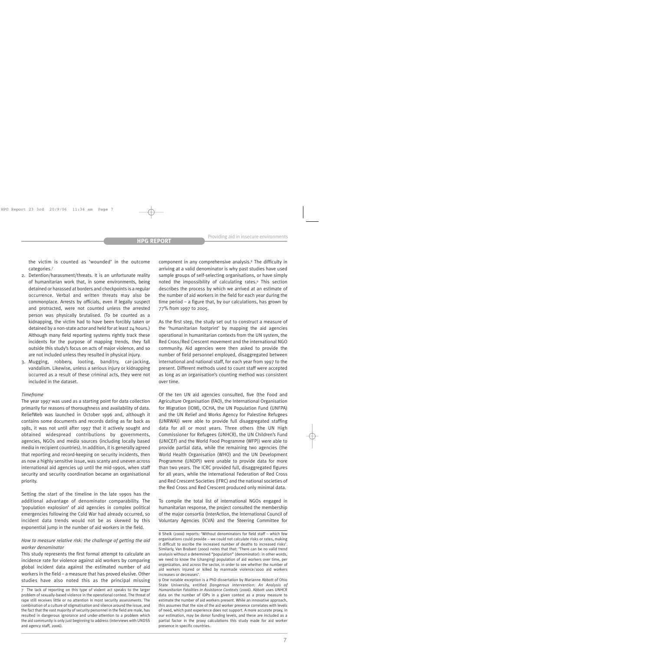the victim is counted as 'wounded' in the outcome categories.7

- 2. Detention/harassment/threats. It is an unfortunate reality of humanitarian work that, in some environments, being detained or harassed at borders and checkpoints is a regular occurrence. Verbal and written threats may also be commonplace. Arrests by officials, even if legally suspect and protracted, were not counted unless the arrested person was physically brutalised. (To be counted as a kidnapping, the victim had to have been forcibly taken or detained by a non-state actor and held for at least 24 hours.) Although many field reporting systems rightly track these incidents for the purpose of mapping trends, they fall outside this study's focus on acts of major violence, and so are not included unless they resulted in physical injury.
- 3. Mugging, robbery, looting, banditry, car-jacking, vandalism. Likewise, unless a serious injury or kidnapping occurred as a result of these criminal acts, they were not included in the dataset.

#### *Timeframe*

The year 1997 was used as a starting point for data collection primarily for reasons of thoroughness and availability of data. ReliefWeb was launched in October 1996 and, although it contains some documents and records dating as far back as 1981, it was not until after 1997 that it actively sought and obtained widespread contributions by governments, agencies, NGOs and media sources (including locally based media in recipient countries). In addition, it is generally agreed that reporting and record-keeping on security incidents, then as now a highly sensitive issue, was scanty and uneven across international aid agencies up until the mid-1990s, when staff security and security coordination became an organisational priority.

Setting the start of the timeline in the late 1990s has the additional advantage of denominator comparability. The 'population explosion' of aid agencies in complex political emergencies following the Cold War had already occurred, so incident data trends would not be as skewed by this exponential jump in the number of aid workers in the field.

#### *How to measure relative risk: the challenge of getting the aid worker denominator*

This study represents the first formal attempt to calculate an incidence rate for violence against aid workers by comparing global incident data against the estimated number of aid workers in the field – a measure that has proved elusive. Other studies have also noted this as the principal missing component in any comprehensive analysis.8 The difficulty in arriving at a valid denominator is why past studies have used sample groups of self-selecting organisations, or have simply noted the impossibility of calculating rates.9 This section describes the process by which we arrived at an estimate of the number of aid workers in the field for each year during the time period – a figure that, by our calculations, has grown by 77% from 1997 to 2005.

As the first step, the study set out to construct a measure of the 'humanitarian footprint' by mapping the aid agencies operational in humanitarian contexts from the UN system, the Red Cross/Red Crescent movement and the international NGO community. Aid agencies were then asked to provide the number of field personnel employed, disaggregated between international and national staff, for each year from 1997 to the present. Different methods used to count staff were accepted as long as an organisation's counting method was consistent over time.

Of the ten UN aid agencies consulted, five (the Food and Agriculture Organisation (FAO), the International Organisation for Migration (IOM), OCHA, the UN Population Fund (UNFPA) and the UN Relief and Works Agency for Palestine Refugees (UNRWA)) were able to provide full disaggregated staffing data for all or most years. Three others (the UN High Commissioner for Refugees (UNHCR), the UN Children's Fund (UNICEF) and the World Food Programme (WFP)) were able to provide partial data, while the remaining two agencies (the World Health Organisation (WHO) and the UN Development Programme (UNDP)) were unable to provide data for more than two years. The ICRC provided full, disaggregated figures for all years, while the International Federation of Red Cross and Red Crescent Societies (IFRC) and the national societies of the Red Cross and Red Crescent produced only minimal data.

To compile the total list of international NGOs engaged in humanitarian response, the project consulted the membership of the major consortia (InterAction, the International Council of Voluntary Agencies (ICVA) and the Steering Committee for

9 One notable exception is a PhD dissertation by Marianne Abbott of Ohio State University, entitled *Dangerous Intervention: An Analysis of Humanitarian Fatalities in Assistance Contexts* (2006). Abbott uses UNHCR data on the number of IDPs in a given context as a proxy measure to estimate the number of aid workers present. While an innovative approach, this assumes that the size of the aid worker presence correlates with levels of need, which past experience does not support. A more accurate proxy, in our estimation, may be donor funding levels, and these are included as a partial factor in the proxy calculations this study made for aid worker presence in specific countries.

<sup>7</sup> The lack of reporting on this type of violent act speaks to the larger problem of sexually-based violence in the operational context. The threat of rape still receives little or no attention in most security assessments. The combination of a culture of stigmatisation and silence around the issue, and the fact that the vast majority of security personnel in the field are male, has resulted in dangerous ignorance and under-attention to a problem which the aid community is only just beginning to address (interviews with UNDSS and agency staff, 2006).

<sup>8</sup> Sheik (2000) reports: 'Without denominators for field staff – which few organisations could provide – we could not calculate risks or rates, making it difficult to ascribe the increased number of deaths to increased risks'. Similarly, Van Brabant (2000) notes that that: 'There can be no valid trend analysis without a determined "population" (denominator): in other words, we need to know the (changing) population of aid workers over time, per organization, and across the sector, in order to see whether the number of aid workers injured or killed by manmade violence/1000 aid workers increases or decreases'.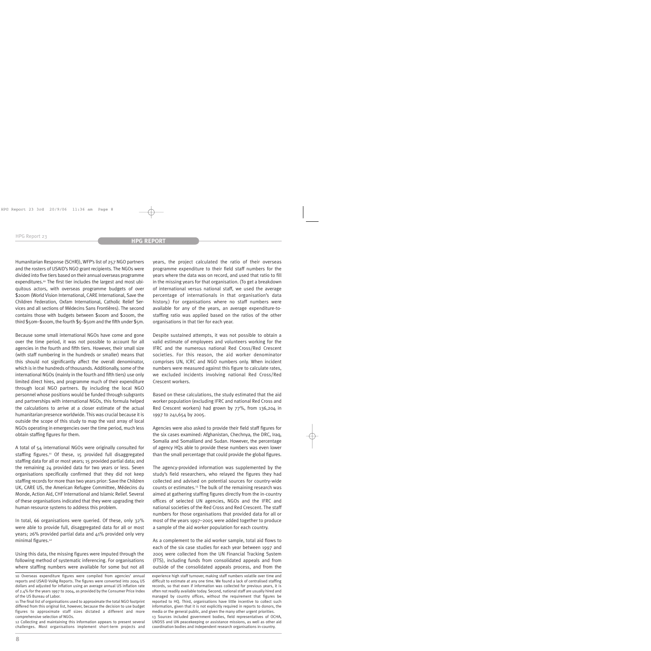Humanitarian Response (SCHR)), WFP's list of 257 NGO partners and the rosters of USAID's NGO grant recipients. The NGOs were divided into five tiers based on their annual overseas programme expenditures.<sup>10</sup> The first tier includes the largest and most ubiquitous actors, with overseas programme budgets of over \$200m (World Vision International, CARE International, Save the Children Federation, Oxfam International, Catholic Relief Services and all sections of Médecins Sans Frontières). The second contains those with budgets between \$100m and \$200m, the third \$50m–\$100m, the fourth \$5–\$50m and the fifth under \$5m.

Because some small international NGOs have come and gone over the time period, it was not possible to account for all agencies in the fourth and fifth tiers. However, their small size (with staff numbering in the hundreds or smaller) means that this should not significantly affect the overall denominator, which is in the hundreds of thousands. Additionally, some of the international NGOs (mainly in the fourth and fifth tiers) use only limited direct hires, and programme much of their expenditure through local NGO partners. By including the local NGO personnel whose positions would be funded through subgrants and partnerships with international NGOs, this formula helped the calculations to arrive at a closer estimate of the actual humanitarian presence worldwide. This was crucial because it is outside the scope of this study to map the vast array of local NGOs operating in emergencies over the time period, much less obtain staffing figures for them.

A total of 54 international NGOs were originally consulted for staffing figures.<sup>11</sup> Of these, 15 provided full disaggregated staffing data for all or most years; 15 provided partial data; and the remaining 24 provided data for two years or less. Seven organisations specifically confirmed that they did not keep staffing records for more than two years prior: Save the Children UK, CARE US, the American Refugee Committee, Médecins du Monde, Action Aid, CHF International and Islamic Relief. Several of these organisations indicated that they were upgrading their human resource systems to address this problem.

In total, 66 organisations were queried. Of these, only 32% were able to provide full, disaggregated data for all or most years; 26% provided partial data and 41% provided only very minimal figures.<sup>12</sup>

Using this data, the missing figures were imputed through the following method of systematic inferencing. For organisations where staffing numbers were available for some but not all

12 Collecting and maintaining this information appears to present several challenges. Most organisations implement short-term projects and years, the project calculated the ratio of their overseas programme expenditure to their field staff numbers for the years where the data was on record, and used that ratio to fill in the missing years for that organisation. (To get a breakdown of international versus national staff, we used the average percentage of internationals in that organisation's data history.) For organisations where no staff numbers were available for any of the years, an average expenditure-tostaffing ratio was applied based on the ratios of the other organisations in that tier for each year.

Despite sustained attempts, it was not possible to obtain a valid estimate of employees and volunteers working for the IFRC and the numerous national Red Cross/Red Crescent societies. For this reason, the aid worker denominator comprises UN, ICRC and NGO numbers only. When incident numbers were measured against this figure to calculate rates, we excluded incidents involving national Red Cross/Red Crescent workers.

Based on these calculations, the study estimated that the aid worker population (excluding IFRC and national Red Cross and Red Crescent workers) had grown by 77%, from 136,204 in 1997 to 241,654 by 2005.

Agencies were also asked to provide their field staff figures for the six cases examined: Afghanistan, Chechnya, the DRC, Iraq, Somalia and Somaliland and Sudan. However, the percentage of agency HQs able to provide these numbers was even lower than the small percentage that could provide the global figures.

The agency-provided information was supplemented by the study's field researchers, who relayed the figures they had collected and advised on potential sources for country-wide counts or estimates.13 The bulk of the remaining research was aimed at gathering staffing figures directly from the in-country offices of selected UN agencies, NGOs and the IFRC and national societies of the Red Cross and Red Crescent. The staff numbers for those organisations that provided data for all or most of the years 1997–2005 were added together to produce a sample of the aid worker population for each country.

As a complement to the aid worker sample, total aid flows to each of the six case studies for each year between 1997 and 2005 were collected from the UN Financial Tracking System (FTS), including funds from consolidated appeals and from outside of the consolidated appeals process, and from the

<sup>10</sup> Overseas expenditure figures were compiled from agencies' annual reports and USAID VolAg Reports. The figures were converted into 2004 US dollars and adjusted for inflation using an average annual US inflation rate of 2.4% for the years 1997 to 2004, as provided by the Consumer Price Index of the US Bureau of Labor.

<sup>11</sup> The final list of organisations used to approximate the total NGO footprint differed from this original list, however, because the decision to use budget figures to approximate staff sizes dictated a different and more comprehensive selection of NGOs.

experience high staff turnover, making staff numbers volatile over time and difficult to estimate at any one time. We found a lack of centralised staffing records, so that even if information was collected for previous years, it is often not readily available today. Second, national staff are usually hired and managed by country offices, without the requirement that figures be reported to HQ. Third, organisations have little incentive to collect such information, given that it is not explicitly required in reports to donors, the media or the general public, and given the many other urgent priorities. 13 Sources included government bodies, field representatives of OCHA, UNDSS and UN peacekeeping or assistance missions, as well as other aid coordination bodies and independent research organisations in-country.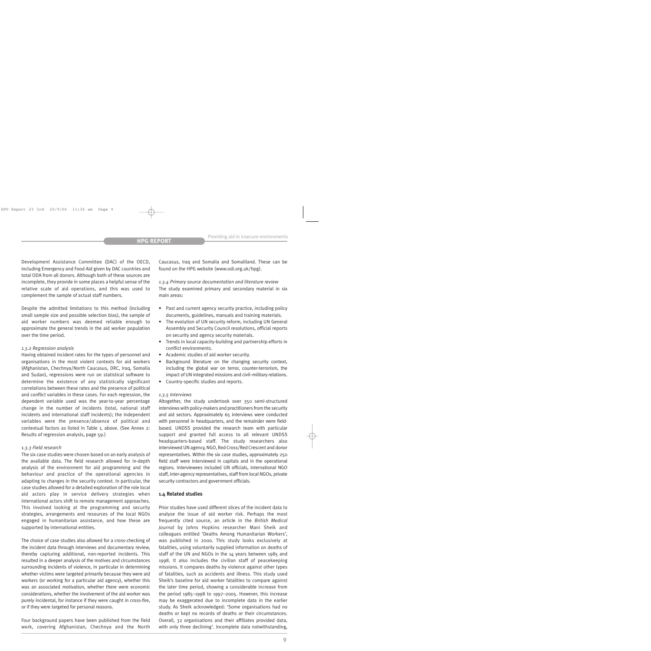Development Assistance Committee (DAC) of the OECD, including Emergency and Food Aid given by DAC countries and total ODA from all donors. Although both of these sources are incomplete, they provide in some places a helpful sense of the relative scale of aid operations, and this was used to complement the sample of actual staff numbers.

Despite the admitted limitations to this method (including small sample size and possible selection bias), the sample of aid worker numbers was deemed reliable enough to approximate the general trends in the aid worker population over the time period.

#### *1.3.2 Regression analysis*

Having obtained incident rates for the types of personnel and organisations in the most violent contexts for aid workers (Afghanistan, Chechnya/North Caucasus, DRC, Iraq, Somalia and Sudan), regressions were run on statistical software to determine the existence of any statistically significant correlations between these rates and the presence of political and conflict variables in these cases. For each regression, the dependent variable used was the year-to-year percentage change in the number of incidents (total, national staff incidents and international staff incidents); the independent variables were the presence/absence of political and contextual factors as listed in Table 1, above. (See Annex 2: Results of regression analysis, page 59.)

#### *1.3.3 Field research*

The six case studies were chosen based on an early analysis of the available data. The field research allowed for in-depth analysis of the environment for aid programming and the behaviour and practice of the operational agencies in adapting to changes in the security context. In particular, the case studies allowed for a detailed exploration of the role local aid actors play in service delivery strategies when international actors shift to remote management approaches. This involved looking at the programming and security strategies, arrangements and resources of the local NGOs engaged in humanitarian assistance, and how these are supported by international entities.

The choice of case studies also allowed for a cross-checking of the incident data through interviews and documentary review, thereby capturing additional, non-reported incidents. This resulted in a deeper analysis of the motives and circumstances surrounding incidents of violence, in particular in determining whether victims were targeted primarily because they were aid workers (or working for a particular aid agency), whether this was an associated motivation, whether there were economic considerations, whether the involvement of the aid worker was purely incidental, for instance if they were caught in cross-fire, or if they were targeted for personal reasons.

Four background papers have been published from the field work, covering Afghanistan, Chechnya and the North Caucasus, Iraq and Somalia and Somaliland. These can be found on the HPG website (www.odi.org.uk/hpg).

*1.3.4 Primary source documentation and literature review* The study examined primary and secondary material in six main areas:

- Past and current agency security practice, including policy documents, guidelines, manuals and training materials.
- The evolution of UN security reform, including UN General Assembly and Security Council resolutions, official reports on security and agency security materials.
- Trends in local capacity-building and partnership efforts in conflict environments.
- Academic studies of aid worker security.
- Background literature on the changing security context, including the global war on terror, counter-terrorism, the impact of UN integrated missions and civil–military relations.
- Country-specific studies and reports.

#### *1.3.5 Interviews*

Altogether, the study undertook over 350 semi-structured interviews with policy-makers and practitioners from the security and aid sectors. Approximately 65 interviews were conducted with personnel in headquarters, and the remainder were fieldbased. UNDSS provided the research team with particular support and granted full access to all relevant UNDSS headquarters-based staff. The study researchers also interviewed UN agency, NGO, Red Cross/Red Crescent and donor representatives. Within the six case studies, approximately 250 field staff were interviewed in capitals and in the operational regions. Interviewees included UN officials, international NGO staff, inter-agency representatives, staff from local NGOs, private security contractors and government officials.

#### **1.4 Related studies**

Prior studies have used different slices of the incident data to analyse the issue of aid worker risk. Perhaps the most frequently cited source, an article in the *British Medical Journal* by Johns Hopkins researcher Mani Sheik and colleagues entitled 'Deaths Among Humanitarian Workers', was published in 2000. This study looks exclusively at fatalities, using voluntarily supplied information on deaths of staff of the UN and NGOs in the 14 years between 1985 and 1998. It also includes the civilian staff of peacekeeping missions. It compares deaths by violence against other types of fatalities, such as accidents and illness. This study used Sheik's baseline for aid worker fatalities to compare against the later time period, showing a considerable increase from the period 1985–1998 to 1997–2005. However, this increase may be exaggerated due to incomplete data in the earlier study. As Sheik acknowledged: 'Some organisations had no deaths or kept no records of deaths or their circumstances. Overall, 32 organisations and their affiliates provided data, with only three declining'. Incomplete data notwithstanding,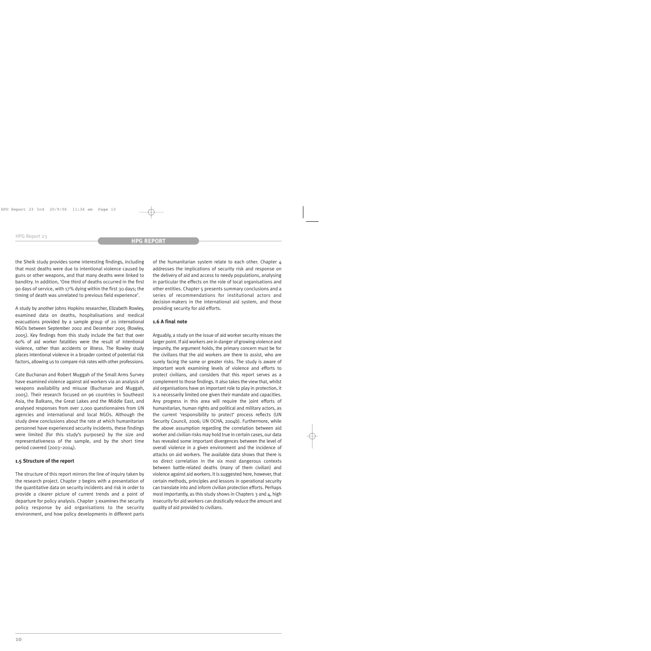the Sheik study provides some interesting findings, including that most deaths were due to intentional violence caused by guns or other weapons, and that many deaths were linked to banditry. In addition, 'One third of deaths occurred in the first 90 days of service, with 17% dying within the first 30 days; the timing of death was unrelated to previous field experience'.

A study by another Johns Hopkins researcher, Elizabeth Rowley, examined data on deaths, hospitalisations and medical evacuations provided by a sample group of 20 international NGOs between September 2002 and December 2005 (Rowley, 2005). Key findings from this study include the fact that over 60% of aid worker fatalities were the result of intentional violence, rather than accidents or illness. The Rowley study places intentional violence in a broader context of potential risk factors, allowing us to compare risk rates with other professions.

Cate Buchanan and Robert Muggah of the Small Arms Survey have examined violence against aid workers via an analysis of weapons availability and misuse (Buchanan and Muggah, 2005). Their research focused on 96 countries in Southeast Asia, the Balkans, the Great Lakes and the Middle East, and analysed responses from over 2,000 questionnaires from UN agencies and international and local NGOs. Although the study drew conclusions about the rate at which humanitarian personnel have experienced security incidents, these findings were limited (for this study's purposes) by the size and representativeness of the sample, and by the short time period covered (2003–2004).

## **1.5 Structure of the report**

The structure of this report mirrors the line of inquiry taken by the research project. Chapter 2 begins with a presentation of the quantitative data on security incidents and risk in order to provide a clearer picture of current trends and a point of departure for policy analysis. Chapter 3 examines the security policy response by aid organisations to the security environment, and how policy developments in different parts of the humanitarian system relate to each other. Chapter 4 addresses the implications of security risk and response on the delivery of aid and access to needy populations, analysing in particular the effects on the role of local organisations and other entities. Chapter 5 presents summary conclusions and a series of recommendations for institutional actors and decision-makers in the international aid system, and those providing security for aid efforts.

# **1.6 A final note**

Arguably, a study on the issue of aid worker security misses the larger point. If aid workers are in danger of growing violence and impunity, the argument holds, the primary concern must be for the civilians that the aid workers are there to assist, who are surely facing the same or greater risks. The study is aware of important work examining levels of violence and efforts to protect civilians, and considers that this report serves as a complement to those findings. It also takes the view that, whilst aid organisations have an important role to play in protection, it is a necessarily limited one given their mandate and capacities. Any progress in this area will require the joint efforts of humanitarian, human rights and political and military actors, as the current 'responsibility to protect' process reflects (UN Security Council, 2006; UN OCHA, 2004b). Furthermore, while the above assumption regarding the correlation between aid worker and civilian risks may hold true in certain cases, our data has revealed some important divergences between the level of overall violence in a given environment and the incidence of attacks on aid workers. The available data shows that there is no direct correlation in the six most dangerous contexts between battle-related deaths (many of them civilian) and violence against aid workers. It is suggested here, however, that certain methods, principles and lessons in operational security can translate into and inform civilian protection efforts. Perhaps most importantly, as this study shows in Chapters 3 and 4, high insecurity for aid workers can drastically reduce the amount and quality of aid provided to civilians.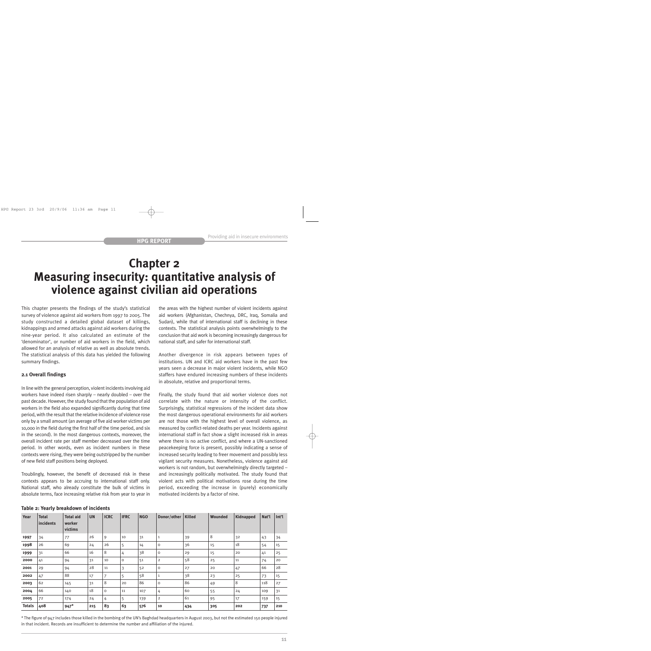# **Chapter 2 Measuring insecurity: quantitative analysis of violence against civilian aid operations**

This chapter presents the findings of the study's statistical survey of violence against aid workers from 1997 to 2005. The study constructed a detailed global dataset of killings, kidnappings and armed attacks against aid workers during the nine-year period. It also calculated an estimate of the 'denominator', or number of aid workers in the field, which allowed for an analysis of relative as well as absolute trends. The statistical analysis of this data has yielded the following summary findings.

# **2.1 Overall findings**

In line with the general perception, violent incidents involving aid workers have indeed risen sharply – nearly doubled – over the past decade. However, the study found that the population of aid workers in the field also expanded significantly during that time period, with the result that the relative incidence of violence rose only by a small amount (an average of five aid worker victims per 10,000 in the field during the first half of the time period, and six in the second). In the most dangerous contexts, moreover, the overall incident rate per staff member decreased over the time period. In other words, even as incident numbers in these contexts were rising, they were being outstripped by the number of new field staff positions being deployed.

Troublingly, however, the benefit of decreased risk in these contexts appears to be accruing to international staff only. National staff, who already constitute the bulk of victims in absolute terms, face increasing relative risk from year to year in

the areas with the highest number of violent incidents against aid workers (Afghanistan, Chechnya, DRC, Iraq, Somalia and Sudan), while that of international staff is declining in these contexts. The statistical analysis points overwhelmingly to the conclusion that aid work is becoming increasingly dangerous for national staff, and safer for international staff.

Another divergence in risk appears between types of institutions. UN and ICRC aid workers have in the past few years seen a decrease in major violent incidents, while NGO staffers have endured increasing numbers of these incidents in absolute, relative and proportional terms.

Finally, the study found that aid worker violence does not correlate with the nature or intensity of the conflict. Surprisingly, statistical regressions of the incident data show the most dangerous operational environments for aid workers are not those with the highest level of overall violence, as measured by conflict-related deaths per year. Incidents against international staff in fact show a slight increased risk in areas where there is no active conflict, and where a UN-sanctioned peacekeeping force is present, possibly indicating a sense of increased security leading to freer movement and possibly less vigilant security measures. Nonetheless, violence against aid workers is not random, but overwhelmingly directly targeted – and increasingly politically motivated. The study found that violent acts with political motivations rose during the time period, exceeding the increase in (purely) economically motivated incidents by a factor of nine.

| Year          | <b>Total</b><br>incidents | <b>Total aid</b><br>worker<br>victims | <b>UN</b> | <b>ICRC</b> | <b>IFRC</b> | <b>NGO</b> | Donor/other    | <b>Killed</b> | <b>Wounded</b> | <b>Kidnapped</b> | Nat'l | Int'l |
|---------------|---------------------------|---------------------------------------|-----------|-------------|-------------|------------|----------------|---------------|----------------|------------------|-------|-------|
| 1997          | 34                        | 77                                    | 26        | 9           | 10          | 31         | 1              | 39            | 8              | 32               | 43    | 34    |
| 1998          | 26                        | 69                                    | 24        | 26          | 5           | 14         | O              | 36            | 15             | 18               | 54    | 15    |
| 1999          | 31                        | 66                                    | 16        | 8           | 4           | 38         | $\mathsf O$    | 29            | 15             | 20               | 41    | 25    |
| 2000          | 41                        | 94                                    | 31        | 10          | O           | 51         | $\overline{2}$ | 58            | 25             | 11               | 74    | 20    |
| 2001          | 29                        | 94                                    | 28        | 11          | 3           | 52         | O              | 27            | 20             | 47               | 66    | 28    |
| 2002          | 47                        | 88                                    | 17        | 7           | 5           | 58         | $\mathbf{1}$   | 38            | 23             | 25               | 73    | 15    |
| 2003          | 62                        | 145                                   | 31        | 8           | 20          | 86         | $\mathsf O$    | 86            | 49             | 8                | 118   | 27    |
| 2004          | 66                        | 140                                   | 18        | $\circ$     | 11          | 107        | 4              | 60            | 55             | 24               | 109   | 31    |
| 2005          | 72                        | 174                                   | 24        | 4           | 5           | 139        | $\overline{2}$ | 61            | 95             | 17               | 159   | 15    |
| <b>Totals</b> | 408                       | $947*$                                | 215       | 83          | 63          | 576        | 10             | 434           | 305            | 202              | 737   | 210   |

# **Table 2: Yearly breakdown of incidents**

\* The figure of 947 includes those killed in the bombing of the UN's Baghdad headquarters in August 2003, but not the estimated 150 people injured in that incident. Records are insufficient to determine the number and affiliation of the injured.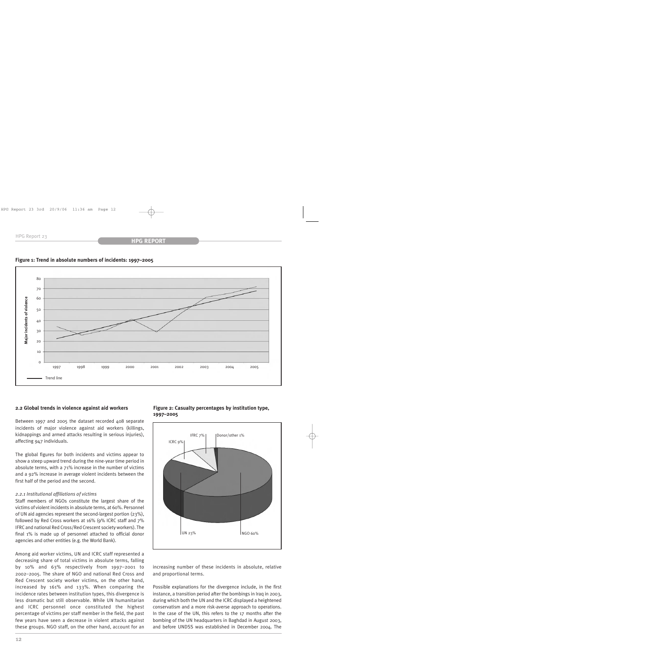



### **2.2 Global trends in violence against aid workers**

Between 1997 and 2005 the dataset recorded 408 separate incidents of major violence against aid workers (killings, kidnappings and armed attacks resulting in serious injuries), affecting 947 individuals.

The global figures for both incidents and victims appear to show a steep upward trend during the nine-year time period in absolute terms, with a 71% increase in the number of victims and a 92% increase in average violent incidents between the first half of the period and the second.

#### *2.2.1 Institutional affiliations of victims*

Staff members of NGOs constitute the largest share of the victims of violent incidents in absolute terms, at 60%. Personnel of UN aid agencies represent the second-largest portion (23%), followed by Red Cross workers at 16% (9% ICRC staff and 7% IFRC and national Red Cross/Red Crescent society workers). The final 1% is made up of personnel attached to official donor agencies and other entities (e.g. the World Bank).

Among aid worker victims, UN and ICRC staff represented a decreasing share of total victims in absolute terms, falling by 10% and 63% respectively from 1997–2001 to 2002–2005. The share of NGO and national Red Cross and Red Crescent society worker victims, on the other hand, increased by 161% and 133%. When comparing the incidence rates between institution types, this divergence is less dramatic but still observable. While UN humanitarian and ICRC personnel once constituted the highest percentage of victims per staff member in the field, the past few years have seen a decrease in violent attacks against these groups. NGO staff, on the other hand, account for an **Figure 2: Casualty percentages by institution type, 1997–2005**



increasing number of these incidents in absolute, relative and proportional terms.

Possible explanations for the divergence include, in the first instance, a transition period after the bombings in Iraq in 2003, during which both the UN and the ICRC displayed a heightened conservatism and a more risk-averse approach to operations. In the case of the UN, this refers to the 17 months after the bombing of the UN headquarters in Baghdad in August 2003, and before UNDSS was established in December 2004. The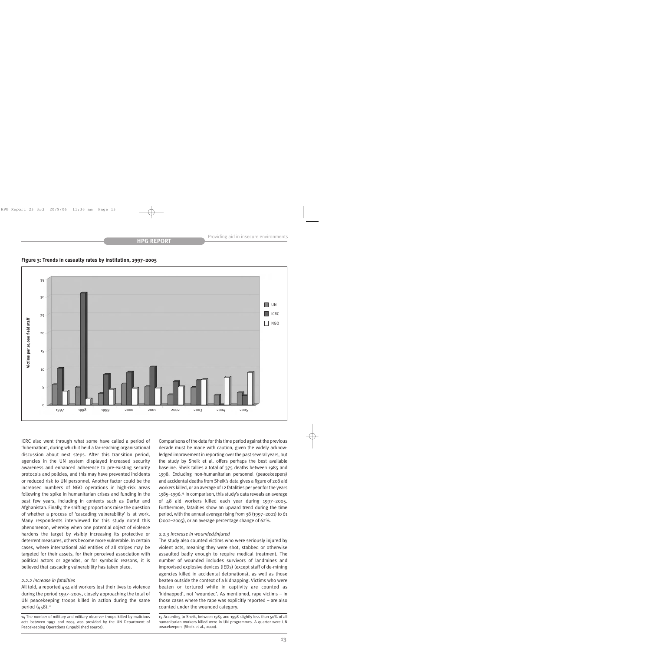



ICRC also went through what some have called a period of 'hibernation', during which it held a far-reaching organisational discussion about next steps. After this transition period, agencies in the UN system displayed increased security awareness and enhanced adherence to pre-existing security protocols and policies, and this may have prevented incidents or reduced risk to UN personnel. Another factor could be the increased numbers of NGO operations in high-risk areas following the spike in humanitarian crises and funding in the past few years, including in contexts such as Darfur and Afghanistan. Finally, the shifting proportions raise the question of whether a process of 'cascading vulnerability' is at work. Many respondents interviewed for this study noted this phenomenon, whereby when one potential object of violence hardens the target by visibly increasing its protective or deterrent measures, others become more vulnerable. In certain cases, where international aid entities of all stripes may be targeted for their assets, for their perceived association with political actors or agendas, or for symbolic reasons, it is believed that cascading vulnerability has taken place.

#### *2.2.2 Increase in fatalities*

All told, a reported 434 aid workers lost their lives to violence during the period 1997–2005, closely approaching the total of UN peacekeeping troops killed in action during the same period (458).<sup>14</sup>

Comparisons of the data for this time period against the previous decade must be made with caution, given the widely acknowledged improvement in reporting over the past several years, but the study by Sheik et al. offers perhaps the best available baseline. Sheik tallies a total of 375 deaths between 1985 and 1998. Excluding non-humanitarian personnel (peacekeepers) and accidental deaths from Sheik's data gives a figure of 208 aid workers killed, or an average of 12 fatalities per year for the years 1985–1996.15 In comparison, this study's data reveals an average of 48 aid workers killed each year during 1997–2005. Furthermore, fatalities show an upward trend during the time period, with the annual average rising from 38 (1997–2001) to 61 (2002–2005), or an average percentage change of 62%.

#### *2.2.3 Increase in wounded/injured*

The study also counted victims who were seriously injured by violent acts, meaning they were shot, stabbed or otherwise assaulted badly enough to require medical treatment. The number of wounded includes survivors of landmines and improvised explosive devices (IEDs) (except staff of de-mining agencies killed in accidental detonations), as well as those beaten outside the context of a kidnapping. Victims who were beaten or tortured while in captivity are counted as 'kidnapped', not 'wounded'. As mentioned, rape victims – in those cases where the rape was explicitly reported – are also counted under the wounded category.

<sup>14</sup> The number of military and military observer troops killed by malicious acts between 1997 and 2005 was provided by the UN Department of Peacekeeping Operations (unpublished source).

<sup>15</sup> According to Sheik, between 1985 and 1998 slightly less than 50% of all humanitarian workers killed were in UN programmes. A quarter were UN peacekeepers (Sheik et al., 2000).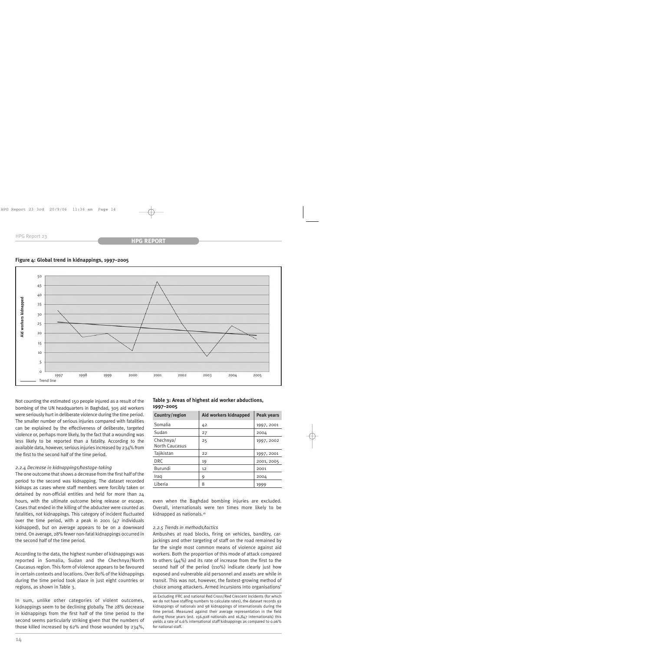



Not counting the estimated 150 people injured as a result of the bombing of the UN headquarters in Baghdad, 305 aid workers were seriously hurt in deliberate violence during the time period. The smaller number of serious injuries compared with fatalities can be explained by the effectiveness of deliberate, targeted violence or, perhaps more likely, by the fact that a wounding was less likely to be reported than a fatality. According to the available data, however, serious injuries increased by 234% from the first to the second half of the time period.

#### *2.2.4 Decrease in kidnappings/hostage-taking*

The one outcome that shows a decrease from the first half of the period to the second was kidnapping. The dataset recorded kidnaps as cases where staff members were forcibly taken or detained by non-official entities and held for more than 24 hours, with the ultimate outcome being release or escape. Cases that ended in the killing of the abductee were counted as fatalities, not kidnappings. This category of incident fluctuated over the time period, with a peak in 2001 (47 individuals kidnapped), but on average appears to be on a downward trend. On average, 28% fewer non-fatal kidnappings occurred in the second half of the time period.

According to the data, the highest number of kidnappings was reported in Somalia, Sudan and the Chechnya/North Caucasus region. This form of violence appears to be favoured in certain contexts and locations. Over 80% of the kidnappings during the time period took place in just eight countries or regions, as shown in Table 3.

In sum, unlike other categories of violent outcomes, kidnappings seem to be declining globally. The 28% decrease in kidnappings from the first half of the time period to the second seems particularly striking given that the numbers of those killed increased by 62% and those wounded by 234%,

#### **Table 3: Areas of highest aid worker abductions, 1997–2005**

| Country/region                     | Aid workers kidnapped | <b>Peak years</b> |
|------------------------------------|-----------------------|-------------------|
| Somalia                            | 42                    | 1997, 2001        |
| Sudan                              | 27                    | 2004              |
| Chechnya/<br><b>North Caucasus</b> | 25                    | 1997, 2002        |
| Tajikistan                         | 22                    | 1997, 2001        |
| <b>DRC</b>                         | 19                    | 2001, 2005        |
| Burundi                            | 12                    | 2001              |
| Iraq                               | 9                     | 2004              |
| Liberia                            | 8                     | 1999              |

even when the Baghdad bombing injuries are excluded. Overall, internationals were ten times more likely to be kidnapped as nationals.<sup>16</sup>

#### *2.2.5 Trends in methods/tactics*

Ambushes at road blocks, firing on vehicles, banditry, carjackings and other targeting of staff on the road remained by far the single most common means of violence against aid workers. Both the proportion of this mode of attack compared to others (44%) and its rate of increase from the first to the second half of the period (110%) indicate clearly just how exposed and vulnerable aid personnel and assets are while in transit. This was not, however, the fastest-growing method of choice among attackers. Armed incursions into organisations'

16 Excluding IFRC and national Red Cross/Red Crescent incidents (for which we do not have staffing numbers to calculate rates), the dataset records 92 kidnappings of nationals and 98 kidnappings of internationals during the time period. Measured against their average representation in the field during those years (est. 156,928 nationals and 16,847 internationals) this yields a rate of 0.6% international staff kidnappings as compared to 0.06% for national staff.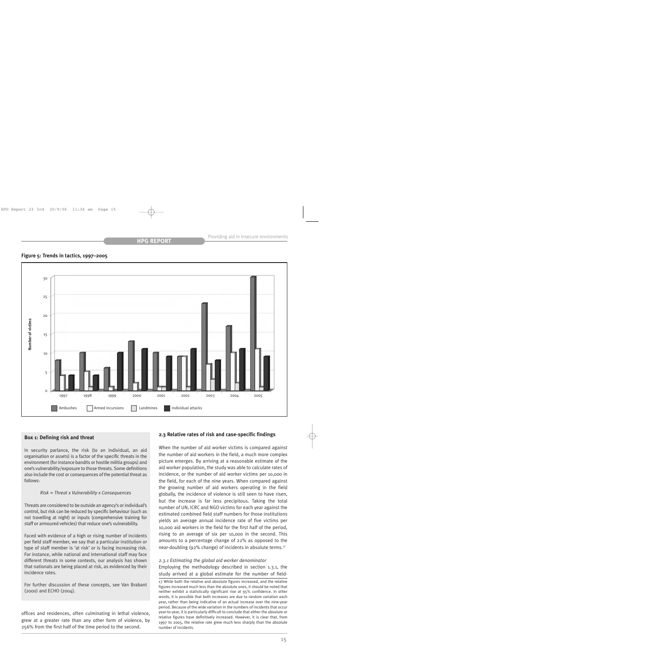#### **Figure 5: Trends in tactics, 1997–2005**



#### **Box 1: Defining risk and threat**

In security parlance, the risk (to an individual, an aid organisation or assets) is a factor of the specific threats in the environment (for instance bandits or hostile militia groups) and one's vulnerability/exposure to those threats. Some definitions also include the cost or consequences of the potential threat as follows:

#### *Risk = Threat x Vulnerability x Consequences*

Threats are considered to be outside an agency's or individual's control, but risk can be reduced by specific behaviour (such as not travelling at night) or inputs (comprehensive training for staff or armoured vehicles) that reduce one's vulnerability.

Faced with evidence of a high or rising number of incidents per field staff member, we say that a particular institution or type of staff member is 'at risk' or is facing increasing risk. For instance, while national and international staff may face different threats in some contexts, our analysis has shown that nationals are being placed at risk, as evidenced by their incidence rates.

For further discussion of these concepts, see Van Brabant (2000) and ECHO (2004).

offices and residences, often culminating in lethal violence, grew at a greater rate than any other form of violence, by 256% from the first half of the time period to the second.

#### **2.3 Relative rates of risk and case-specific findings**

When the number of aid worker victims is compared against the number of aid workers in the field, a much more complex picture emerges. By arriving at a reasonable estimate of the aid worker population, the study was able to calculate rates of incidence, or the number of aid worker victims per 10,000 in the field, for each of the nine years. When compared against the growing number of aid workers operating in the field globally, the incidence of violence is still seen to have risen, but the increase is far less precipitous. Taking the total number of UN, ICRC and NGO victims for each year against the estimated combined field staff numbers for those institutions yields an average annual incidence rate of five victims per 10,000 aid workers in the field for the first half of the period, rising to an average of six per 10,000 in the second. This amounts to a percentage change of 22% as opposed to the near-doubling (92% change) of incidents in absolute terms.17

#### *2.3.1 Estimating the global aid worker denominator*

Employing the methodology described in section 1.3.1, the study arrived at a global estimate for the number of field-

17 While both the relative and absolute figures increased, and the relative figures increased much less than the absolute ones, it should be noted that neither exhibit a statistically significant rise at 95% confidence. In other words, it is possible that both increases are due to random variation each year, rather than being indicative of an actual increase over the nine-year period. Because of the wide variation in the numbers of incidents that occur year-to-year, it is particularly difficult to conclude that either the absolute or relative figures have definitively increased. However, it is clear that, from 1997 to 2005, the relative rate grew much less sharply than the absolute number of incidents.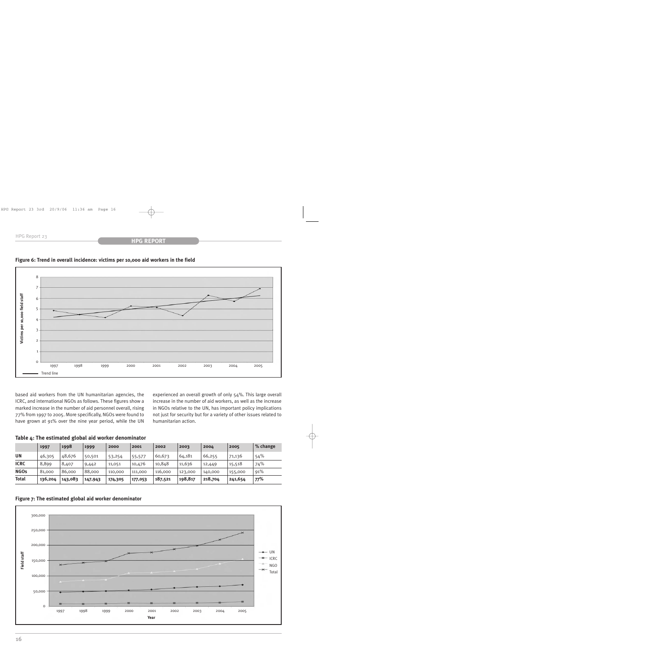### **HPG REPORT**



### **Figure 6: Trend in overall incidence: victims per 10,000 aid workers in the field**

based aid workers from the UN humanitarian agencies, the ICRC, and international NGOs as follows. These figures show a marked increase in the number of aid personnel overall, rising 77% from 1997 to 2005. More specifically, NGOs were found to have grown at 91% over the nine year period, while the UN

experienced an overall growth of only 54%. This large overall increase in the number of aid workers, as well as the increase in NGOs relative to the UN, has important policy implications not just for security but for a variety of other issues related to humanitarian action.

|  |  |  |  |  | Table 4: The estimated global aid worker denominator |
|--|--|--|--|--|------------------------------------------------------|
|--|--|--|--|--|------------------------------------------------------|

|              | 1997    | 1998    | 1999    | 2000    | 2001    | 2002    | 2003    | 2004    | 2005    | % change |
|--------------|---------|---------|---------|---------|---------|---------|---------|---------|---------|----------|
| <b>UN</b>    | 46,305  | 48,676  | 50,501  | 53,254  | 55,577  | 60,673  | 64,181  | 66,255  | 71,136  | 54%      |
| <b>ICRC</b>  | 8,899   | 8,407   | 9,442   | 11,051  | 10,476  | 10,848  | 11,636  | 12,449  | 15,518  | 74%      |
| <b>NGOs</b>  | 81,000  | 86,000  | 88,000  | 110,000 | 111,000 | 116,000 | 123,000 | 140,000 | 155,000 | 91%      |
| <b>Total</b> | 136,204 | 143,083 | 147,943 | 174,305 | 177,053 | 187,521 | 198,817 | 218,704 | 241,654 | 77%      |



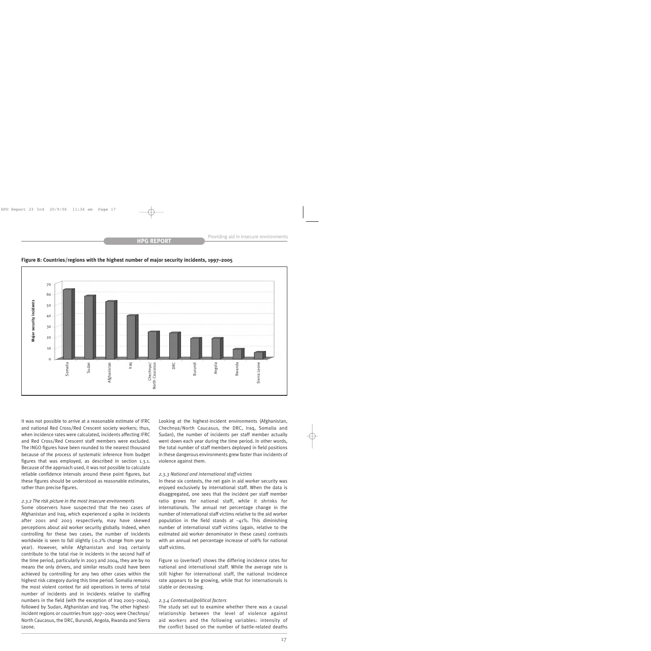



It was not possible to arrive at a reasonable estimate of IFRC and national Red Cross/Red Crescent society workers; thus, when incidence rates were calculated, incidents affecting IFRC and Red Cross/Red Crescent staff members were excluded. The INGO figures have been rounded to the nearest thousand because of the process of systematic inference from budget figures that was employed, as described in section 1.3.1. Because of the approach used, it was not possible to calculate reliable confidence intervals around these point figures, but these figures should be understood as reasonable estimates, rather than precise figures.

#### *2.3.2 The risk picture in the most insecure environments*

Some observers have suspected that the two cases of Afghanistan and Iraq, which experienced a spike in incidents after 2001 and 2003 respectively, may have skewed perceptions about aid worker security globally. Indeed, when controlling for these two cases, the number of incidents worldwide is seen to fall slightly (-0.2% change from year to year). However, while Afghanistan and Iraq certainly contribute to the total rise in incidents in the second half of the time period, particularly in 2003 and 2004, they are by no means the only drivers, and similar results could have been achieved by controlling for any two other cases within the highest risk category during this time period. Somalia remains the most violent context for aid operations in terms of total number of incidents and in incidents relative to staffing numbers in the field (with the exception of Iraq 2003–2004), followed by Sudan, Afghanistan and Iraq. The other highestincident regions or countries from 1997–2005 were Chechnya/ North Caucasus, the DRC, Burundi, Angola, Rwanda and Sierra Leone.

Looking at the highest-incident environments (Afghanistan, Chechnya/North Caucasus, the DRC, Iraq, Somalia and Sudan), the number of incidents per staff member actually went down each year during the time period. In other words, the total number of staff members deployed in field positions in these dangerous environments grew faster than incidents of violence against them.

#### *2.3.3 National and international staff victims*

In these six contexts, the net gain in aid worker security was enjoyed exclusively by international staff. When the data is disaggregated, one sees that the incident per staff member ratio grows for national staff, while it shrinks for internationals. The annual net percentage change in the number of international staff victims relative to the aid worker population in the field stands at  $-41\%$ . This diminishing number of international staff victims (again, relative to the estimated aid worker denominator in these cases) contrasts with an annual net percentage increase of 108% for national staff victims.

Figure 10 (overleaf) shows the differing incidence rates for national and international staff. While the average rate is still higher for international staff, the national incidence rate appears to be growing, while that for internationals is stable or decreasing.

#### *2.3.4 Contextual/political factors*

The study set out to examine whether there was a causal relationship between the level of violence against aid workers and the following variables: intensity of the conflict based on the number of battle-related deaths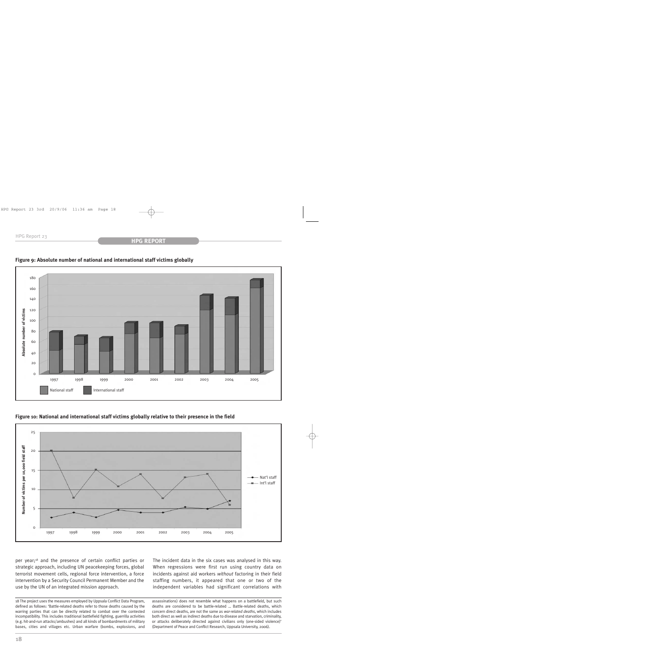

# **Figure 9: Absolute number of national and international staff victims globally**

# **Figure 10: National and international staff victims globally relative to their presence in the field**



per year;18 and the presence of certain conflict parties or strategic approach, including UN peacekeeping forces, global terrorist movement cells, regional force intervention, a force intervention by a Security Council Permanent Member and the use by the UN of an integrated mission approach.

18 The project uses the measures employed by Uppsala Conflict Data Program, defined as follows: 'Battle-related deaths refer to those deaths caused by the warring parties that can be directly related to combat over the contested incompatibility. This includes traditional battlefield fighting, guerrilla activities (e.g. hit-and-run attacks/ambushes) and all kinds of bombardments of military bases, cities and villages etc. Urban warfare (bombs, explosions, and

The incident data in the six cases was analysed in this way. When regressions were first run using country data on incidents against aid workers *without* factoring in their field staffing numbers, it appeared that one or two of the independent variables had significant correlations with

assassinations) does not resemble what happens on a battlefield, but such deaths are considered to be battle-related … Battle-related deaths, which concern direct deaths, are not the same as *war-related deaths*, which includes both direct as well as indirect deaths due to disease and starvation, criminality, or attacks deliberately directed against civilians only (one-sided violence)' (Department of Peace and Conflict Research, Uppsala University, 2006).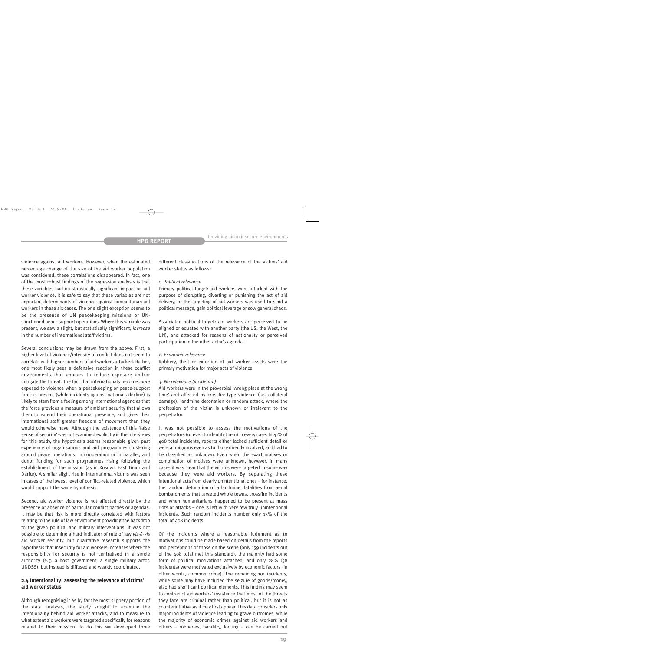violence against aid workers. However, when the estimated percentage change of the size of the aid worker population was considered, these correlations disappeared. In fact, one of the most robust findings of the regression analysis is that these variables had no statistically significant impact on aid worker violence. It is safe to say that these variables are not important determinants of violence against humanitarian aid workers in these six cases. The one slight exception seems to be the presence of UN peacekeeping missions or UNsanctioned peace support operations. Where this variable was present, we saw a slight, but statistically significant, *increase* in the number of international staff victims.

Several conclusions may be drawn from the above. First, a higher level of violence/intensity of conflict does not seem to correlate with higher numbers of aid workers attacked. Rather, one most likely sees a defensive reaction in these conflict environments that appears to reduce exposure and/or mitigate the threat. The fact that internationals become *more* exposed to violence when a peacekeeping or peace-support force is present (while incidents against nationals decline) is likely to stem from a feeling among international agencies that the force provides a measure of ambient security that allows them to extend their operational presence, and gives their international staff greater freedom of movement than they would otherwise have. Although the existence of this 'false sense of security' was not examined explicitly in the interviews for this study, the hypothesis seems reasonable given past experience of organisations and aid programmes clustering around peace operations, in cooperation or in parallel, and donor funding for such programmes rising following the establishment of the mission (as in Kosovo, East Timor and Darfur). A similar slight rise in international victims was seen in cases of the lowest level of conflict-related violence, which would support the same hypothesis.

Second, aid worker violence is not affected directly by the presence or absence of particular conflict parties or agendas. It may be that risk is more directly correlated with factors relating to the rule of law environment providing the backdrop to the given political and military interventions. It was not possible to determine a hard indicator of rule of law *vis-à-vis* aid worker security, but qualitative research supports the hypothesis that insecurity for aid workers increases where the responsibility for security is not centralised in a single authority (e.g. a host government, a single military actor, UNDSS), but instead is diffused and weakly coordinated.

## **2.4 Intentionality: assessing the relevance of victims' aid worker status**

Although recognising it as by far the most slippery portion of the data analysis, the study sought to examine the intentionality behind aid worker attacks, and to measure to what extent aid workers were targeted specifically for reasons related to their mission. To do this we developed three

different classifications of the relevance of the victims' aid worker status as follows:

#### *1. Political relevance*

Primary political target: aid workers were attacked with the purpose of disrupting, diverting or punishing the act of aid delivery, or the targeting of aid workers was used to send a political message, gain political leverage or sow general chaos.

Associated political target: aid workers are perceived to be aligned or equated with another party (the US, the West, the UN), and attacked for reasons of nationality or perceived participation in the other actor's agenda.

#### *2. Economic relevance*

Robbery, theft or extortion of aid worker assets were the primary motivation for major acts of violence.

#### *3. No relevance (incidental)*

Aid workers were in the proverbial 'wrong place at the wrong time' and affected by crossfire-type violence (i.e. collateral damage), landmine detonation or random attack, where the profession of the victim is unknown or irrelevant to the perpetrator.

It was not possible to assess the motivations of the perpetrators (or even to identify them) in every case. In 41% of 408 total incidents, reports either lacked sufficient detail or were ambiguous even as to those directly involved, and had to be classified as unknown. Even when the exact motives or combination of motives were unknown, however, in many cases it was clear that the victims were targeted in some way because they were aid workers. By separating these intentional acts from clearly unintentional ones – for instance, the random detonation of a landmine, fatalities from aerial bombardments that targeted whole towns, crossfire incidents and when humanitarians happened to be present at mass riots or attacks – one is left with very few truly unintentional incidents. Such random incidents number only 13% of the total of 408 incidents.

Of the incidents where a reasonable judgment as to motivations could be made based on details from the reports and perceptions of those on the scene (only 159 incidents out of the 408 total met this standard), the majority had some form of political motivations attached, and only 28% (58 incidents) were motivated exclusively by economic factors (in other words, common crime). The remaining 101 incidents, while some may have included the seizure of goods/money, also had significant political elements. This finding may seem to contradict aid workers' insistence that most of the threats they face are criminal rather than political, but it is not as counterintuitive as it may first appear. This data considers only major incidents of violence leading to grave outcomes, while the majority of economic crimes against aid workers and others – robberies, banditry, looting – can be carried out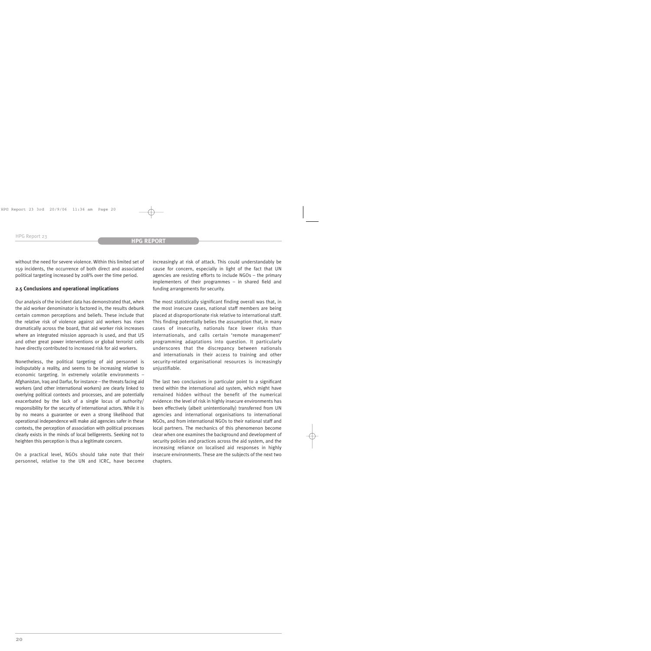without the need for severe violence. Within this limited set of 159 incidents, the occurrence of both direct and associated political targeting increased by 208% over the time period.

### **2.5 Conclusions and operational implications**

Our analysis of the incident data has demonstrated that, when the aid worker denominator is factored in, the results debunk certain common perceptions and beliefs. These include that the relative risk of violence against aid workers has risen dramatically across the board, that aid worker risk increases where an integrated mission approach is used, and that US and other great power interventions or global terrorist cells have directly contributed to increased risk for aid workers.

Nonetheless, the political targeting of aid personnel is indisputably a reality, and seems to be increasing relative to economic targeting. In extremely volatile environments – Afghanistan, Iraq and Darfur, for instance – the threats facing aid workers (and other international workers) are clearly linked to overlying political contexts and processes, and are potentially exacerbated by the lack of a single locus of authority/ responsibility for the security of international actors. While it is by no means a guarantee or even a strong likelihood that operational independence will make aid agencies safer in these contexts, the perception of association with political processes clearly exists in the minds of local belligerents. Seeking not to heighten this perception is thus a legitimate concern.

On a practical level, NGOs should take note that their personnel, relative to the UN and ICRC, have become increasingly at risk of attack. This could understandably be cause for concern, especially in light of the fact that UN agencies are resisting efforts to include NGOs – the primary implementers of their programmes – in shared field and funding arrangements for security.

The most statistically significant finding overall was that, in the most insecure cases, national staff members are being placed at disproportionate risk relative to international staff. This finding potentially belies the assumption that, in many cases of insecurity, nationals face lower risks than internationals, and calls certain 'remote management' programming adaptations into question. It particularly underscores that the discrepancy between nationals and internationals in their access to training and other security-related organisational resources is increasingly unjustifiable.

The last two conclusions in particular point to a significant trend within the international aid system, which might have remained hidden without the benefit of the numerical evidence: the level of risk in highly insecure environments has been effectively (albeit unintentionally) transferred from UN agencies and international organisations to international NGOs, and from international NGOs to their national staff and local partners. The mechanics of this phenomenon become clear when one examines the background and development of security policies and practices across the aid system, and the increasing reliance on localised aid responses in highly insecure environments. These are the subjects of the next two chapters.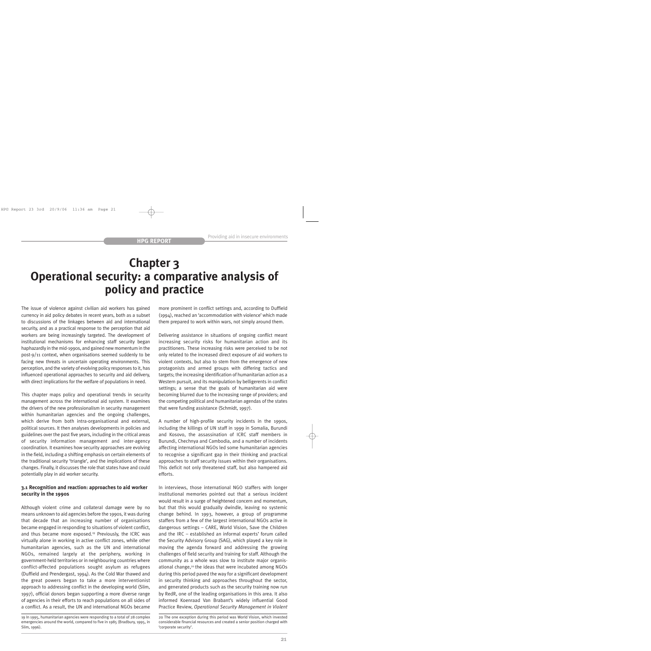# **Chapter 3 Operational security: a comparative analysis of policy and practice**

The issue of violence against civilian aid workers has gained currency in aid policy debates in recent years, both as a subset to discussions of the linkages between aid and international security, and as a practical response to the perception that aid workers are being increasingly targeted. The development of institutional mechanisms for enhancing staff security began haphazardly in the mid-1990s, and gained new momentum in the post-9/11 context, when organisations seemed suddenly to be facing new threats in uncertain operating environments. This perception, and the variety of evolving policy responses to it, has influenced operational approaches to security and aid delivery, with direct implications for the welfare of populations in need.

This chapter maps policy and operational trends in security management across the international aid system. It examines the drivers of the new professionalism in security management within humanitarian agencies and the ongoing challenges, which derive from both intra-organisational and external, political sources. It then analyses developments in policies and guidelines over the past five years, including in the critical areas of security information management and inter-agency coordination. It examines how security approaches are evolving in the field, including a shifting emphasis on certain elements of the traditional security 'triangle', and the implications of these changes. Finally, it discusses the role that states have and could potentially play in aid worker security.

# **3.1 Recognition and reaction: approaches to aid worker security in the 1990s**

Although violent crime and collateral damage were by no means unknown to aid agencies before the 1990s, it was during that decade that an increasing number of organisations became engaged in responding to situations of violent conflict, and thus became more exposed.<sup>19</sup> Previously, the ICRC was virtually alone in working in active conflict zones, while other humanitarian agencies, such as the UN and international NGOs, remained largely at the periphery, working in government-held territories or in neighbouring countries where conflict-affected populations sought asylum as refugees (Duffield and Prendergast, 1994). As the Cold War thawed and the great powers began to take a more interventionist approach to addressing conflict in the developing world (Slim, 1997), official donors began supporting a more diverse range of agencies in their efforts to reach populations on all sides of a conflict. As a result, the UN and international NGOs became

more prominent in conflict settings and, according to Duffield (1994), reached an 'accommodation with violence' which made them prepared to work within wars, not simply around them.

Delivering assistance in situations of ongoing conflict meant increasing security risks for humanitarian action and its practitioners. These increasing risks were perceived to be not only related to the increased direct exposure of aid workers to violent contexts, but also to stem from the emergence of new protagonists and armed groups with differing tactics and targets; the increasing identification of humanitarian action as a Western pursuit, and its manipulation by belligerents in conflict settings; a sense that the goals of humanitarian aid were becoming blurred due to the increasing range of providers; and the competing political and humanitarian agendas of the states that were funding assistance (Schmidt, 1997).

A number of high-profile security incidents in the 1990s, including the killings of UN staff in 1999 in Somalia, Burundi and Kosovo, the assassination of ICRC staff members in Burundi, Chechnya and Cambodia, and a number of incidents affecting international NGOs led some humanitarian agencies to recognise a significant gap in their thinking and practical approaches to staff security issues within their organisations. This deficit not only threatened staff, but also hampered aid efforts.

In interviews, those international NGO staffers with longer institutional memories pointed out that a serious incident would result in a surge of heightened concern and momentum, but that this would gradually dwindle, leaving no systemic change behind. In 1993, however, a group of programme staffers from a few of the largest international NGOs active in dangerous settings – CARE, World Vision, Save the Children and the IRC – established an informal experts' forum called the Security Advisory Group (SAG), which played a key role in moving the agenda forward and addressing the growing challenges of field security and training for staff. Although the community as a whole was slow to institute major organisational change,20 the ideas that were incubated among NGOs during this period paved the way for a significant development in security thinking and approaches throughout the sector, and generated products such as the security training now run by RedR, one of the leading organisations in this area. It also informed Koenraad Van Brabant's widely influential Good Practice Review, *Operational Security Management in Violent*

<sup>19</sup> In 1995, humanitarian agencies were responding to a total of 28 complex emergencies around the world, compared to five in 1985 (Bradbury, 1995, in Slim, 1996).

<sup>20</sup> The one exception during this period was World Vision, which invested considerable financial resources and created a senior position charged with 'corporate security'.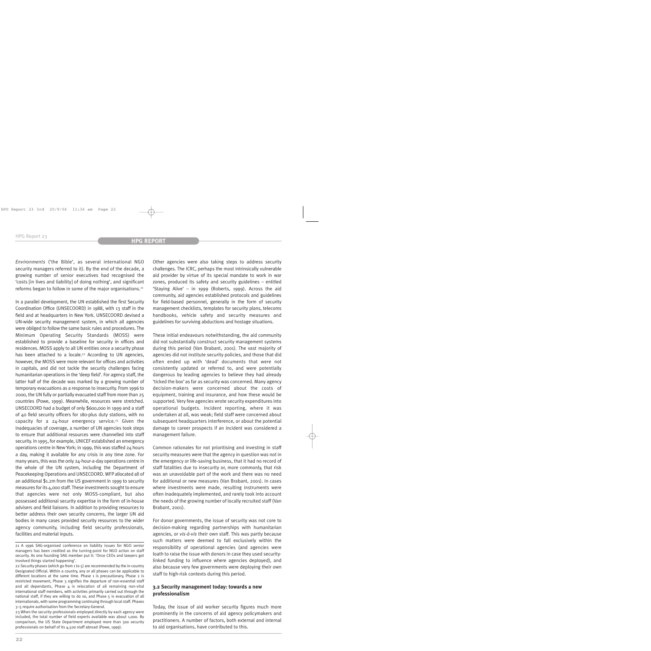*Environments* ('the Bible', as several international NGO security managers referred to it). By the end of the decade, a growing number of senior executives had recognised the 'costs [in lives and liability] of doing nothing', and significant reforms began to follow in some of the major organisations.21

In a parallel development, the UN established the first Security Coordination Office (UNSECOORD) in 1988, with 13 staff in the field and at headquarters in New York. UNSECOORD devised a UN-wide security management system, in which all agencies were obliged to follow the same basic rules and procedures. The Minimum Operating Security Standards (MOSS) were established to provide a baseline for security in offices and residences. MOSS apply to all UN entities once a security phase has been attached to a locale.<sup>22</sup> According to UN agencies, however, the MOSS were more relevant for offices and activities in capitals, and did not tackle the security challenges facing humanitarian operations in the 'deep field'. For agency staff, the latter half of the decade was marked by a growing number of temporary evacuations as a response to insecurity. From 1996 to 2000, the UN fully or partially evacuated staff from more than 25 countries (Powe, 1999). Meanwhile, resources were stretched. UNSECOORD had a budget of only \$600,000 in 1999 and a staff of 40 field security officers for 180-plus duty stations, with no capacity for a  $24$ -hour emergency service.<sup>23</sup> Given the inadequacies of coverage, a number of UN agencies took steps to ensure that additional resources were channelled into staff security. In 1995, for example, UNICEF established an emergency operations centre in New York; in 1999, this was staffed 24 hours a day, making it available for any crisis in any time zone. For many years, this was the only 24-hour-a-day operations centre in the whole of the UN system, including the Department of Peacekeeping Operations and UNSECOORD. WFP allocated all of an additional \$1.2m from the US government in 1999 to security measures for its 4,000 staff. These investments sought to ensure that agencies were not only MOSS-compliant, but also possessed additional security expertise in the form of in-house advisers and field liaisons. In addition to providing resources to better address their own security concerns, the larger UN aid bodies in many cases provided security resources to the wider agency community, including field security professionals, facilities and material inputs.

Other agencies were also taking steps to address security challenges. The ICRC, perhaps the most intrinsically vulnerable aid provider by virtue of its special mandate to work in war zones, produced its safety and security guidelines – entitled 'Staying Alive' – in 1999 (Roberts, 1999). Across the aid community, aid agencies established protocols and guidelines for field-based personnel, generally in the form of security management checklists, templates for security plans, telecoms handbooks, vehicle safety and security measures and guidelines for surviving abductions and hostage situations.

These initial endeavours notwithstanding, the aid community did not substantially construct security management systems during this period (Van Brabant, 2001). The vast majority of agencies did not institute security policies, and those that did often ended up with 'dead' documents that were not consistently updated or referred to, and were potentially dangerous by leading agencies to believe they had already 'ticked the box' as far as security was concerned. Many agency decision-makers were concerned about the costs of equipment, training and insurance, and how these would be supported. Very few agencies wrote security expenditures into operational budgets. Incident reporting, where it was undertaken at all, was weak; field staff were concerned about subsequent headquarters interference, or about the potential damage to career prospects if an incident was considered a management failure.

Common rationales for not prioritising and investing in staff security measures were that the agency in question was not in the emergency or life-saving business, that it had no record of staff fatalities due to insecurity or, more commonly, that risk was an unavoidable part of the work and there was no need for additional or new measures (Van Brabant, 2001). In cases where investments were made, resulting instruments were often inadequately implemented, and rarely took into account the needs of the growing number of locally recruited staff (Van Brabant, 2001).

For donor governments, the issue of security was not core to decision-making regarding partnerships with humanitarian agencies, or *vis-à-vis* their own staff. This was partly because such matters were deemed to fall exclusively within the responsibility of operational agencies (and agencies were loath to raise the issue with donors in case they used securitylinked funding to influence where agencies deployed), and also because very few governments were deploying their own staff to high-risk contexts during this period.

# **3.2 Security management today: towards a new professionalism**

Today, the issue of aid worker security figures much more prominently in the concerns of aid agency policymakers and practitioners. A number of factors, both external and internal to aid organisations, have contributed to this.

<sup>21</sup> A 1996 SAG-organised conference on liability issues for NGO senior managers has been credited as the turning-point for NGO action on staff security. As one founding SAG member put it: 'Once CEOs and lawyers got involved things started happening'.

<sup>22</sup> Security phases (which go from 1 to 5) are recommended by the in-country Designated Official. Within a country, any or all phases can be applicable to different locations at the same time. Phase 1 is precautionary, Phase 2 is restricted movement, Phase 3 signifies the departure of non-essential staff and all dependants, Phase  $4$  is relocation of all remaining non-vital international staff members, with activities primarily carried out through the national staff, if they are willing to do so, and Phase 5 is evacuation of all internationals, with some programming continuing through local staff. Phases 3–5 require authorisation from the Secretary-General.

<sup>23</sup> When the security professionals employed directly by each agency were included, the total number of field experts available was about 1,000. By comparison, the US State Department employed more than 300 security professionals on behalf of its 4,500 staff abroad (Powe, 1999).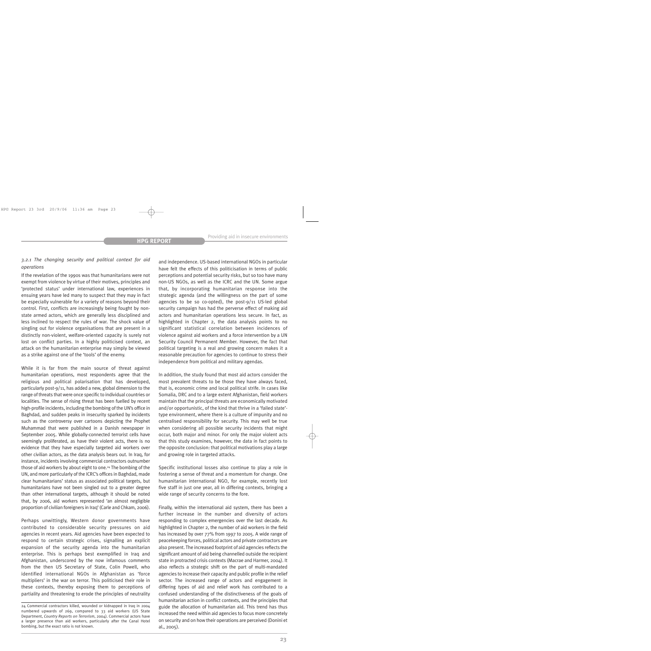# *3.2.1 The changing security and political context for aid operations*

If the revelation of the 1990s was that humanitarians were not exempt from violence by virtue of their motives, principles and 'protected status' under international law, experiences in ensuing years have led many to suspect that they may in fact be especially vulnerable for a variety of reasons beyond their control. First, conflicts are increasingly being fought by nonstate armed actors, which are generally less disciplined and less inclined to respect the rules of war. The shock value of singling out for violence organisations that are present in a distinctly non-violent, welfare-oriented capacity is surely not lost on conflict parties. In a highly politicised context, an attack on the humanitarian enterprise may simply be viewed as a strike against one of the 'tools' of the enemy.

While it is far from the main source of threat against humanitarian operations, most respondents agree that the religious and political polarisation that has developed, particularly post-9/11, has added a new, global dimension to the range of threats that were once specific to individual countries or localities. The sense of rising threat has been fuelled by recent high-profile incidents, including the bombing of the UN's office in Baghdad, and sudden peaks in insecurity sparked by incidents such as the controversy over cartoons depicting the Prophet Muhammad that were published in a Danish newspaper in September 2005. While globally-connected terrorist cells have seemingly proliferated, as have their violent acts, there is no evidence that they have especially targeted aid workers over other civilian actors, as the data analysis bears out. In Iraq, for instance, incidents involving commercial contractors outnumber those of aid workers by about eight to one.24 The bombing of the UN, and more particularly of the ICRC's offices in Baghdad, made clear humanitarians' status as associated political targets, but humanitarians have not been singled out to a greater degree than other international targets, although it should be noted that, by 2006, aid workers represented 'an almost negligible proportion of civilian foreigners in Iraq' (Carle and Chkam, 2006).

Perhaps unwittingly, Western donor governments have contributed to considerable security pressures on aid agencies in recent years. Aid agencies have been expected to respond to certain strategic crises, signalling an explicit expansion of the security agenda into the humanitarian enterprise. This is perhaps best exemplified in Iraq and Afghanistan, underscored by the now infamous comments from the then US Secretary of State, Colin Powell, who identified international NGOs in Afghanistan as 'force multipliers' in the war on terror. This politicised their role in these contexts, thereby exposing them to perceptions of partiality and threatening to erode the principles of neutrality and independence. US-based international NGOs in particular have felt the effects of this politicisation in terms of public perceptions and potential security risks, but so too have many non-US NGOs, as well as the ICRC and the UN. Some argue that, by incorporating humanitarian response into the strategic agenda (and the willingness on the part of some agencies to be so co-opted), the post-9/11 US-led global security campaign has had the perverse effect of making aid actors and humanitarian operations less secure. In fact, as highlighted in Chapter 2, the data analysis points to no significant statistical correlation between incidences of violence against aid workers and a force intervention by a UN Security Council Permanent Member. However, the fact that political targeting is a real and growing concern makes it a reasonable precaution for agencies to continue to stress their independence from political and military agendas.

In addition, the study found that most aid actors consider the most prevalent threats to be those they have always faced, that is, economic crime and local political strife. In cases like Somalia, DRC and to a large extent Afghanistan, field workers maintain that the principal threats are economically motivated and/or opportunistic, of the kind that thrive in a 'failed state' type environment, where there is a culture of impunity and no centralised responsibility for security. This may well be true when considering all possible security incidents that might occur, both major and minor. For only the major violent acts that this study examines, however, the data in fact points to the opposite conclusion: that political motivations play a large and growing role in targeted attacks.

Specific institutional losses also continue to play a role in fostering a sense of threat and a momentum for change. One humanitarian international NGO, for example, recently lost five staff in just one year, all in differing contexts, bringing a wide range of security concerns to the fore.

Finally, within the international aid system, there has been a further increase in the number and diversity of actors responding to complex emergencies over the last decade. As highlighted in Chapter 2, the number of aid workers in the field has increased by over 77% from 1997 to 2005. A wide range of peacekeeping forces, political actors and private contractors are also present. The increased footprint of aid agencies reflects the significant amount of aid being channelled outside the recipient state in protracted crisis contexts (Macrae and Harmer, 2004). It also reflects a strategic shift on the part of multi-mandated agencies to increase their capacity and public profile in the relief sector. The increased range of actors and engagement in differing types of aid and relief work has contributed to a confused understanding of the distinctiveness of the goals of humanitarian action in conflict contexts, and the principles that guide the allocation of humanitarian aid. This trend has thus increased the need within aid agencies to focus more concretely on security and on how their operations are perceived (Donini et al., 2005).

<sup>24</sup> Commercial contractors killed, wounded or kidnapped in Iraq in 2004 numbered upwards of 269, compared to 33 aid workers (US State Department, *Country Reports on Terrorism*, 2004). Commercial actors have a larger presence than aid workers, particularly after the Canal Hotel bombing, but the exact ratio is not known.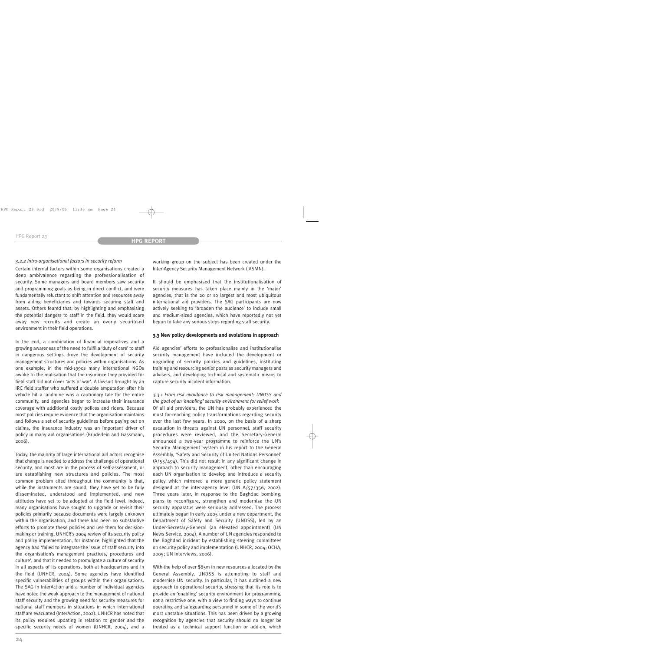#### *3.2.2 Intra-organisational factors in security reform*

Certain internal factors within some organisations created a deep ambivalence regarding the professionalisation of security. Some managers and board members saw security and programming goals as being in direct conflict, and were fundamentally reluctant to shift attention and resources away from aiding beneficiaries and towards securing staff and assets. Others feared that, by highlighting and emphasising the potential dangers to staff in the field, they would scare away new recruits and create an overly securitised environment in their field operations.

In the end, a combination of financial imperatives and a growing awareness of the need to fulfil a 'duty of care' to staff in dangerous settings drove the development of security management structures and policies within organisations. As one example, in the mid-1990s many international NGOs awoke to the realisation that the insurance they provided for field staff did not cover 'acts of war'. A lawsuit brought by an IRC field staffer who suffered a double amputation after his vehicle hit a landmine was a cautionary tale for the entire community, and agencies began to increase their insurance coverage with additional costly polices and riders. Because most policies require evidence that the organisation maintains and follows a set of security guidelines before paying out on claims, the insurance industry was an important driver of policy in many aid organisations (Bruderlein and Gassmann, 2006).

Today, the majority of large international aid actors recognise that change is needed to address the challenge of operational security, and most are in the process of self-assessment, or are establishing new structures and policies. The most common problem cited throughout the community is that, while the instruments are sound, they have yet to be fully disseminated, understood and implemented, and new attitudes have yet to be adopted at the field level. Indeed, many organisations have sought to upgrade or revisit their policies primarily because documents were largely unknown within the organisation, and there had been no substantive efforts to promote these policies and use them for decisionmaking or training. UNHCR's 2004 review of its security policy and policy implementation, for instance, highlighted that the agency had 'failed to integrate the issue of staff security into the organisation's management practices, procedures and culture', and that it needed to promulgate a culture of security in all aspects of its operations, both at headquarters and in the field (UNHCR, 2004). Some agencies have identified specific vulnerabilities of groups within their organisations. The SAG in InterAction and a number of individual agencies have noted the weak approach to the management of national staff security and the growing need for security measures for national staff members in situations in which international staff are evacuated (InterAction, 2002). UNHCR has noted that its policy requires updating in relation to gender and the specific security needs of women (UNHCR, 2004), and a working group on the subject has been created under the Inter-Agency Security Management Network (IASMN).

It should be emphasised that the institutionalisation of security measures has taken place mainly in the 'major' agencies, that is the 20 or so largest and most ubiquitous international aid providers. The SAG participants are now actively seeking to 'broaden the audience' to include small and medium-sized agencies, which have reportedly not yet begun to take any serious steps regarding staff security.

#### **3.3 New policy developments and evolutions in approach**

Aid agencies' efforts to professionalise and institutionalise security management have included the development or upgrading of security policies and guidelines, instituting training and resourcing senior posts as security managers and advisers, and developing technical and systematic means to capture security incident information.

*3.3.1 From risk avoidance to risk management: UNDSS and the goal of an 'enabling' security environment for relief work* Of all aid providers, the UN has probably experienced the most far-reaching policy transformations regarding security over the last few years. In 2000, on the basis of a sharp escalation in threats against UN personnel, staff security procedures were reviewed, and the Secretary-General announced a two-year programme to reinforce the UN's Security Management System in his report to the General Assembly, 'Safety and Security of United Nations Personnel'  $(A/55/494)$ . This did not result in any significant change in approach to security management, other than encouraging each UN organisation to develop and introduce a security policy which mirrored a more generic policy statement designed at the inter-agency level (UN A/57/356, 2002). Three years later, in response to the Baghdad bombing, plans to reconfigure, strengthen and modernise the UN security apparatus were seriously addressed. The process ultimately began in early 2005 under a new department, the Department of Safety and Security (UNDSS), led by an Under-Secretary-General (an elevated appointment) (UN News Service, 2004). A number of UN agencies responded to the Baghdad incident by establishing steering committees on security policy and implementation (UNHCR, 2004; OCHA, 2005; UN interviews, 2006).

With the help of over \$85m in new resources allocated by the General Assembly, UNDSS is attempting to staff and modernise UN security. In particular, it has outlined a new approach to operational security, stressing that its role is to provide an 'enabling' security environment for programming, not a restrictive one, with a view to finding ways to continue operating and safeguarding personnel in some of the world's most unstable situations. This has been driven by a growing recognition by agencies that security should no longer be treated as a technical support function or add-on, which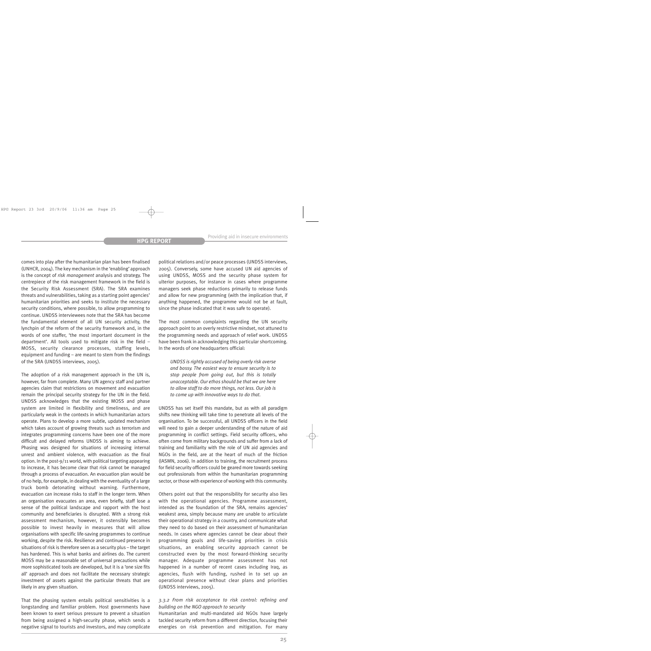comes into play after the humanitarian plan has been finalised (UNHCR, 2004). The key mechanism in the 'enabling' approach is the concept of *risk management* analysis and strategy. The centrepiece of the risk management framework in the field is the Security Risk Assessment (SRA). The SRA examines threats and vulnerabilities, taking as a starting point agencies' humanitarian priorities and seeks to institute the necessary security conditions, where possible, to allow programming to continue. UNDSS interviewees note that the SRA has become the fundamental element of all UN security activity, the lynchpin of the reform of the security framework and, in the words of one staffer, 'the most important document in the department'. All tools used to mitigate risk in the field – MOSS, security clearance processes, staffing levels, equipment and funding – are meant to stem from the findings of the SRA (UNDSS interviews, 2005).

The adoption of a risk management approach in the UN is, however, far from complete. Many UN agency staff and partner agencies claim that restrictions on movement and evacuation remain the principal security strategy for the UN in the field. UNDSS acknowledges that the existing MOSS and phase system are limited in flexibility and timeliness, and are particularly weak in the contexts in which humanitarian actors operate. Plans to develop a more subtle, updated mechanism which takes account of growing threats such as terrorism and integrates programming concerns have been one of the more difficult and delayed reforms UNDSS is aiming to achieve. Phasing was designed for situations of increasing internal unrest and ambient violence, with evacuation as the final option. In the post-9/11 world, with political targeting appearing to increase, it has become clear that risk cannot be managed through a process of evacuation. An evacuation plan would be of no help, for example, in dealing with the eventuality of a large truck bomb detonating without warning. Furthermore, evacuation can increase risks to staff in the longer term. When an organisation evacuates an area, even briefly, staff lose a sense of the political landscape and rapport with the host community and beneficiaries is disrupted. With a strong risk assessment mechanism, however, it ostensibly becomes possible to invest heavily in measures that will allow organisations with specific life-saving programmes to continue working, despite the risk. Resilience and continued presence in situations of risk is therefore seen as a security plus – the target has hardened. This is what banks and airlines do. The current MOSS may be a reasonable set of universal precautions while more sophisticated tools are developed, but it is a 'one size fits all' approach and does not facilitate the necessary strategic investment of assets against the particular threats that are likely in any given situation.

That the phasing system entails political sensitivities is a longstanding and familiar problem. Host governments have been known to exert serious pressure to prevent a situation from being assigned a high-security phase, which sends a negative signal to tourists and investors, and may complicate political relations and/or peace processes (UNDSS interviews, 2005). Conversely, some have accused UN aid agencies of using UNDSS, MOSS and the security phase system for ulterior purposes, for instance in cases where programme managers seek phase reductions primarily to release funds and allow for new programming (with the implication that, if anything happened, the programme would not be at fault, since the phase indicated that it was safe to operate).

The most common complaints regarding the UN security approach point to an overly restrictive mindset, not attuned to the programming needs and approach of relief work. UNDSS have been frank in acknowledging this particular shortcoming. In the words of one headquarters official:

*UNDSS is rightly accused of being overly risk averse and bossy. The easiest way to ensure security is to stop people from going out, but this is totally unacceptable. Our ethos should be that we are here to allow staff to do more things, not less. Our job is to come up with innovative ways to do that.*

UNDSS has set itself this mandate, but as with all paradigm shifts new thinking will take time to penetrate all levels of the organisation. To be successful, all UNDSS officers in the field will need to gain a deeper understanding of the nature of aid programming in conflict settings. Field security officers, who often come from military backgrounds and suffer from a lack of training and familiarity with the role of UN aid agencies and NGOs in the field, are at the heart of much of the friction (IASMN, 2006). In addition to training, the recruitment process for field security officers could be geared more towards seeking out professionals from within the humanitarian programming sector, or those with experience of working with this community.

Others point out that the responsibility for security also lies with the operational agencies. Programme assessment, intended as the foundation of the SRA, remains agencies' weakest area, simply because many are unable to articulate their operational strategy in a country, and communicate what they need to do based on their assessment of humanitarian needs. In cases where agencies cannot be clear about their programming goals and life-saving priorities in crisis situations, an enabling security approach cannot be constructed even by the most forward-thinking security manager. Adequate programme assessment has not happened in a number of recent cases including Iraq, as agencies, flush with funding, rushed in to set up an operational presence without clear plans and priorities (UNDSS interviews, 2005).

## *3.3.2 From risk acceptance to risk control: refining and building on the NGO approach to security*

Humanitarian and multi-mandated aid NGOs have largely tackled security reform from a different direction, focusing their energies on risk prevention and mitigation. For many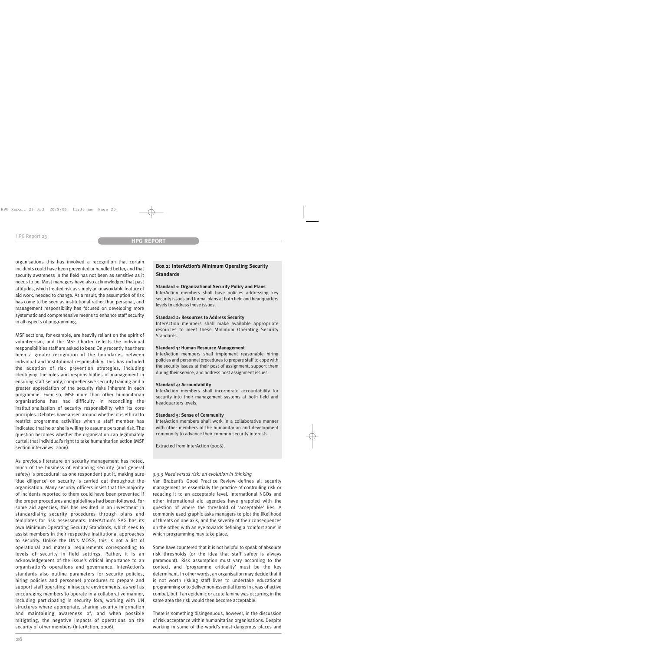organisations this has involved a recognition that certain incidents could have been prevented or handled better, and that security awareness in the field has not been as sensitive as it needs to be. Most managers have also acknowledged that past attitudes, which treated risk as simply an unavoidable feature of aid work, needed to change. As a result, the assumption of risk has come to be seen as institutional rather than personal, and management responsibility has focused on developing more systematic and comprehensive means to enhance staff security in all aspects of programming.

MSF sections, for example, are heavily reliant on the spirit of volunteerism, and the MSF Charter reflects the individual responsibilities staff are asked to bear. Only recently has there been a greater recognition of the boundaries between individual and institutional responsibility. This has included the adoption of risk prevention strategies, including identifying the roles and responsibilities of management in ensuring staff security, comprehensive security training and a greater appreciation of the security risks inherent in each programme. Even so, MSF more than other humanitarian organisations has had difficulty in reconciling the institutionalisation of security responsibility with its core principles. Debates have arisen around whether it is ethical to restrict programme activities when a staff member has indicated that he or she is willing to assume personal risk. The question becomes whether the organisation can legitimately curtail that individual's right to take humanitarian action (MSF section interviews, 2006).

As previous literature on security management has noted, much of the business of enhancing security (and general safety) is procedural: as one respondent put it, making sure 'due diligence' on security is carried out throughout the organisation. Many security officers insist that the majority of incidents reported to them could have been prevented if the proper procedures and guidelines had been followed. For some aid agencies, this has resulted in an investment in standardising security procedures through plans and templates for risk assessments. InterAction's SAG has its own Minimum Operating Security Standards, which seek to assist members in their respective institutional approaches to security. Unlike the UN's MOSS, this is not a list of operational and material requirements corresponding to levels of security in field settings. Rather, it is an acknowledgement of the issue's critical importance to an organisation's operations and governance. InterAction's standards also outline parameters for security policies, hiring policies and personnel procedures to prepare and support staff operating in insecure environments, as well as encouraging members to operate in a collaborative manner, including participating in security fora, working with UN structures where appropriate, sharing security information and maintaining awareness of, and when possible mitigating, the negative impacts of operations on the security of other members (InterAction, 2006).

# **Box 2: InterAction's Minimum Operating Security Standards**

#### **Standard 1: Organizational Security Policy and Plans**

InterAction members shall have policies addressing key security issues and formal plans at both field and headquarters levels to address these issues.

#### **Standard 2: Resources to Address Security**

InterAction members shall make available appropriate resources to meet these Minimum Operating Security Standards.

#### **Standard 3: Human Resource Management**

InterAction members shall implement reasonable hiring policies and personnel procedures to prepare staff to cope with the security issues at their post of assignment, support them during their service, and address post assignment issues.

#### **Standard 4: Accountability**

InterAction members shall incorporate accountability for security into their management systems at both field and headquarters levels.

#### **Standard 5: Sense of Community**

InterAction members shall work in a collaborative manner with other members of the humanitarian and development community to advance their common security interests.

Extracted from InterAction (2006).

#### *3.3.3 Need versus risk: an evolution in thinking*

Van Brabant's Good Practice Review defines all security management as essentially the practice of controlling risk or reducing it to an acceptable level. International NGOs and other international aid agencies have grappled with the question of where the threshold of 'acceptable' lies. A commonly used graphic asks managers to plot the likelihood of threats on one axis, and the severity of their consequences on the other, with an eye towards defining a 'comfort zone' in which programming may take place.

Some have countered that it is not helpful to speak of absolute risk thresholds (or the idea that staff safety is always paramount). Risk assumption must vary according to the context, and 'programme criticality' must be the key determinant. In other words, an organisation may decide that it is not worth risking staff lives to undertake educational programming or to deliver non-essential items in areas of active combat, but if an epidemic or acute famine was occurring in the same area the risk would then become acceptable.

There is something disingenuous, however, in the discussion of risk acceptance within humanitarian organisations. Despite working in some of the world's most dangerous places and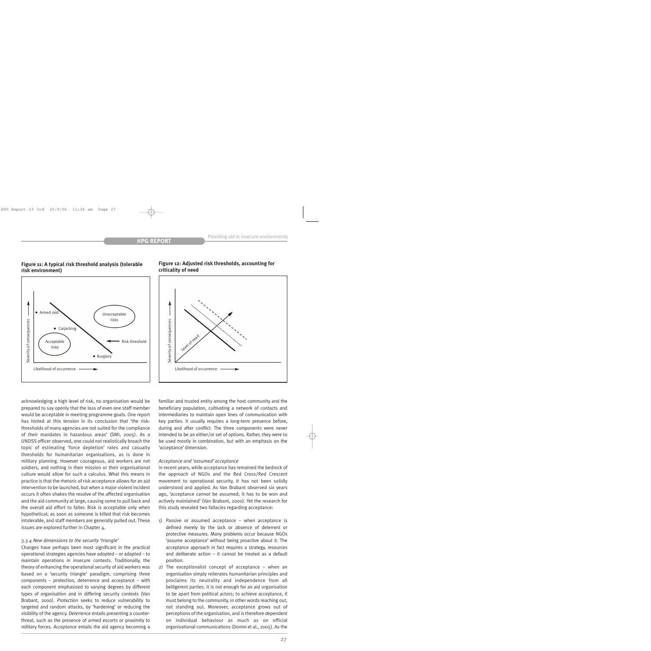

### **Figure 11: A typical risk threshold analysis (tolerable risk environment)**

acknowledging a high level of risk, no organisation would be prepared to say openly that the loss of even one staff member would be acceptable in meeting programme goals. One report has hinted at this tension in its conclusion that 'the riskthresholds of many agencies are not suited for the compliance of their mandates in hazardous areas' (SMI, 2005). As a UNDSS officer observed, one could not realistically broach the topic of estimating 'force depletion' rates and casualty thresholds for humanitarian organisations, as is done in military planning. However courageous, aid workers are not soldiers, and nothing in their mission or their organisational culture would allow for such a calculus. What this means in practice is that the rhetoric of risk acceptance allows for an aid intervention to be launched, but when a major violent incident occurs it often shakes the resolve of the affected organisation and the aid community at large, causing some to pull back and the overall aid effort to falter. Risk is acceptable only when hypothetical; as soon as someone is killed that risk becomes intolerable, and staff members are generally pulled out. These issues are explored further in Chapter 4.

#### *3.3.4 New dimensions to the security 'triangle'*

Changes have perhaps been most significant in the practical operational strategies agencies have adopted – or adapted – to maintain operations in insecure contexts. Traditionally, the theory of enhancing the operational security of aid workers was based on a 'security triangle' paradigm, comprising three components – protection, deterrence and acceptance – with each component emphasised to varying degrees by different types of organisation and in differing security contexts (Van Brabant, 2000). *Protection* seeks to reduce vulnerability to targeted and random attacks, by 'hardening' or reducing the visibility of the agency. *Deterrence* entails presenting a counterthreat, such as the presence of armed escorts or proximity to military forces. *Acceptance* entails the aid agency becoming a



**Figure 12: Adjusted risk thresholds, accounting for criticality of need**

familiar and trusted entity among the host community and the beneficiary population, cultivating a network of contacts and intermediaries to maintain open lines of communication with key parties. It usually requires a long-term presence before, during and after conflict. The three components were never intended to be an either/or set of options. Rather, they were to be used mostly in combination, but with an emphasis on the 'acceptance' dimension.

#### *Acceptance and 'assumed' acceptance*

In recent years, while acceptance has remained the bedrock of the approach of NGOs and the Red Cross/Red Crescent movement to operational security, it has not been solidly understood and applied. As Van Brabant observed six years ago, 'acceptance cannot be assumed; it has to be won and actively maintained' (Van Brabant, 2000). Yet the research for this study revealed two fallacies regarding acceptance:

- 1) Passive or assumed acceptance when acceptance is defined merely by the lack or absence of deterrent or protective measures. Many problems occur because NGOs 'assume acceptance' without being proactive about it. The acceptance approach in fact requires a strategy, resources and deliberate action – it cannot be treated as a default position.
- 2) The exceptionalist concept of acceptance when an organisation simply reiterates humanitarian principles and proclaims its neutrality and independence from all belligerent parties. It is not enough for an aid organisation to be apart from political actors; to achieve acceptance, it must belong to the community, in other words reaching out, not standing out. Moreover, acceptance grows out of perceptions of the organisation, and is therefore dependent on individual behaviour as much as on official organisational communications (Donini et al., 2005). As the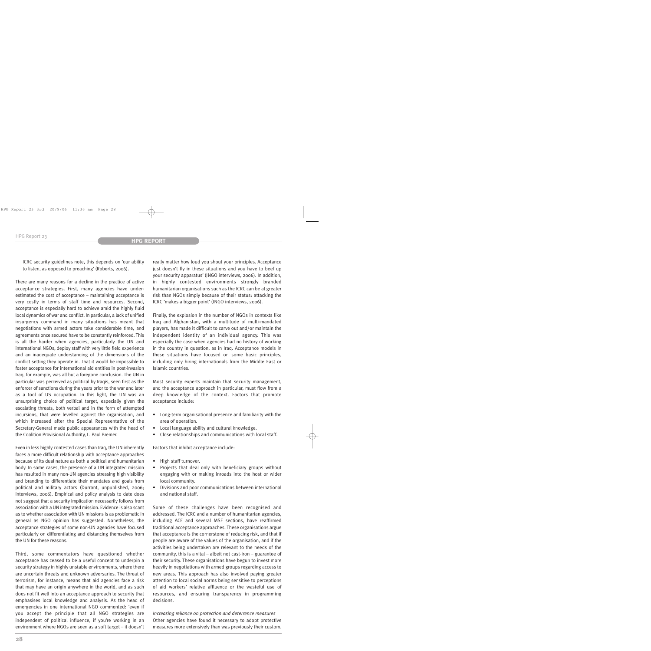ICRC security guidelines note, this depends on 'our ability to listen, as opposed to preaching' (Roberts, 2006).

There are many reasons for a decline in the practice of active acceptance strategies. First, many agencies have underestimated the cost of acceptance – maintaining acceptance is very costly in terms of staff time and resources. Second, acceptance is especially hard to achieve amid the highly fluid local dynamics of war and conflict. In particular, a lack of unified insurgency command in many situations has meant that negotiations with armed actors take considerable time, and agreements once secured have to be constantly reinforced. This is all the harder when agencies, particularly the UN and international NGOs, deploy staff with very little field experience and an inadequate understanding of the dimensions of the conflict setting they operate in. That it would be impossible to foster acceptance for international aid entities in post-invasion Iraq, for example, was all but a foregone conclusion. The UN in particular was perceived as political by Iraqis, seen first as the enforcer of sanctions during the years prior to the war and later as a tool of US occupation. In this light, the UN was an unsurprising choice of political target, especially given the escalating threats, both verbal and in the form of attempted incursions, that were levelled against the organisation, and which increased after the Special Representative of the Secretary-General made public appearances with the head of the Coalition Provisional Authority, L. Paul Bremer.

Even in less highly contested cases than Iraq, the UN inherently faces a more difficult relationship with acceptance approaches because of its dual nature as both a political and humanitarian body. In some cases, the presence of a UN integrated mission has resulted in many non-UN agencies stressing high visibility and branding to differentiate their mandates and goals from political and military actors (Durrant, unpublished, 2006; interviews, 2006). Empirical and policy analysis to date does not suggest that a security implication necessarily follows from association with a UN integrated mission. Evidence is also scant as to whether association with UN missions is as problematic in general as NGO opinion has suggested. Nonetheless, the acceptance strategies of some non-UN agencies have focused particularly on differentiating and distancing themselves from the UN for these reasons.

Third, some commentators have questioned whether acceptance has ceased to be a useful concept to underpin a security strategy in highly unstable environments, where there are uncertain threats and unknown adversaries. The threat of terrorism, for instance, means that aid agencies face a risk that may have an origin anywhere in the world, and as such does not fit well into an acceptance approach to security that emphasises local knowledge and analysis. As the head of emergencies in one international NGO commented: 'even if you accept the principle that all NGO strategies are independent of political influence, if you're working in an environment where NGOs are seen as a soft target – it doesn't

really matter how loud you shout your principles. Acceptance just doesn't fly in these situations and you have to beef up your security apparatus' (INGO interviews, 2006). In addition, in highly contested environments strongly branded humanitarian organisations such as the ICRC can be at greater risk than NGOs simply because of their status: attacking the ICRC 'makes a bigger point' (INGO interviews, 2006).

Finally, the explosion in the number of NGOs in contexts like Iraq and Afghanistan, with a multitude of multi-mandated players, has made it difficult to carve out and/or maintain the independent identity of an individual agency. This was especially the case when agencies had no history of working in the country in question, as in Iraq. Acceptance models in these situations have focused on some basic principles, including only hiring internationals from the Middle East or Islamic countries.

Most security experts maintain that security management, and the acceptance approach in particular, must flow from a deep knowledge of the context. Factors that promote acceptance include:

- Long-term organisational presence and familiarity with the area of operation.
- Local language ability and cultural knowledge.
- Close relationships and communications with local staff.

Factors that inhibit acceptance include:

- High staff turnover.
- Projects that deal only with beneficiary groups without engaging with or making inroads into the host or wider local community.
- Divisions and poor communications between international and national staff.

Some of these challenges have been recognised and addressed. The ICRC and a number of humanitarian agencies, including ACF and several MSF sections, have reaffirmed traditional acceptance approaches. These organisations argue that acceptance is the cornerstone of reducing risk, and that if people are aware of the values of the organisation, and if the activities being undertaken are relevant to the needs of the community, this is a vital – albeit not cast-iron – guarantee of their security. These organisations have begun to invest more heavily in negotiations with armed groups regarding access to new areas. This approach has also involved paying greater attention to local social norms being sensitive to perceptions of aid workers' relative affluence or the wasteful use of resources, and ensuring transparency in programming decisions.

*Increasing reliance on protection and deterrence measures* Other agencies have found it necessary to adopt protective measures more extensively than was previously their custom.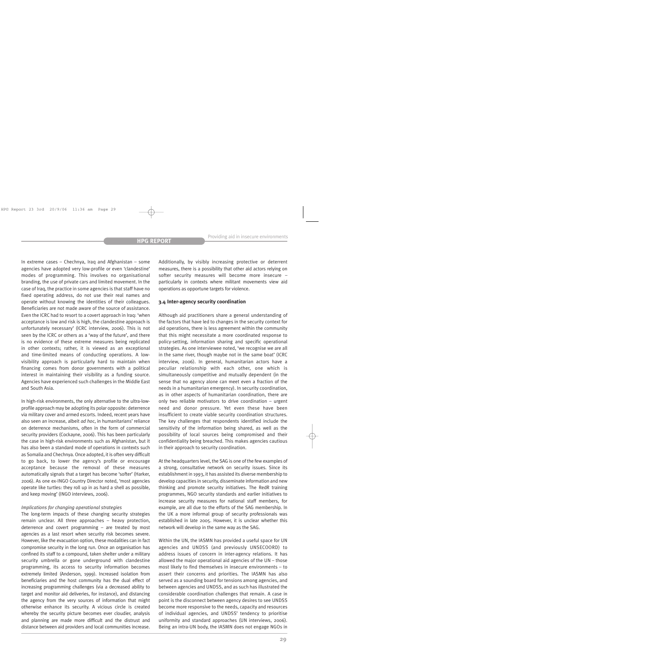In extreme cases – Chechnya, Iraq and Afghanistan – some agencies have adopted very low-profile or even 'clandestine' modes of programming. This involves no organisational branding, the use of private cars and limited movement. In the case of Iraq, the practice in some agencies is that staff have no fixed operating address, do not use their real names and operate without knowing the identities of their colleagues. Beneficiaries are not made aware of the source of assistance. Even the ICRC had to resort to a covert approach in Iraq: 'when acceptance is low and risk is high, the clandestine approach is unfortunately necessary' (ICRC interview, 2006). This is not seen by the ICRC or others as a 'way of the future', and there is no evidence of these extreme measures being replicated in other contexts; rather, it is viewed as an exceptional and time-limited means of conducting operations. A lowvisibility approach is particularly hard to maintain when financing comes from donor governments with a political interest in maintaining their visibility as a funding source. Agencies have experienced such challenges in the Middle East and South Asia.

In high-risk environments, the only alternative to the ultra-lowprofile approach may be adopting its polar opposite: deterrence via military cover and armed escorts. Indeed, recent years have also seen an increase, albeit *ad hoc*, in humanitarians' reliance on deterrence mechanisms, often in the form of commercial security providers (Cockayne, 2006). This has been particularly the case in high-risk environments such as Afghanistan, but it has also been a standard mode of operations in contexts such as Somalia and Chechnya. Once adopted, it is often very difficult to go back, to lower the agency's profile or encourage acceptance because the removal of these measures automatically signals that a target has become 'softer' (Harker, 2006). As one ex-INGO Country Director noted, 'most agencies operate like turtles: they roll up in as hard a shell as possible, and keep moving' (INGO interviews, 2006).

#### *Implications for changing operational strategies*

The long-term impacts of these changing security strategies remain unclear. All three approaches – heavy protection, deterrence and covert programming – are treated by most agencies as a last resort when security risk becomes severe. However, like the evacuation option, these modalities can in fact compromise security in the long run. Once an organisation has confined its staff to a compound, taken shelter under a military security umbrella or gone underground with clandestine programming, its access to security information becomes extremely limited (Anderson, 1999). Increased isolation from beneficiaries and the host community has the dual effect of increasing programming challenges (via a decreased ability to target and monitor aid deliveries, for instance), and distancing the agency from the very sources of information that might otherwise enhance its security. A vicious circle is created whereby the security picture becomes ever cloudier, analysis and planning are made more difficult and the distrust and distance between aid providers and local communities increase.

Additionally, by visibly increasing protective or deterrent measures, there is a possibility that other aid actors relying on softer security measures will become more insecure – particularly in contexts where militant movements view aid operations as opportune targets for violence.

#### **3.4 Inter-agency security coordination**

Although aid practitioners share a general understanding of the factors that have led to changes in the security context for aid operations, there is less agreement within the community that this might necessitate a more coordinated response to policy-setting, information sharing and specific operational strategies. As one interviewee noted, 'we recognise we are all in the same river, though maybe not in the same boat' (ICRC interview, 2006). In general, humanitarian actors have a peculiar relationship with each other, one which is simultaneously competitive and mutually dependent (in the sense that no agency alone can meet even a fraction of the needs in a humanitarian emergency). In security coordination, as in other aspects of humanitarian coordination, there are only two reliable motivators to drive coordination – urgent need and donor pressure. Yet even these have been insufficient to create viable security coordination structures. The key challenges that respondents identified include the sensitivity of the information being shared, as well as the possibility of local sources being compromised and their confidentiality being breached. This makes agencies cautious in their approach to security coordination.

At the headquarters level, the SAG is one of the few examples of a strong, consultative network on security issues. Since its establishment in 1993, it has assisted its diverse membership to develop capacities in security, disseminate information and new thinking and promote security initiatives. The RedR training programmes, NGO security standards and earlier initiatives to increase security measures for national staff members, for example, are all due to the efforts of the SAG membership. In the UK a more informal group of security professionals was established in late 2005. However, it is unclear whether this network will develop in the same way as the SAG.

Within the UN, the IASMN has provided a useful space for UN agencies and UNDSS (and previously UNSECOORD) to address issues of concern in inter-agency relations. It has allowed the major operational aid agencies of the UN – those most likely to find themselves in insecure environments – to assert their concerns and priorities. The IASMN has also served as a sounding board for tensions among agencies, and between agencies and UNDSS, and as such has illustrated the considerable coordination challenges that remain. A case in point is the disconnect between agency desires to see UNDSS become more responsive to the needs, capacity and resources of individual agencies, and UNDSS' tendency to prioritise uniformity and standard approaches (UN interviews, 2006). Being an intra-UN body, the IASMN does not engage NGOs in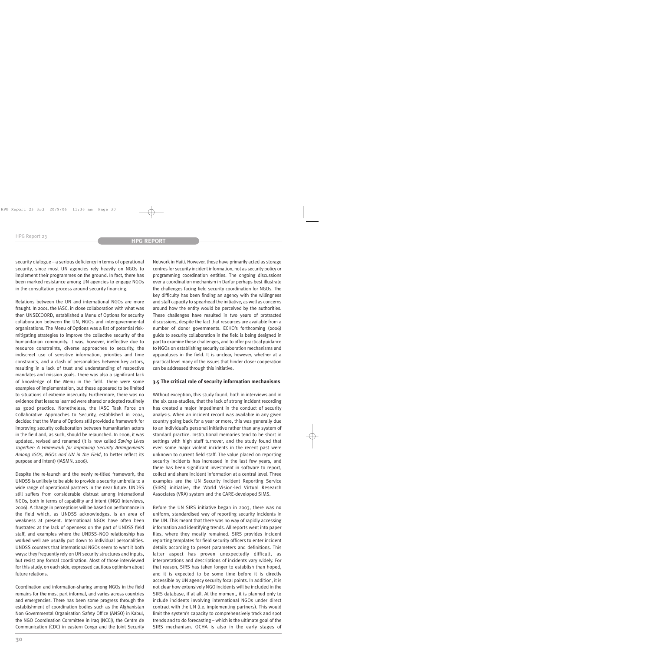security dialogue – a serious deficiency in terms of operational security, since most UN agencies rely heavily on NGOs to implement their programmes on the ground. In fact, there has been marked resistance among UN agencies to engage NGOs in the consultation process around security financing.

Relations between the UN and international NGOs are more fraught. In 2001, the IASC, in close collaboration with what was then UNSECOORD, established a Menu of Options for security collaboration between the UN, NGOs and inter-governmental organisations. The Menu of Options was a list of potential riskmitigating strategies to improve the collective security of the humanitarian community. It was, however, ineffective due to resource constraints, diverse approaches to security, the indiscreet use of sensitive information, priorities and time constraints, and a clash of personalities between key actors, resulting in a lack of trust and understanding of respective mandates and mission goals. There was also a significant lack of knowledge of the Menu in the field. There were some examples of implementation, but these appeared to be limited to situations of extreme insecurity. Furthermore, there was no evidence that lessons learned were shared or adopted routinely as good practice. Nonetheless, the IASC Task Force on Collaborative Approaches to Security, established in 2004, decided that the Menu of Options still provided a framework for improving security collaboration between humanitarian actors in the field and, as such, should be relaunched. In 2006, it was updated, revised and renamed (it is now called *Saving Lives Together: A Framework for Improving Security Arrangements Among IGOs, NGOs and UN in the Field*, to better reflect its purpose and intent) (IASMN, 2006).

Despite the re-launch and the newly re-titled framework, the UNDSS is unlikely to be able to provide a security umbrella to a wide range of operational partners in the near future. UNDSS still suffers from considerable distrust among international NGOs, both in terms of capability and intent (INGO interviews, 2006). A change in perceptions will be based on performance in the field which, as UNDSS acknowledges, is an area of weakness at present. International NGOs have often been frustrated at the lack of openness on the part of UNDSS field staff, and examples where the UNDSS–NGO relationship has worked well are usually put down to individual personalities. UNDSS counters that international NGOs seem to want it both ways: they frequently rely on UN security structures and inputs, but resist any formal coordination. Most of those interviewed for this study, on each side, expressed cautious optimism about future relations.

Coordination and information-sharing among NGOs in the field remains for the most part informal, and varies across countries and emergencies. There has been some progress through the establishment of coordination bodies such as the Afghanistan Non Governmental Organisation Safety Office (ANSO) in Kabul, the NGO Coordination Committee in Iraq (NCCI), the Centre de Communication (CDC) in eastern Congo and the Joint Security Network in Haiti. However, these have primarily acted as storage centres for security incident information, not as security policy or programming coordination entities. The ongoing discussions over a coordination mechanism in Darfur perhaps best illustrate the challenges facing field security coordination for NGOs. The key difficulty has been finding an agency with the willingness and staff capacity to spearhead the initiative, as well as concerns around how the entity would be perceived by the authorities. These challenges have resulted in two years of protracted discussions, despite the fact that resources are available from a number of donor governments. ECHO's forthcoming (2006) guide to security collaboration in the field is being designed in part to examine these challenges, and to offer practical guidance to NGOs on establishing security collaboration mechanisms and apparatuses in the field. It is unclear, however, whether at a practical level many of the issues that hinder closer cooperation can be addressed through this initiative.

#### **3.5 The critical role of security information mechanisms**

Without exception, this study found, both in interviews and in the six case-studies, that the lack of strong incident recording has created a major impediment in the conduct of security analysis. When an incident record was available in any given country going back for a year or more, this was generally due to an individual's personal initiative rather than any system of standard practice. Institutional memories tend to be short in settings with high staff turnover, and the study found that even some major violent incidents in the recent past were unknown to current field staff. The value placed on reporting security incidents has increased in the last few years, and there has been significant investment in software to report, collect and share incident information at a central level. Three examples are the UN Security Incident Reporting Service (SIRS) initiative, the World Vision-led Virtual Research Associates (VRA) system and the CARE-developed SIMS.

Before the UN SIRS initiative began in 2003, there was no uniform, standardised way of reporting security incidents in the UN. This meant that there was no way of rapidly accessing information and identifying trends. All reports went into paper files, where they mostly remained. SIRS provides incident reporting templates for field security officers to enter incident details according to preset parameters and definitions. This latter aspect has proven unexpectedly difficult, as interpretations and descriptions of incidents vary widely. For that reason, SIRS has taken longer to establish than hoped, and it is expected to be some time before it is directly accessible by UN agency security focal points. In addition, it is not clear how extensively NGO incidents will be included in the SIRS database, if at all. At the moment, it is planned only to include incidents involving international NGOs under direct contract with the UN (i.e. implementing partners). This would limit the system's capacity to comprehensively track and spot trends and to do forecasting – which is the ultimate goal of the SIRS mechanism. OCHA is also in the early stages of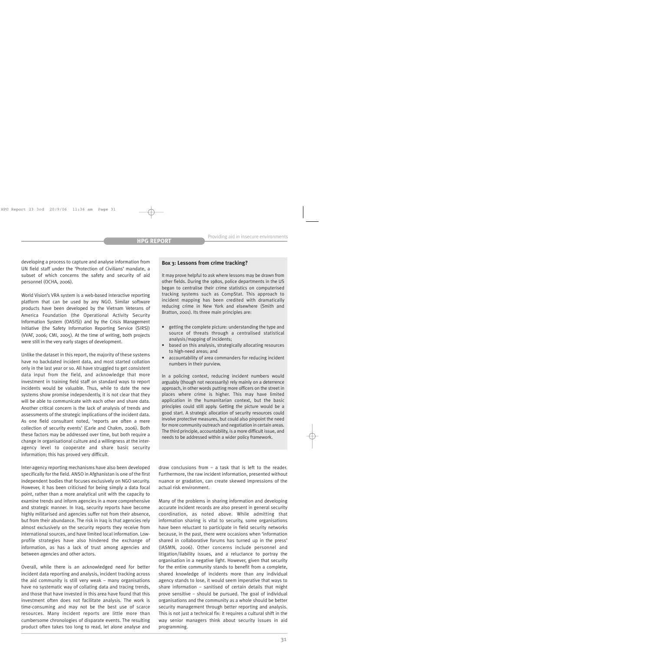developing a process to capture and analyse information from UN field staff under the 'Protection of Civilians' mandate, a subset of which concerns the safety and security of aid personnel (OCHA, 2006).

World Vision's VRA system is a web-based interactive reporting platform that can be used by any NGO. Similar software products have been developed by the Vietnam Veterans of America Foundation (the Operational Activity Security Information System (OASIS)) and by the Crisis Management Initiative (the Safety Information Reporting Service (SIRS)) (VVAF, 2006; CMI, 2005). At the time of writing, both projects were still in the very early stages of development.

Unlike the dataset in this report, the majority of these systems have no backdated incident data, and most started collation only in the last year or so. All have struggled to get consistent data input from the field, and acknowledge that more investment in training field staff on standard ways to report incidents would be valuable. Thus, while to date the new systems show promise independently, it is not clear that they will be able to communicate with each other and share data. Another critical concern is the lack of analysis of trends and assessments of the strategic implications of the incident data. As one field consultant noted, 'reports are often a mere collection of security events' (Carle and Chakm, 2006). Both these factors may be addressed over time, but both require a change in organisational culture and a willingness at the interagency level to cooperate and share basic security information; this has proved very difficult.

Inter-agency reporting mechanisms have also been developed specifically for the field. ANSO in Afghanistan is one of the first independent bodies that focuses exclusively on NGO security. However, it has been criticised for being simply a data focal point, rather than a more analytical unit with the capacity to examine trends and inform agencies in a more comprehensive and strategic manner. In Iraq, security reports have become highly militarised and agencies suffer not from their absence, but from their abundance. The risk in Iraq is that agencies rely almost exclusively on the security reports they receive from international sources, and have limited local information. Lowprofile strategies have also hindered the exchange of information, as has a lack of trust among agencies and between agencies and other actors.

Overall, while there is an acknowledged need for better incident data reporting and analysis, incident tracking across the aid community is still very weak – many organisations have no systematic way of collating data and tracing trends, and those that have invested in this area have found that this investment often does not facilitate analysis. The work is time-consuming and may not be the best use of scarce resources. Many incident reports are little more than cumbersome chronologies of disparate events. The resulting product often takes too long to read, let alone analyse and

#### **Box 3: Lessons from crime tracking?**

It may prove helpful to ask where lessons may be drawn from other fields. During the 1980s, police departments in the US began to centralise their crime statistics on computerised tracking systems such as CompStat. This approach to incident mapping has been credited with dramatically reducing crime in New York and elsewhere (Smith and Bratton, 2001). Its three main principles are:

- getting the complete picture: understanding the type and source of threats through a centralised statistical analysis/mapping of incidents;
- based on this analysis, strategically allocating resources to high-need areas; and
- accountability of area commanders for reducing incident numbers in their purview.

In a policing context, reducing incident numbers would arguably (though not necessarily) rely mainly on a deterrence approach, in other words putting more officers on the street in places where crime is higher. This may have limited application in the humanitarian context, but the basic principles could still apply. Getting the picture would be a good start. A strategic allocation of security resources could involve protective measures, but could also pinpoint the need for more community outreach and negotiation in certain areas. The third principle, accountability, is a more difficult issue, and needs to be addressed within a wider policy framework.

draw conclusions from – a task that is left to the reader. Furthermore, the raw incident information, presented without nuance or gradation, can create skewed impressions of the actual risk environment.

Many of the problems in sharing information and developing accurate incident records are also present in general security coordination, as noted above. While admitting that information sharing is vital to security, some organisations have been reluctant to participate in field security networks because, in the past, there were occasions when 'information shared in collaborative forums has turned up in the press' (IASMN, 2006). Other concerns include personnel and litigation/liability issues, and a reluctance to portray the organisation in a negative light. However, given that security for the entire community stands to benefit from a complete, shared knowledge of incidents more than any individual agency stands to lose, it would seem imperative that ways to share information – sanitised of certain details that might prove sensitive – should be pursued. The goal of individual organisations and the community as a whole should be better security management through better reporting and analysis. This is not just a technical fix: it requires a cultural shift in the way senior managers think about security issues in aid programming.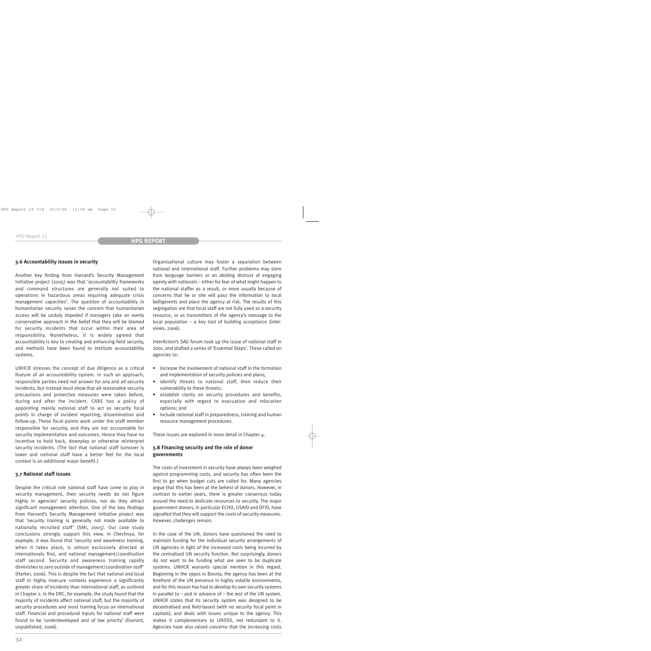### **3.6 Accountability issues in security**

Another key finding from Harvard's Security Management Initiative project (2005) was that 'accountability frameworks and command structures are generally not suited to operations in hazardous areas requiring adequate crisis management capacities'. The question of accountability in humanitarian security raises the concern that humanitarian access will be unduly impeded if managers take an overly conservative approach in the belief that they will be blamed for security incidents that occur within their area of responsibility. Nonetheless, it is widely agreed that accountability is key to creating and enhancing field security, and methods have been found to institute accountability systems.

UNHCR stresses the concept of due diligence as a critical feature of an accountability system. In such an approach, responsible parties need not answer for any and all security incidents, but instead must show that all reasonable security precautions and protective measures were taken before, during and after the incident. CARE has a policy of appointing mainly national staff to act as security focal points in charge of incident reporting, dissemination and follow-up. These focal points work under the staff member responsible for security, and they are not accountable for security implementation and outcomes. Hence they have no incentive to hold back, downplay or otherwise reinterpret security incidents. (The fact that national staff turnover is lower and national staff have a better feel for the local context is an additional major benefit.)

#### **3.7 National staff issues**

Despite the critical role national staff have come to play in security management, their security needs do not figure highly in agencies' security policies, nor do they attract significant management attention. One of the key findings from Harvard's Security Management Initiative project was that 'security training is generally not made available to nationally recruited staff' (SMI, 2005). Our case study conclusions strongly support this view. In Chechnya, for example, it was found that 'security and awareness training, when it takes place, is almost exclusively directed at internationals first, and national management/coordination staff second. Security and awareness training rapidly diminishes to zero outside of management/coordination staff' (Harker, 2006). This is despite the fact that national and local staff in highly insecure contexts experience a significantly greater share of incidents than international staff, as outlined in Chapter 2. In the DRC, for example, the study found that the majority of incidents affect national staff, but the majority of security procedures and most training focus on international staff. Financial and procedural inputs for national staff were found to be 'underdeveloped and of low priority' (Durrant, unpublished, 2006).

Organisational culture may foster a separation between national and international staff. Further problems may stem from language barriers or an abiding distrust of engaging openly with nationals – either for fear of what might happen to the national staffer as a result, or more usually because of concerns that he or she will pass the information to local belligerents and place the agency at risk. The results of this segregation are that local staff are not fully used as a security resource, or as transmitters of the agency's message to the local population – a key tool of building acceptance (interviews, 2006).

InterAction's SAG forum took up the issue of national staff in 2001, and drafted a series of 'Essential Steps'. These called on agencies to:

- increase the involvement of national staff in the formation and implementation of security policies and plans;
- identify threats to national staff, then reduce their vulnerability to these threats;
- establish clarity on security procedures and benefits, especially with regard to evacuation and relocation options; and
- include national staff in preparedness, training and human resource management procedures.

These issues are explored in more detail in Chapter 4.

### **3.8 Financing security and the role of donor governments**

The costs of investment in security have always been weighed against programming costs, and security has often been the first to go when budget cuts are called for. Many agencies argue that this has been at the behest of donors. However, in contrast to earlier years, there is greater consensus today around the need to dedicate resources to security. The major government donors, in particular ECHO, USAID and DFID, have signalled that they will support the costs of security measures. However, challenges remain.

In the case of the UN, donors have questioned the need to maintain funding for the individual security arrangements of UN agencies in light of the increased costs being incurred by the centralised UN security function. Not surprisingly, donors do not want to be funding what are seen to be duplicate systems. UNHCR warrants special mention in this regard. Beginning in the 1990s in Bosnia, the agency has been at the forefront of the UN presence in highly volatile environments, and for this reason has had to develop its own security systems in parallel to – and in advance of – the rest of the UN system. UNHCR states that its security system was designed to be decentralised and field-based (with no security focal point in capitals), and deals with issues unique to the agency. This makes it complementary to UNDSS, not redundant to it. Agencies have also raised concerns that the increasing costs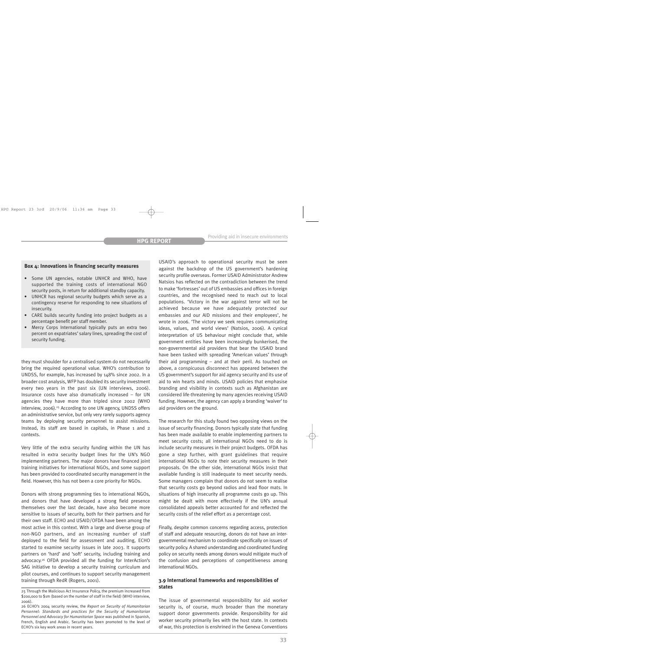#### **Box 4: Innovations in financing security measures**

- Some UN agencies, notable UNHCR and WHO, have supported the training costs of international NGO security posts, in return for additional standby capacity.
- UNHCR has regional security budgets which serve as a contingency reserve for responding to new situations of insecurity.
- CARE builds security funding into project budgets as a percentage benefit per staff member.
- Mercy Corps International typically puts an extra two percent on expatriates' salary lines, spreading the cost of security funding.

they must shoulder for a centralised system do not necessarily bring the required operational value. WHO's contribution to UNDSS, for example, has increased by 148% since 2002. In a broader cost analysis, WFP has doubled its security investment every two years in the past six (UN interviews, 2006). Insurance costs have also dramatically increased – for UN agencies they have more than tripled since 2002 (WHO interview, 2006).<sup>25</sup> According to one UN agency, UNDSS offers an administrative service, but only very rarely supports agency teams by deploying security personnel to assist missions. Instead, its staff are based in capitals, in Phase 1 and 2 contexts.

Very little of the extra security funding within the UN has resulted in extra security budget lines for the UN's NGO implementing partners. The major donors have financed joint training initiatives for international NGOs, and some support has been provided to coordinated security management in the field. However, this has not been a core priority for NGOs.

Donors with strong programming ties to international NGOs, and donors that have developed a strong field presence themselves over the last decade, have also become more sensitive to issues of security, both for their partners and for their own staff. ECHO and USAID/OFDA have been among the most active in this context. With a large and diverse group of non-NGO partners, and an increasing number of staff deployed to the field for assessment and auditing, ECHO started to examine security issues in late 2003. It supports partners on 'hard' and 'soft' security, including training and advocacy.26 OFDA provided all the funding for InterAction's SAG initiative to develop a security training curriculum and pilot courses, and continues to support security management training through RedR (Rogers, 2001).

USAID's approach to operational security must be seen against the backdrop of the US government's hardening security profile overseas. Former USAID Administrator Andrew Natsios has reflected on the contradiction between the trend to make 'fortresses' out of US embassies and offices in foreign countries, and the recognised need to reach out to local populations. 'Victory in the war against terror will not be achieved because we have adequately protected our embassies and our AID missions and their employees', he wrote in 2006. 'The victory we seek requires communicating ideas, values, and world views' (Natsios, 2006). A cynical interpretation of US behaviour might conclude that, while government entities have been increasingly bunkerised, the non-governmental aid providers that bear the USAID brand have been tasked with spreading 'American values' through their aid programming – and at their peril. As touched on above, a conspicuous disconnect has appeared between the US government's support for aid agency security and its use of aid to win hearts and minds. USAID policies that emphasise branding and visibility in contexts such as Afghanistan are considered life-threatening by many agencies receiving USAID funding. However, the agency can apply a branding 'waiver' to aid providers on the ground.

The research for this study found two opposing views on the issue of security financing. Donors typically state that funding has been made available to enable implementing partners to meet security costs; all international NGOs need to do is include security measures in their project budgets. OFDA has gone a step further, with grant guidelines that require international NGOs to note their security measures in their proposals. On the other side, international NGOs insist that available funding is still inadequate to meet security needs. Some managers complain that donors do not seem to realise that security costs go beyond radios and lead floor mats. In situations of high insecurity all programme costs go up. This might be dealt with more effectively if the UN's annual consolidated appeals better accounted for and reflected the security costs of the relief effort as a percentage cost.

Finally, despite common concerns regarding access, protection of staff and adequate resourcing, donors do not have an intergovernmental mechanism to coordinate specifically on issues of security policy. A shared understanding and coordinated funding policy on security needs among donors would mitigate much of the confusion and perceptions of competitiveness among international NGOs.

## **3.9 International frameworks and responsibilities of states**

The issue of governmental responsibility for aid worker security is, of course, much broader than the monetary support donor governments provide. Responsibility for aid worker security primarily lies with the host state. In contexts of war, this protection is enshrined in the Geneva Conventions

<sup>25</sup> Through the Malicious Act Insurance Policy, the premium increased from \$200,000 to \$1m (based on the number of staff in the field) (WHO interview, 2006).

<sup>26</sup> ECHO's 2004 security review, the *Report on Security of Humanitarian Personnel: Standards and practices for the Security of Humanitarian Personnel and Advocacy for Humanitarian Space* was published in Spanish, French, English and Arabic. Security has been promoted to the level of ECHO's six key work areas in recent years.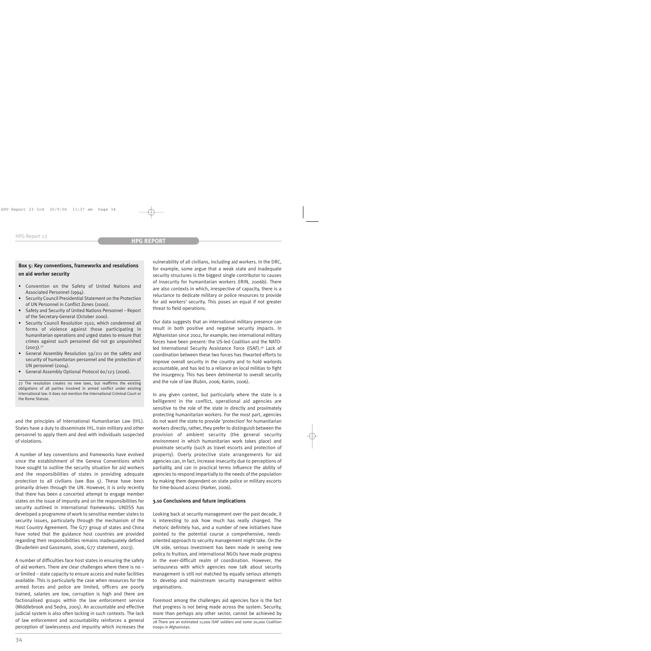# **Box 5: Key conventions, frameworks and resolutions on aid worker security**

- Convention on the Safety of United Nations and Associated Personnel (1994).
- Security Council Presidential Statement on the Protection of UN Personnel in Conflict Zones (2000).
- Safety and Security of United Nations Personnel Report of the Secretary-General (October 2000).
- Security Council Resolution 1502, which condemned all forms of violence against those participating in humanitarian operations and urged states to ensure that crimes against such personnel did not go unpunished  $(2003).^{27}$
- General Assembly Resolution 59/211 on the safety and security of humanitarian personnel and the protection of UN personnel (2004).
- General Assembly Optional Protocol 60/123 (2006).

27 The resolution creates no new laws, but reaffirms the existing obligations of all parties involved in armed conflict under existing international law. It does not mention the International Criminal Court or the Rome Statute.

and the principles of International Humanitarian Law (IHL). States have a duty to disseminate IHL, train military and other personnel to apply them and deal with individuals suspected of violations.

A number of key conventions and frameworks have evolved since the establishment of the Geneva Conventions which have sought to outline the security situation for aid workers and the responsibilities of states in providing adequate protection to all civilians (see Box 5). These have been primarily driven through the UN. However, it is only recently that there has been a concerted attempt to engage member states on the issue of impunity and on the responsibilities for security outlined in international frameworks. UNDSS has developed a programme of work to sensitise member states to security issues, particularly through the mechanism of the Host Country Agreement. The G77 group of states and China have noted that the guidance host countries are provided regarding their responsibilities remains inadequately defined (Bruderlein and Gassmann, 2006; G77 statement, 2003).

A number of difficulties face host states in ensuring the safety of aid workers. There are clear challenges where there is no – or limited – state capacity to ensure access and make facilities available. This is particularly the case when resources for the armed forces and police are limited, officers are poorly trained, salaries are low, corruption is high and there are factionalised groups within the law enforcement service (Middlebrook and Sedra, 2005). An accountable and effective judicial system is also often lacking in such contexts. The lack of law enforcement and accountability reinforces a general perception of lawlessness and impunity which increases the vulnerability of all civilians, including aid workers. In the DRC, for example, some argue that a weak state and inadequate security structures is the biggest single contributor to causes of insecurity for humanitarian workers (IRIN, 2006b). There are also contexts in which, irrespective of capacity, there is a reluctance to dedicate military or police resources to provide for aid workers' security. This poses an equal if not greater threat to field operations.

Our data suggests that an international military presence can result in both positive and negative security impacts. In Afghanistan since 2002, for example, two international military forces have been present: the US-led Coalition and the NATOled International Security Assistance Force (ISAF).<sup>28</sup> Lack of coordination between these two forces has thwarted efforts to improve overall security in the country and to hold warlords accountable, and has led to a reliance on local militias to fight the insurgency. This has been detrimental to overall security and the rule of law (Rubin, 2006; Karim, 2006).

In any given context, but particularly where the state is a belligerent in the conflict, operational aid agencies are sensitive to the role of the state in directly and proximately protecting humanitarian workers. For the most part, agencies do not want the state to provide 'protection' for humanitarian workers directly; rather, they prefer to distinguish between the provision of ambient security (the general security environment in which humanitarian work takes place) and proximate security (such as travel escorts and protection of property). Overly protective state arrangements for aid agencies can, in fact, increase insecurity due to perceptions of partiality, and can in practical terms influence the ability of agencies to respond impartially to the needs of the population by making them dependent on state police or military escorts for time-bound access (Harker, 2006).

### **3.10 Conclusions and future implications**

Looking back at security management over the past decade, it is interesting to ask how much has really changed. The rhetoric definitely has, and a number of new initiatives have pointed to the potential course a comprehensive, needsoriented approach to security management might take. On the UN side, serious investment has been made in seeing new policy to fruition, and international NGOs have made progress in the ever-difficult realm of coordination. However, the seriousness with which agencies now talk about security management is still not matched by equally serious attempts to develop and mainstream security management within organisations.

Foremost among the challenges aid agencies face is the fact that progress is not being made across the system. Security, more than perhaps any other sector, cannot be achieved by

<sup>28</sup> There are an estimated 11,000 ISAF soldiers and some 20,000 Coalition troops in Afghanistan.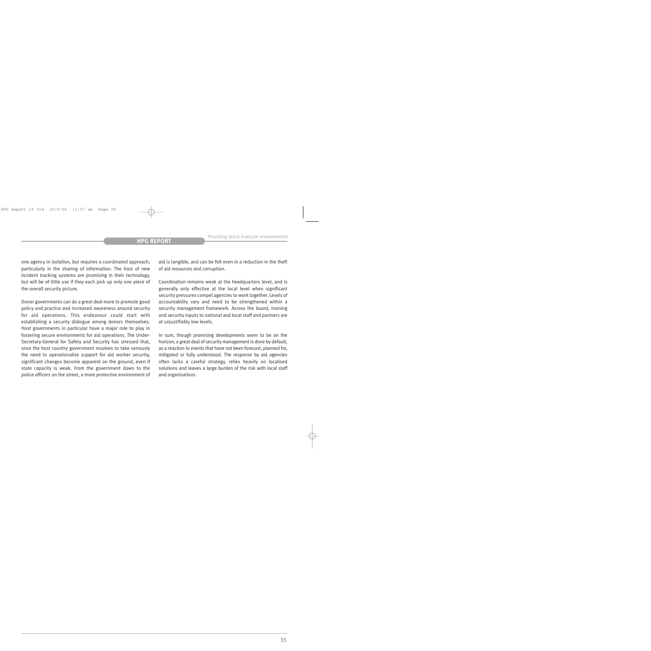one agency in isolation, but requires a coordinated approach, particularly in the sharing of information. The host of new incident tracking systems are promising in their technology, but will be of little use if they each pick up only one piece of the overall security picture.

Donor governments can do a great deal more to promote good policy and practice and increased awareness around security for aid operations. This endeavour could start with establishing a security dialogue among donors themselves. Host governments in particular have a major role to play in fostering secure environments for aid operations. The Under-Secretary-General for Safety and Security has stressed that, once the host country government resolves to take seriously the need to operationalise support for aid worker security, significant changes become apparent on the ground, even if state capacity is weak. From the government down to the police officers on the street, a more protective environment of aid is tangible, and can be felt even in a reduction in the theft of aid resources and corruption.

Coordination remains weak at the headquarters level, and is generally only effective at the local level when significant security pressures compel agencies to work together. Levels of accountability vary and need to be strengthened within a security management framework. Across the board, training and security inputs to national and local staff and partners are at unjustifiably low levels.

In sum, though promising developments seem to be on the horizon, a great deal of security management is done by default, as a reaction to events that have not been forecast, planned for, mitigated or fully understood. The response by aid agencies often lacks a careful strategy, relies heavily on localised solutions and leaves a large burden of the risk with local staff and organisations.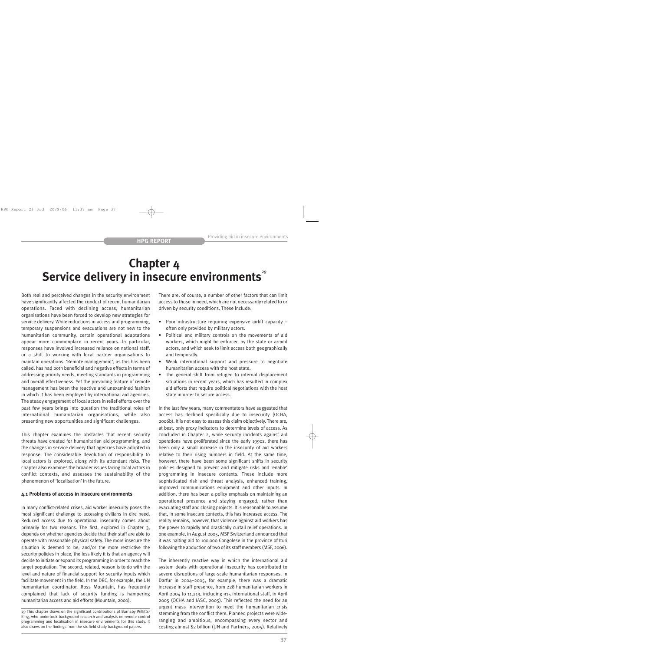# **Chapter 4** Service delivery in insecure environments<sup>29</sup>

Both real and perceived changes in the security environment have significantly affected the conduct of recent humanitarian operations. Faced with declining access, humanitarian organisations have been forced to develop new strategies for service delivery. While reductions in access and programming, temporary suspensions and evacuations are not new to the humanitarian community, certain operational adaptations appear more commonplace in recent years. In particular, responses have involved increased reliance on national staff, or a shift to working with local partner organisations to maintain operations. 'Remote management', as this has been called, has had both beneficial and negative effects in terms of addressing priority needs, meeting standards in programming and overall effectiveness. Yet the prevailing feature of remote management has been the reactive and unexamined fashion in which it has been employed by international aid agencies. The steady engagement of local actors in relief efforts over the past few years brings into question the traditional roles of international humanitarian organisations, while also presenting new opportunities and significant challenges.

This chapter examines the obstacles that recent security threats have created for humanitarian aid programming, and the changes in service delivery that agencies have adopted in response. The considerable devolution of responsibility to local actors is explored, along with its attendant risks. The chapter also examines the broader issues facing local actors in conflict contexts, and assesses the sustainability of the phenomenon of 'localisation' in the future.

#### **4.1 Problems of access in insecure environments**

In many conflict-related crises, aid worker insecurity poses the most significant challenge to accessing civilians in dire need. Reduced access due to operational insecurity comes about primarily for two reasons. The first, explored in Chapter 3, depends on whether agencies decide that their staff are able to operate with reasonable physical safety. The more insecure the situation is deemed to be, and/or the more restrictive the security policies in place, the less likely it is that an agency will decide to initiate or expand its programming in order to reach the target population. The second, related, reason is to do with the level and nature of financial support for security inputs which facilitate movement in the field. In the DRC, for example, the UN humanitarian coordinator, Ross Mountain, has frequently complained that lack of security funding is hampering humanitarian access and aid efforts (Mountain, 2000).

There are, of course, a number of other factors that can limit access to those in need, which are not necessarily related to or driven by security conditions. These include:

- Poor infrastructure requiring expensive airlift capacity often only provided by military actors.
- Political and military controls on the movements of aid workers, which might be enforced by the state or armed actors, and which seek to limit access both geographically and temporally.
- Weak international support and pressure to negotiate humanitarian access with the host state.
- The general shift from refugee to internal displacement situations in recent years, which has resulted in complex aid efforts that require political negotiations with the host state in order to secure access.

In the last few years, many commentators have suggested that access has declined specifically due to insecurity (OCHA, 2006b). It is not easy to assess this claim objectively. There are, at best, only proxy indicators to determine levels of access. As concluded in Chapter 2, while security incidents against aid operations have proliferated since the early 1990s, there has been only a small increase in the insecurity of aid workers relative to their rising numbers in field. At the same time, however, there have been some significant shifts in security policies designed to prevent and mitigate risks and 'enable' programming in insecure contexts. These include more sophisticated risk and threat analysis, enhanced training, improved communications equipment and other inputs. In addition, there has been a policy emphasis on maintaining an operational presence and staying engaged, rather than evacuating staff and closing projects. It is reasonable to assume that, in some insecure contexts, this has increased access. The reality remains, however, that violence against aid workers has the power to rapidly and drastically curtail relief operations. In one example, in August 2005, MSF Switzerland announced that it was halting aid to 100,000 Congolese in the province of Ituri following the abduction of two of its staff members (MSF, 2006).

The inherently reactive way in which the international aid system deals with operational insecurity has contributed to severe disruptions of large-scale humanitarian responses. In Darfur in 2004–2005, for example, there was a dramatic increase in staff presence, from 228 humanitarian workers in April 2004 to 11,219, including 915 international staff, in April 2005 (OCHA and IASC, 2005). This reflected the need for an urgent mass intervention to meet the humanitarian crisis stemming from the conflict there. Planned projects were wideranging and ambitious, encompassing every sector and costing almost \$2 billion (UN and Partners, 2005). Relatively

<sup>29</sup> This chapter draws on the significant contributions of Barnaby Willitts-King, who undertook background research and analysis on remote control programming and localisation in insecure environments for this study. It also draws on the findings from the six field study background papers.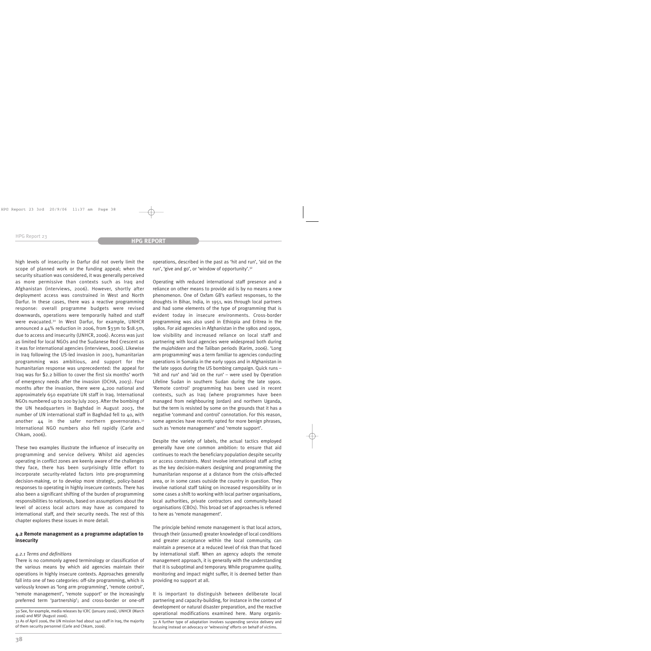high levels of insecurity in Darfur did not overly limit the scope of planned work or the funding appeal; when the security situation was considered, it was generally perceived as more permissive than contexts such as Iraq and Afghanistan (interviews, 2006). However, shortly after deployment access was constrained in West and North Darfur. In these cases, there was a reactive programming response: overall programme budgets were revised downwards, operations were temporarily halted and staff were evacuated.<sup>30</sup> In West Darfur, for example, UNHCR announced a 44% reduction in 2006, from \$33m to \$18.5m, due to access and insecurity (UNHCR, 2006). Access was just as limited for local NGOs and the Sudanese Red Crescent as it was for international agencies (interviews, 2006). Likewise in Iraq following the US-led invasion in 2003, humanitarian programming was ambitious, and support for the humanitarian response was unprecedented: the appeal for Iraq was for \$2.2 billion to cover the first six months' worth of emergency needs after the invasion (OCHA, 2003). Four months after the invasion, there were 4,200 national and approximately 650 expatriate UN staff in Iraq. International NGOs numbered up to 200 by July 2003. After the bombing of the UN headquarters in Baghdad in August 2003, the number of UN international staff in Baghdad fell to 40, with another  $44$  in the safer northern governorates.<sup>31</sup> International NGO numbers also fell rapidly (Carle and Chkam, 2006).

These two examples illustrate the influence of insecurity on programming and service delivery. Whilst aid agencies operating in conflict zones are keenly aware of the challenges they face, there has been surprisingly little effort to incorporate security-related factors into pre-programming decision-making, or to develop more strategic, policy-based responses to operating in highly insecure contexts. There has also been a significant shifting of the burden of programming responsibilities to nationals, based on assumptions about the level of access local actors may have as compared to international staff, and their security needs. The rest of this chapter explores these issues in more detail.

### **4.2 Remote management as a programme adaptation to insecurity**

#### *4.2.1 Terms and definitions*

There is no commonly agreed terminology or classification of the various means by which aid agencies maintain their operations in highly insecure contexts. Approaches generally fall into one of two categories: off-site programming, which is variously known as 'long arm programming', 'remote control', 'remote management', 'remote support' or the increasingly preferred term 'partnership'; and cross-border or one-off

31 As of April 2006, the UN mission had about 140 staff in Iraq, the majority of them security personnel (Carle and Chkam, 2006).

operations, described in the past as 'hit and run', 'aid on the run', 'give and go', or 'window of opportunity'.32

Operating with reduced international staff presence and a reliance on other means to provide aid is by no means a new phenomenon. One of Oxfam GB's earliest responses, to the droughts in Bihar, India, in 1951, was through local partners and had some elements of the type of programming that is evident today in insecure environments. Cross-border programming was also used in Ethiopia and Eritrea in the 1980s. For aid agencies in Afghanistan in the 1980s and 1990s, low visibility and increased reliance on local staff and partnering with local agencies were widespread both during the *mujahideen* and the Taliban periods (Karim, 2006). 'Long arm programming' was a term familiar to agencies conducting operations in Somalia in the early 1990s and in Afghanistan in the late 1990s during the US bombing campaign. Quick runs – 'hit and run' and 'aid on the run' – were used by Operation Lifeline Sudan in southern Sudan during the late 1990s. 'Remote control' programming has been used in recent contexts, such as Iraq (where programmes have been managed from neighbouring Jordan) and northern Uganda, but the term is resisted by some on the grounds that it has a negative 'command and control' connotation. For this reason, some agencies have recently opted for more benign phrases, such as 'remote management' and 'remote support'.

Despite the variety of labels, the actual tactics employed generally have one common ambition: to ensure that aid continues to reach the beneficiary population despite security or access constraints. Most involve international staff acting as the key decision-makers designing and programming the humanitarian response at a distance from the crisis-affected area, or in some cases outside the country in question. They involve national staff taking on increased responsibility or in some cases a shift to working with local partner organisations, local authorities, private contractors and community-based organisations (CBOs). This broad set of approaches is referred to here as 'remote management'.

The principle behind remote management is that local actors, through their (assumed) greater knowledge of local conditions and greater acceptance within the local community, can maintain a presence at a reduced level of risk than that faced by international staff. When an agency adopts the remote management approach, it is generally with the understanding that it is suboptimal and temporary. While programme quality, monitoring and impact might suffer, it is deemed better than providing no support at all.

It is important to distinguish between deliberate local partnering and capacity-building, for instance in the context of development or natural disaster preparation, and the reactive operational modifications examined here. Many organis- 30 See, for example, media releases by ICRC (January 2006), UNHCR (March

> 32 A further type of adaptation involves suspending service delivery and focusing instead on advocacy or 'witnessing' efforts on behalf of victims.

<sup>2006)</sup> and MSF (August 2006).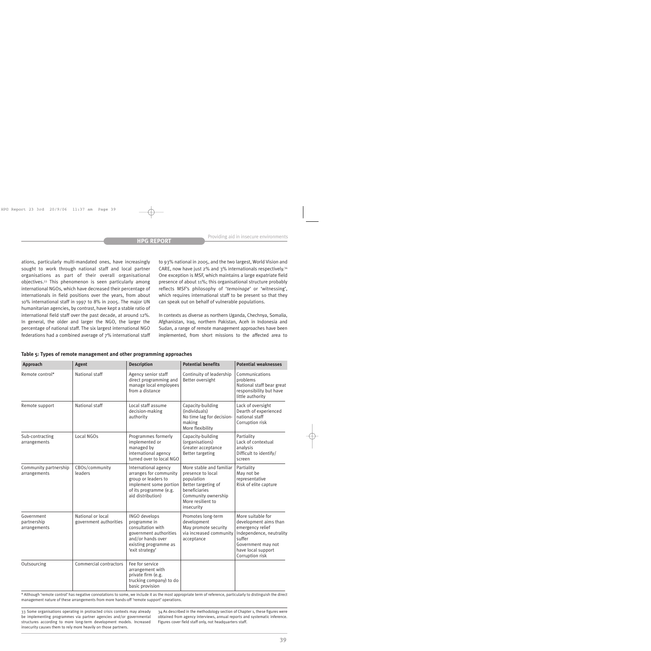ations, particularly multi-mandated ones, have increasingly sought to work through national staff and local partner organisations as part of their overall organisational objectives.33 This phenomenon is seen particularly among international NGOs, which have decreased their percentage of internationals in field positions over the years, from about 10% international staff in 1997 to 8% in 2005. The major UN humanitarian agencies, by contrast, have kept a stable ratio of international field staff over the past decade, at around 12%. In general, the older and larger the NGO, the larger the percentage of national staff. The six largest international NGO federations had a combined average of 7% international staff to 93% national in 2005, and the two largest, World Vision and CARE, now have just 2% and 3% internationals respectively.34 One exception is MSF, which maintains a large expatriate field presence of about 11%; this organisational structure probably reflects MSF's philosophy of '*temoinage*' or 'witnessing', which requires international staff to be present so that they can speak out on behalf of vulnerable populations.

In contexts as diverse as northern Uganda, Chechnya, Somalia, Afghanistan, Iraq, northern Pakistan, Aceh in Indonesia and Sudan, a range of remote management approaches have been implemented, from short missions to the affected area to

| Approach                                  | <b>Agent</b>                                | <b>Description</b>                                                                                                                             | <b>Potential benefits</b>                                                                                                                                     | <b>Potential weaknesses</b>                                                                                                                                         |
|-------------------------------------------|---------------------------------------------|------------------------------------------------------------------------------------------------------------------------------------------------|---------------------------------------------------------------------------------------------------------------------------------------------------------------|---------------------------------------------------------------------------------------------------------------------------------------------------------------------|
| Remote control*                           | National staff                              | Agency senior staff<br>direct programming and<br>manage local employees<br>from a distance                                                     | Continuity of leadership<br>Better oversight                                                                                                                  | Communications<br>problems<br>National staff bear great<br>responsibility but have<br>little authority                                                              |
| Remote support                            | National staff                              | Local staff assume<br>decision-making<br>authority                                                                                             | Capacity-building<br>(individuals)<br>No time lag for decision-<br>making<br>More flexibility                                                                 | Lack of oversight<br>Dearth of experienced<br>national staff<br>Corruption risk                                                                                     |
| Sub-contracting<br>arrangements           | Local NGOs                                  | Programmes formerly<br>implemented or<br>managed by<br>international agency<br>turned over to local NGO                                        | Capacity-building<br>(organisations)<br>Greater acceptance<br><b>Better targeting</b>                                                                         | Partiality<br>Lack of contextual<br>analysis<br>Difficult to identify/<br>screen                                                                                    |
| Community partnership<br>arrangements     | CBOs/community<br>leaders                   | International agency<br>arranges for community<br>group or leaders to<br>implement some portion<br>of its programme (e.g.<br>aid distribution) | More stable and familiar<br>presence to local<br>population<br>Better targeting of<br>beneficiaries<br>Community ownership<br>More resilient to<br>insecurity | Partiality<br>May not be<br>representative<br>Risk of elite capture                                                                                                 |
| Government<br>partnership<br>arrangements | National or local<br>government authorities | INGO develops<br>programme in<br>consultation with<br>government authorities<br>and/or hands over<br>existing programme as<br>'exit strategy'  | Promotes long-term<br>development<br>May promote security<br>via increased community<br>acceptance                                                            | More suitable for<br>development aims than<br>emergency relief<br>Independence, neutrality<br>suffer<br>Government may not<br>have local support<br>Corruption risk |
| Outsourcing                               | Commercial contractors                      | Fee for service<br>arrangement with<br>private firm (e.g.<br>trucking company) to do<br>basic provision                                        |                                                                                                                                                               |                                                                                                                                                                     |

| Table 5: Types of remote management and other programming approaches |  |
|----------------------------------------------------------------------|--|
|----------------------------------------------------------------------|--|

\* Although 'remote control' has negative connotations to some, we include it as the most appropriate term of reference, particularly to distinguish the direct management nature of these arrangements from more hands-off 'remote support' operations.

33 Some organisations operating in protracted crisis contexts may already be implementing programmes via partner agencies and/or governmental structures according to more long-term development models. Increased insecurity causes them to rely more heavily on those partners.

34 As described in the methodology section of Chapter 1, these figures were obtained from agency interviews, annual reports and systematic inference. Figures cover field staff only, not headquarters staff.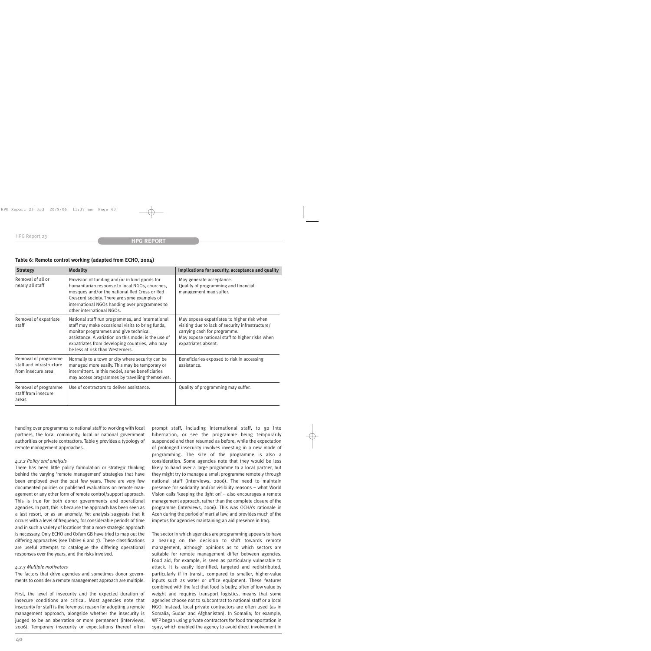| <b>Strategy</b>                                                        | <b>Modality</b>                                                                                                                                                                                                                                                                            | Implications for security, acceptance and quality                                                                                                                                                       |  |
|------------------------------------------------------------------------|--------------------------------------------------------------------------------------------------------------------------------------------------------------------------------------------------------------------------------------------------------------------------------------------|---------------------------------------------------------------------------------------------------------------------------------------------------------------------------------------------------------|--|
| Removal of all or<br>nearly all staff                                  | Provision of funding and/or in kind goods for<br>humanitarian response to local NGOs, churches,<br>mosques and/or the national Red Cross or Red<br>Crescent society. There are some examples of<br>international NGOs handing over programmes to<br>other international NGOs.              | May generate acceptance.<br>Quality of programming and financial<br>management may suffer.                                                                                                              |  |
| Removal of expatriate<br>staff                                         | National staff run programmes, and international<br>staff may make occasional visits to bring funds,<br>monitor programmes and give technical<br>assistance. A variation on this model is the use of<br>expatriates from developing countries, who may<br>be less at risk than Westerners. | May expose expatriates to higher risk when<br>visiting due to lack of security infrastructure/<br>carrying cash for programme.<br>May expose national staff to higher risks when<br>expatriates absent. |  |
| Removal of programme<br>staff and infrastructure<br>from insecure area | Normally to a town or city where security can be<br>managed more easily. This may be temporary or<br>intermittent. In this model, some beneficiaries<br>may access programmes by travelling themselves.                                                                                    | Beneficiaries exposed to risk in accessing<br>assistance.                                                                                                                                               |  |
| Removal of programme<br>staff from insecure<br>areas                   | Use of contractors to deliver assistance.                                                                                                                                                                                                                                                  | Quality of programming may suffer.                                                                                                                                                                      |  |

### **Table 6: Remote control working (adapted from ECHO, 2004)**

handing over programmes to national staff to working with local partners, the local community, local or national government authorities or private contractors. Table 5 provides a typology of remote management approaches.

#### *4.2.2 Policy and analysis*

There has been little policy formulation or strategic thinking behind the varying 'remote management' strategies that have been employed over the past few years. There are very few documented policies or published evaluations on remote management or any other form of remote control/support approach. This is true for both donor governments and operational agencies. In part, this is because the approach has been seen as a last resort, or as an anomaly. Yet analysis suggests that it occurs with a level of frequency, for considerable periods of time and in such a variety of locations that a more strategic approach is necessary. Only ECHO and Oxfam GB have tried to map out the differing approaches (see Tables 6 and 7). These classifications are useful attempts to catalogue the differing operational responses over the years, and the risks involved.

#### *4.2.3 Multiple motivators*

The factors that drive agencies and sometimes donor governments to consider a remote management approach are multiple.

First, the level of insecurity and the expected duration of insecure conditions are critical. Most agencies note that insecurity for staff is the foremost reason for adopting a remote management approach, alongside whether the insecurity is judged to be an aberration or more permanent (interviews, 2006). Temporary insecurity or expectations thereof often prompt staff, including international staff, to go into hibernation, or see the programme being temporarily suspended and then resumed as before, while the expectation of prolonged insecurity involves investing in a new mode of programming. The size of the programme is also a consideration. Some agencies note that they would be less likely to hand over a large programme to a local partner, but they might try to manage a small programme remotely through national staff (interviews, 2006). The need to maintain presence for solidarity and/or visibility reasons – what World Vision calls 'keeping the light on' – also encourages a remote management approach, rather than the complete closure of the programme (interviews, 2006). This was OCHA's rationale in Aceh during the period of martial law, and provides much of the impetus for agencies maintaining an aid presence in Iraq.

The sector in which agencies are programming appears to have a bearing on the decision to shift towards remote management, although opinions as to which sectors are suitable for remote management differ between agencies. Food aid, for example, is seen as particularly vulnerable to attack. It is easily identified, targeted and redistributed, particularly if in transit, compared to smaller, higher-value inputs such as water or office equipment. These features combined with the fact that food is bulky, often of low value by weight and requires transport logistics, means that some agencies choose not to subcontract to national staff or a local NGO. Instead, local private contractors are often used (as in Somalia, Sudan and Afghanistan). In Somalia, for example, WFP began using private contractors for food transportation in 1997, which enabled the agency to avoid direct involvement in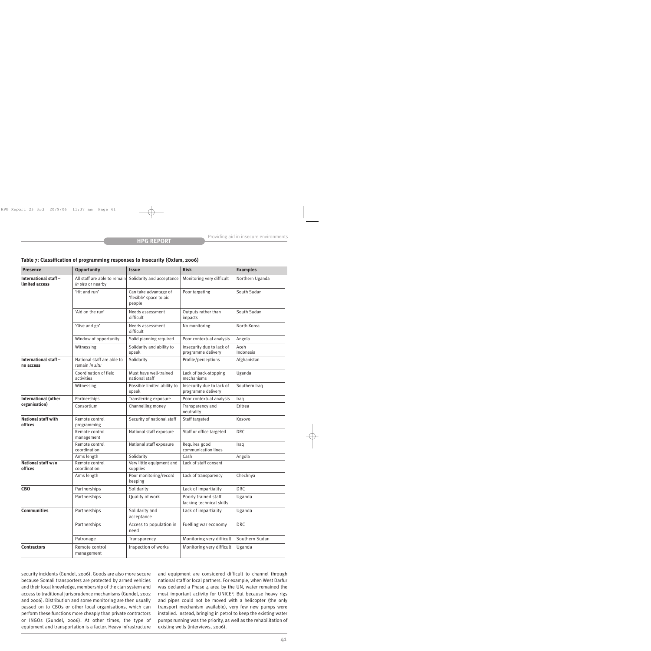| <b>Presence</b>                         | <b>Opportunity</b>                                | <b>Issue</b>                                               | <b>Risk</b>                                      | <b>Examples</b>   |
|-----------------------------------------|---------------------------------------------------|------------------------------------------------------------|--------------------------------------------------|-------------------|
| International staff –<br>limited access | All staff are able to remain<br>in situ or nearby | Solidarity and acceptance                                  | Monitoring very difficult                        | Northern Uganda   |
|                                         | 'Hit and run'                                     | Can take advantage of<br>'flexible' space to aid<br>people | Poor targeting                                   | South Sudan       |
|                                         | 'Aid on the run'                                  | Needs assessment<br>difficult                              | Outputs rather than<br>impacts                   | South Sudan       |
|                                         | 'Give and go'                                     | Needs assessment<br>difficult                              | No monitoring                                    | North Korea       |
|                                         | Window of opportunity                             | Solid planning required                                    | Poor contextual analysis                         | Angola            |
|                                         | Witnessing                                        | Solidarity and ability to<br>speak                         | Insecurity due to lack of<br>programme delivery  | Aceh<br>Indonesia |
| International staff-<br>no access       | National staff are able to<br>remain in situ      | Solidarity                                                 | Profile/perceptions                              | Afghanistan       |
|                                         | Coordination of field<br>activities               | Must have well-trained<br>national staff                   | Lack of back-stopping<br>mechanisms              | Uganda            |
|                                         | Witnessing                                        | Possible limited ability to<br>speak                       | Insecurity due to lack of<br>programme delivery  | Southern Iraq     |
| <b>International (other</b>             | Partnerships                                      | Transferring exposure                                      | Poor contextual analysis                         | Iraq              |
| organisation)                           | Consortium                                        | Channelling money                                          | Transparency and<br>neutrality                   | Eritrea           |
| <b>National staff with</b><br>offices   | Remote control<br>programming                     | Security of national staff                                 | Staff targeted                                   | Kosovo            |
|                                         | Remote control<br>management                      | National staff exposure                                    | Staff or office targeted                         | <b>DRC</b>        |
|                                         | Remote control<br>coordination                    | National staff exposure                                    | Requires good<br>communication lines             | Iraq              |
|                                         | Arms length                                       | Solidarity                                                 | Cash                                             | Angola            |
| National staff w/o<br>offices           | Remote control<br>coordination                    | Very little equipment and<br>supplies                      | Lack of staff consent                            |                   |
|                                         | Arms length                                       | Poor monitoring/record<br>keeping                          | Lack of transparency                             | Chechnya          |
| CB <sub>O</sub>                         | Partnerships                                      | Solidarity                                                 | Lack of impartiality                             | <b>DRC</b>        |
|                                         | Partnerships                                      | Quality of work                                            | Poorly trained staff<br>lacking technical skills | Uganda            |
| <b>Communities</b>                      | Partnerships                                      | Solidarity and<br>acceptance                               | Lack of impartiality                             | Uganda            |
|                                         | Partnerships                                      | Access to population in<br>need                            | Fuelling war economy                             | <b>DRC</b>        |
|                                         | Patronage                                         | Transparency                                               | Monitoring very difficult                        | Southern Sudan    |
| <b>Contractors</b>                      | Remote control<br>management                      | Inspection of works                                        | Monitoring very difficult                        | Uganda            |

**Table 7: Classification of programming responses to insecurity (Oxfam, 2006)**

security incidents (Gundel, 2006). Goods are also more secure because Somali transporters are protected by armed vehicles and their local knowledge, membership of the clan system and access to traditional jurisprudence mechanisms (Gundel, 2002 and 2006). Distribution and some monitoring are then usually passed on to CBOs or other local organisations, which can perform these functions more cheaply than private contractors or INGOs (Gundel, 2006). At other times, the type of equipment and transportation is a factor. Heavy infrastructure

and equipment are considered difficult to channel through national staff or local partners. For example, when West Darfur was declared a Phase 4 area by the UN, water remained the most important activity for UNICEF. But because heavy rigs and pipes could not be moved with a helicopter (the only transport mechanism available), very few new pumps were installed. Instead, bringing in petrol to keep the existing water pumps running was the priority, as well as the rehabilitation of existing wells (interviews, 2006).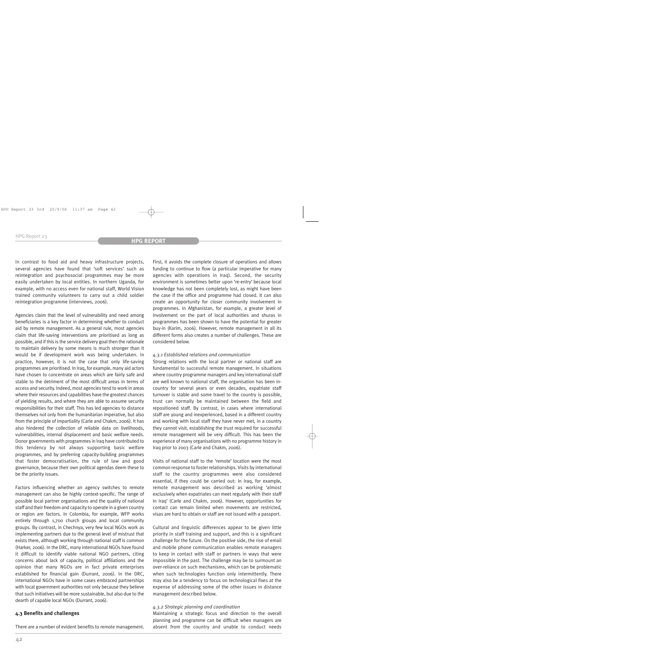In contrast to food aid and heavy infrastructure projects, several agencies have found that 'soft services' such as reintegration and psychosocial programmes may be more easily undertaken by local entities. In northern Uganda, for example, with no access even for national staff, World Vision trained community volunteers to carry out a child soldier reintegration programme (interviews, 2006).

Agencies claim that the level of vulnerability and need among beneficiaries is a key factor in determining whether to conduct aid by remote management. As a general rule, most agencies claim that life-saving interventions are prioritised as long as possible, and if this is the service delivery goal then the rationale to maintain delivery by some means is much stronger than it would be if development work was being undertaken. In practice, however, it is not the case that only life-saving programmes are prioritised. In Iraq, for example, many aid actors have chosen to concentrate on areas which are fairly safe and stable to the detriment of the most difficult areas in terms of access and security. Indeed, most agencies tend to work in areas where their resources and capabilities have the greatest chances of yielding results, and where they are able to assume security responsibilities for their staff. This has led agencies to distance themselves not only from the humanitarian imperative, but also from the principle of impartiality (Carle and Chakm, 2006). It has also hindered the collection of reliable data on livelihoods, vulnerabilities, internal displacement and basic welfare needs. Donor governments with programmes in Iraq have contributed to this tendency by not always supporting basic welfare programmes, and by preferring capacity-building programmes that foster democratisation, the rule of law and good governance, because their own political agendas deem these to be the priority issues.

Factors influencing whether an agency switches to remote management can also be highly context-specific. The range of possible local partner organisations and the quality of national staff and their freedom and capacity to operate in a given country or region are factors. In Colombia, for example, WFP works entirely through 1,700 church groups and local community groups. By contrast, in Chechnya, very few local NGOs work as implementing partners due to the general level of mistrust that exists there, although working through national staff is common (Harker, 2006). In the DRC, many international NGOs have found it difficult to identify viable national NGO partners, citing concerns about lack of capacity, political affiliations and the opinion that many NGOs are in fact private enterprises established for financial gain (Durrant, 2006). In the DRC, international NGOs have in some cases embraced partnerships with local government authorities not only because they believe that such initiatives will be more sustainable, but also due to the dearth of capable local NGOs (Durrant, 2006).

#### **4.3 Benefits and challenges**

There are a number of evident benefits to remote management.

First, it avoids the complete closure of operations and allows funding to continue to flow (a particular imperative for many agencies with operations in Iraq). Second, the security environment is sometimes better upon 're-entry' because local knowledge has not been completely lost, as might have been the case if the office and programme had closed. It can also create an opportunity for closer community involvement in programmes. In Afghanistan, for example, a greater level of involvement on the part of local authorities and shuras in programmes has been shown to have the potential for greater buy-in (Karim, 2006). However, remote management in all its different forms also creates a number of challenges. These are considered below.

## *4.3.1 Established relations and communication*

Strong relations with the local partner or national staff are fundamental to successful remote management. In situations where country programme managers and key international staff are well known to national staff, the organisation has been incountry for several years or even decades, expatriate staff turnover is stable and some travel to the country is possible, trust can normally be maintained between the field and repositioned staff. By contrast, in cases where international staff are young and inexperienced, based in a different country and working with local staff they have never met, in a country they cannot visit, establishing the trust required for successful remote management will be very difficult. This has been the experience of many organisations with no programme history in Iraq prior to 2003 (Carle and Chakm, 2006).

Visits of national staff to the 'remote' location were the most common response to foster relationships. Visits by international staff to the country programmes were also considered essential, if they could be carried out: in Iraq, for example, remote management was described as working 'almost exclusively when expatriates can meet regularly with their staff in Iraq' (Carle and Chakm, 2006). However, opportunities for contact can remain limited when movements are restricted, visas are hard to obtain or staff are not issued with a passport.

Cultural and linguistic differences appear to be given little priority in staff training and support, and this is a significant challenge for the future. On the positive side, the rise of email and mobile phone communication enables remote managers to keep in contact with staff or partners in ways that were impossible in the past. The challenge may be to surmount an over-reliance on such mechanisms, which can be problematic when such technologies function only intermittently. There may also be a tendency to focus on technological fixes at the expense of addressing some of the other issues in distance management described below.

#### *4.3.2 Strategic planning and coordination*

Maintaining a strategic focus and direction to the overall planning and programme can be difficult when managers are absent from the country and unable to conduct needs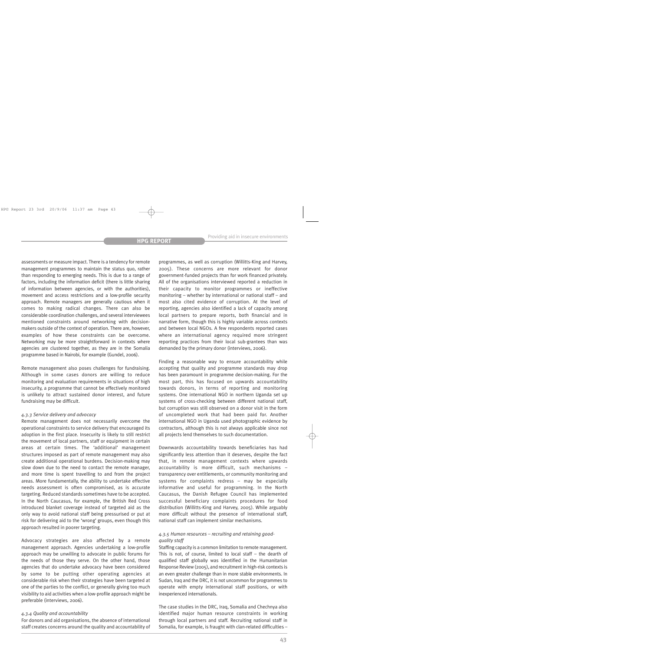assessments or measure impact. There is a tendency for remote management programmes to maintain the status quo, rather than responding to emerging needs. This is due to a range of factors, including the information deficit (there is little sharing of information between agencies, or with the authorities), movement and access restrictions and a low-profile security approach. Remote managers are generally cautious when it comes to making radical changes. There can also be considerable coordination challenges, and several interviewees mentioned constraints around networking with decisionmakers outside of the context of operation. There are, however, examples of how these constraints can be overcome. Networking may be more straightforward in contexts where agencies are clustered together, as they are in the Somalia programme based in Nairobi, for example (Gundel, 2006).

Remote management also poses challenges for fundraising. Although in some cases donors are willing to reduce monitoring and evaluation requirements in situations of high insecurity, a programme that cannot be effectively monitored is unlikely to attract sustained donor interest, and future fundraising may be difficult.

#### *4.3.3 Service delivery and advocacy*

Remote management does not necessarily overcome the operational constraints to service delivery that encouraged its adoption in the first place. Insecurity is likely to still restrict the movement of local partners, staff or equipment in certain areas at certain times. The 'additional' management structures imposed as part of remote management may also create additional operational burdens. Decision-making may slow down due to the need to contact the remote manager, and more time is spent travelling to and from the project areas. More fundamentally, the ability to undertake effective needs assessment is often compromised, as is accurate targeting. Reduced standards sometimes have to be accepted. In the North Caucasus, for example, the British Red Cross introduced blanket coverage instead of targeted aid as the only way to avoid national staff being pressurised or put at risk for delivering aid to the 'wrong' groups, even though this approach resulted in poorer targeting.

Advocacy strategies are also affected by a remote management approach. Agencies undertaking a low-profile approach may be unwilling to advocate in public forums for the needs of those they serve. On the other hand, those agencies that do undertake advocacy have been considered by some to be putting other operating agencies at considerable risk when their strategies have been targeted at one of the parties to the conflict, or generally giving too much visibility to aid activities when a low-profile approach might be preferable (interviews, 2006).

#### *4.3.4 Quality and accountability*

For donors and aid organisations, the absence of international staff creates concerns around the quality and accountability of programmes, as well as corruption (Willitts-King and Harvey, 2005). These concerns are more relevant for donor government-funded projects than for work financed privately. All of the organisations interviewed reported a reduction in their capacity to monitor programmes or ineffective monitoring – whether by international or national staff – and most also cited evidence of corruption. At the level of reporting, agencies also identified a lack of capacity among local partners to prepare reports, both financial and in narrative form, though this is highly variable across contexts and between local NGOs. A few respondents reported cases where an international agency required more stringent reporting practices from their local sub-grantees than was demanded by the primary donor (interviews, 2006).

Finding a reasonable way to ensure accountability while accepting that quality and programme standards may drop has been paramount in programme decision-making. For the most part, this has focused on upwards accountability towards donors, in terms of reporting and monitoring systems. One international NGO in northern Uganda set up systems of cross-checking between different national staff, but corruption was still observed on a donor visit in the form of uncompleted work that had been paid for. Another international NGO in Uganda used photographic evidence by contractors, although this is not always applicable since not all projects lend themselves to such documentation.

Downwards accountability towards beneficiaries has had significantly less attention than it deserves, despite the fact that, in remote management contexts where upwards accountability is more difficult, such mechanisms – transparency over entitlements, or community monitoring and systems for complaints redress – may be especially informative and useful for programming. In the North Caucasus, the Danish Refugee Council has implemented successful beneficiary complaints procedures for food distribution (Willitts-King and Harvey, 2005). While arguably more difficult without the presence of international staff, national staff can implement similar mechanisms.

#### *4.3.5 Human resources – recruiting and retaining goodquality staff*

Staffing capacity is a common limitation to remote management. This is not, of course, limited to local staff – the dearth of qualified staff globally was identified in the Humanitarian Response Review (2005), and recruitment in high-risk contexts is an even greater challenge than in more stable environments. In Sudan, Iraq and the DRC, it is not uncommon for programmes to operate with empty international staff positions, or with inexperienced internationals.

The case studies in the DRC, Iraq, Somalia and Chechnya also identified major human resource constraints in working through local partners and staff. Recruiting national staff in Somalia, for example, is fraught with clan-related difficulties –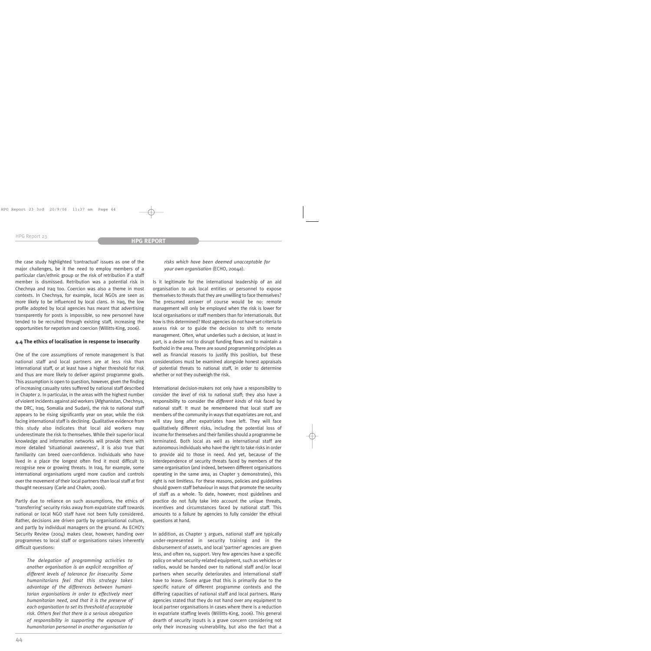the case study highlighted 'contractual' issues as one of the major challenges, be it the need to employ members of a particular clan/ethnic group or the risk of retribution if a staff member is dismissed. Retribution was a potential risk in Chechnya and Iraq too. Coercion was also a theme in most contexts. In Chechnya, for example, local NGOs are seen as more likely to be influenced by local clans. In Iraq, the low profile adopted by local agencies has meant that advertising transparently for posts is impossible, so new personnel have tended to be recruited through existing staff, increasing the opportunities for nepotism and coercion (Willitts-King, 2006).

#### **4.4 The ethics of localisation in response to insecurity**

One of the core assumptions of remote management is that national staff and local partners are at less risk than international staff, or at least have a higher threshold for risk and thus are more likely to deliver against programme goals. This assumption is open to question, however, given the finding of increasing casualty rates suffered by national staff described in Chapter 2. In particular, in the areas with the highest number of violent incidents against aid workers (Afghanistan, Chechnya, the DRC, Iraq, Somalia and Sudan), the risk to national staff appears to be rising significantly year on year, while the risk facing international staff is declining. Qualitative evidence from this study also indicates that local aid workers may underestimate the risk to themselves. While their superior local knowledge and information networks will provide them with more detailed 'situational awareness', it is also true that familiarity can breed over-confidence. Individuals who have lived in a place the longest often find it most difficult to recognise new or growing threats. In Iraq, for example, some international organisations urged more caution and controls over the movement of their local partners than local staff at first thought necessary (Carle and Chakm, 2006).

Partly due to reliance on such assumptions, the ethics of 'transferring' security risks away from expatriate staff towards national or local NGO staff have not been fully considered. Rather, decisions are driven partly by organisational culture, and partly by individual managers on the ground. As ECHO's Security Review (2004) makes clear, however, handing over programmes to local staff or organisations raises inherently difficult questions:

*The delegation of programming activities to another organisation is an explicit recognition of different levels of tolerance for insecurity. Some humanitarians feel that this strategy takes advantage of the differences between humanitarian organisations in order to effectively meet humanitarian need, and that it is the preserve of each organisation to set its threshold of acceptable risk. Others feel that there is a serious abrogation of responsibility in supporting the exposure of humanitarian personnel in another organisation to*

*risks which have been deemed unacceptable for your own organisation* (ECHO, 2004a).

Is it legitimate for the international leadership of an aid organisation to ask local entities or personnel to expose themselves to threats that they are unwilling to face themselves? The presumed answer of course would be no: remote management will only be employed when the risk is lower for local organisations or staff members than for internationals. But how is this determined? Most agencies do not have set criteria to assess risk or to guide the decision to shift to remote management. Often, what underlies such a decision, at least in part, is a desire not to disrupt funding flows and to maintain a foothold in the area. There are sound programming principles as well as financial reasons to justify this position, but these considerations must be examined alongside honest appraisals of potential threats to national staff, in order to determine whether or not they outweigh the risk.

International decision-makers not only have a responsibility to consider the *level* of risk to national staff; they also have a responsibility to consider the *different kinds* of risk faced by national staff. It must be remembered that local staff are members of the community in ways that expatriates are not, and will stay long after expatriates have left. They will face qualitatively different risks, including the potential loss of income for themselves and their families should a programme be terminated. Both local as well as international staff are autonomous individuals who have the right to take risks in order to provide aid to those in need. And yet, because of the interdependence of security threats faced by members of the same organisation (and indeed, between different organisations operating in the same area, as Chapter  $\beta$  demonstrates), this right is not limitless. For these reasons, policies and guidelines should govern staff behaviour in ways that promote the security of staff as a whole. To date, however, most guidelines and practice do not fully take into account the unique threats, incentives and circumstances faced by national staff. This amounts to a failure by agencies to fully consider the ethical questions at hand.

In addition, as Chapter 3 argues, national staff are typically under-represented in security training and in the disbursement of assets, and local 'partner' agencies are given less, and often no, support. Very few agencies have a specific policy on what security-related equipment, such as vehicles or radios, would be handed over to national staff and/or local partners when security deteriorates and international staff have to leave. Some argue that this is primarily due to the specific nature of different programme contexts and the differing capacities of national staff and local partners. Many agencies stated that they do not hand over any equipment to local partner organisations in cases where there is a reduction in expatriate staffing levels (Willitts-King, 2006). This general dearth of security inputs is a grave concern considering not only their increasing vulnerability, but also the fact that a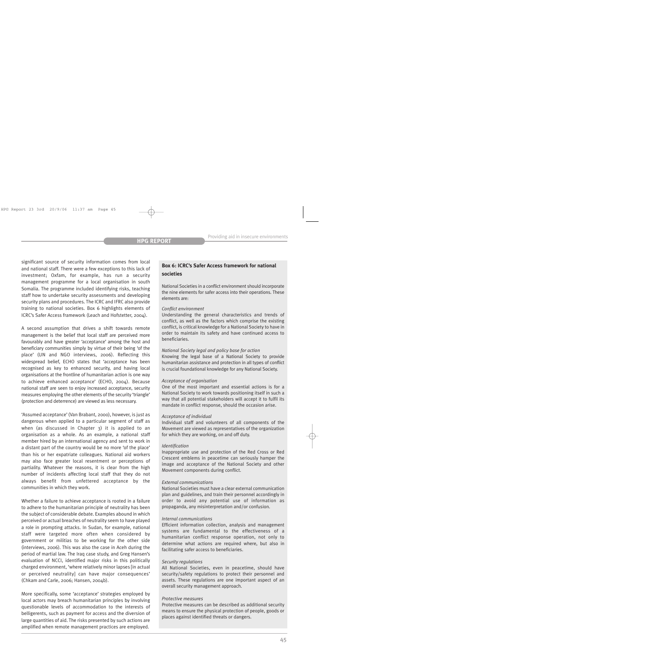significant source of security information comes from local and national staff. There were a few exceptions to this lack of investment; Oxfam, for example, has run a security management programme for a local organisation in south Somalia. The programme included identifying risks, teaching staff how to undertake security assessments and developing security plans and procedures. The ICRC and IFRC also provide training to national societies. Box 6 highlights elements of ICRC's Safer Access framework (Leach and Hofstetter, 2004).

A second assumption that drives a shift towards remote management is the belief that local staff are perceived more favourably and have greater 'acceptance' among the host and beneficiary communities simply by virtue of their being 'of the place' (UN and NGO interviews, 2006). Reflecting this widespread belief, ECHO states that 'acceptance has been recognised as key to enhanced security, and having local organisations at the frontline of humanitarian action is one way to achieve enhanced acceptance' (ECHO, 2004). Because national staff are seen to enjoy increased acceptance, security measures employing the other elements of the security 'triangle' (protection and deterrence) are viewed as less necessary.

'Assumed acceptance' (Van Brabant, 2000), however, is just as dangerous when applied to a particular segment of staff as when (as discussed in Chapter 3) it is applied to an organisation as a whole. As an example, a national staff member hired by an international agency and sent to work in a distant part of the country would be no more 'of the place' than his or her expatriate colleagues. National aid workers may also face greater local resentment or perceptions of partiality. Whatever the reasons, it is clear from the high number of incidents affecting local staff that they do not always benefit from unfettered acceptance by the communities in which they work.

Whether a failure to achieve acceptance is rooted in a failure to adhere to the humanitarian principle of neutrality has been the subject of considerable debate. Examples abound in which perceived or actual breaches of neutrality seem to have played a role in prompting attacks. In Sudan, for example, national staff were targeted more often when considered by government or militias to be working for the other side (interviews, 2006). This was also the case in Aceh during the period of martial law. The Iraq case study, and Greg Hansen's evaluation of NCCI, identified major risks in this politically charged environment, 'where relatively minor lapses [in actual or perceived neutrality] can have major consequences' (Chkam and Carle, 2006; Hansen, 2004b).

More specifically, some 'acceptance' strategies employed by local actors may breach humanitarian principles by involving questionable levels of accommodation to the interests of belligerents, such as payment for access and the diversion of large quantities of aid. The risks presented by such actions are amplified when remote management practices are employed.

# **Box 6: ICRC's Safer Access framework for national societies**

National Societies in a conflict environment should incorporate the nine elements for safer access into their operations. These elements are:

#### *Conflict environment*

Understanding the general characteristics and trends of conflict, as well as the factors which comprise the existing conflict, is critical knowledge for a National Society to have in order to maintain its safety and have continued access to beneficiaries.

#### *National Society legal and policy base for action*

Knowing the legal base of a National Society to provide humanitarian assistance and protection in all types of conflict is crucial foundational knowledge for any National Society.

#### *Acceptance of organisation*

One of the most important and essential actions is for a National Society to work towards positioning itself in such a way that all potential stakeholders will accept it to fulfil its mandate in conflict response, should the occasion arise.

#### *Acceptance of individual*

Individual staff and volunteers of all components of the Movement are viewed as representatives of the organization for which they are working, on and off duty.

#### *Identification*

Inappropriate use and protection of the Red Cross or Red Crescent emblems in peacetime can seriously hamper the image and acceptance of the National Society and other Movement components during conflict.

#### *External communications*

National Societies must have a clear external communication plan and guidelines, and train their personnel accordingly in order to avoid any potential use of information as propaganda, any misinterpretation and/or confusion.

#### *Internal communications*

Efficient information collection, analysis and management systems are fundamental to the effectiveness of a humanitarian conflict response operation, not only to determine what actions are required where, but also in facilitating safer access to beneficiaries.

#### *Security regulations*

All National Societies, even in peacetime, should have security/safety regulations to protect their personnel and assets. These regulations are one important aspect of an overall security management approach.

#### *Protective measures*

Protective measures can be described as additional security means to ensure the physical protection of people, goods or places against identified threats or dangers.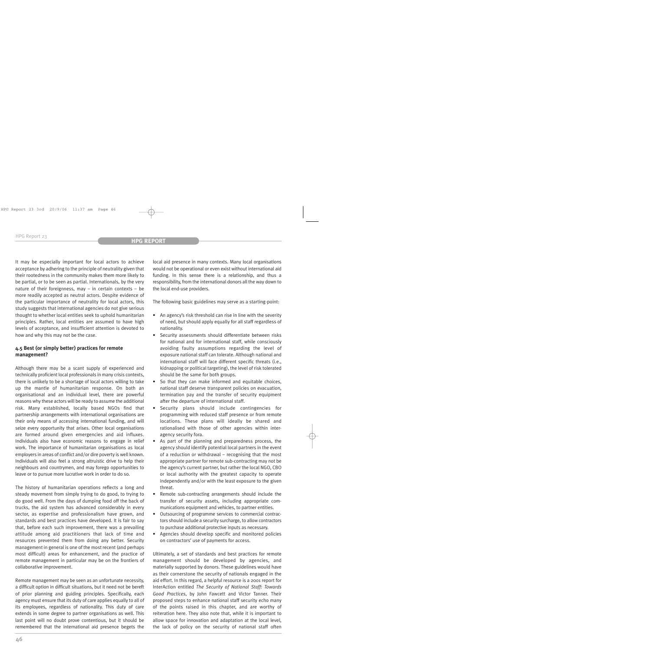It may be especially important for local actors to achieve acceptance by adhering to the principle of neutrality given that their rootedness in the community makes them more likely to be partial, or to be seen as partial. Internationals, by the very nature of their foreignness, may – in certain contexts – be more readily accepted as neutral actors. Despite evidence of the particular importance of neutrality for local actors, this study suggests that international agencies do not give serious thought to whether local entities seek to uphold humanitarian principles. Rather, local entities are assumed to have high levels of acceptance, and insufficient attention is devoted to how and why this may not be the case.

## **4.5 Best (or simply better) practices for remote management?**

Although there may be a scant supply of experienced and technically proficient local professionals in many crisis contexts, there is unlikely to be a shortage of local actors willing to take up the mantle of humanitarian response. On both an organisational and an individual level, there are powerful reasons why these actors will be ready to assume the additional risk. Many established, locally based NGOs find that partnership arrangements with international organisations are their only means of accessing international funding, and will seize every opportunity that arises. Other local organisations are formed around given emergencies and aid influxes. Individuals also have economic reasons to engage in relief work. The importance of humanitarian organisations as local employers in areas of conflict and/or dire poverty is well known. Individuals will also feel a strong altruistic drive to help their neighbours and countrymen, and may forego opportunities to leave or to pursue more lucrative work in order to do so.

The history of humanitarian operations reflects a long and steady movement from simply trying to do good, to trying to do good well. From the days of dumping food off the back of trucks, the aid system has advanced considerably in every sector, as expertise and professionalism have grown, and standards and best practices have developed. It is fair to say that, before each such improvement, there was a prevailing attitude among aid practitioners that lack of time and resources prevented them from doing any better. Security management in general is one of the most recent (and perhaps most difficult) areas for enhancement, and the practice of remote management in particular may be on the frontiers of collaborative improvement.

Remote management may be seen as an unfortunate necessity, a difficult option in difficult situations, but it need not be bereft of prior planning and guiding principles. Specifically, each agency must ensure that its duty of care applies equally to all of its employees, regardless of nationality. This duty of care extends in some degree to partner organisations as well. This last point will no doubt prove contentious, but it should be remembered that the international aid presence begets the local aid presence in many contexts. Many local organisations would not be operational or even exist without international aid funding. In this sense there is a relationship, and thus a responsibility, from the international donors all the way down to the local end-use providers.

The following basic guidelines may serve as a starting-point:

- An agency's risk threshold can rise in line with the severity of need, but should apply equally for all staff regardless of nationality.
- Security assessments should differentiate between risks for national and for international staff, while consciously avoiding faulty assumptions regarding the level of exposure national staff can tolerate. Although national and international staff will face different specific threats (i.e., kidnapping or political targeting), the level of risk tolerated should be the same for both groups.
- So that they can make informed and equitable choices, national staff deserve transparent policies on evacuation, termination pay and the transfer of security equipment after the departure of international staff.
- Security plans should include contingencies for programming with reduced staff presence or from remote locations. These plans will ideally be shared and rationalised with those of other agencies within interagency security fora.
- As part of the planning and preparedness process, the agency should identify potential local partners in the event of a reduction or withdrawal – recognising that the most appropriate partner for remote sub-contracting may not be the agency's current partner, but rather the local NGO, CBO or local authority with the greatest capacity to operate independently and/or with the least exposure to the given threat.
- Remote sub-contracting arrangements should include the transfer of security assets, including appropriate communications equipment and vehicles, to partner entities.
- Outsourcing of programme services to commercial contractors should include a security surcharge, to allow contractors to purchase additional protective inputs as necessary.
- Agencies should develop specific and monitored policies on contractors' use of payments for access.

Ultimately, a set of standards and best practices for remote management should be developed by agencies, and materially supported by donors. These guidelines would have as their cornerstone the security of nationals engaged in the aid effort. In this regard, a helpful resource is a 2001 report for InterAction entitled *The Security of National Staff: Towards Good Practices*, by John Fawcett and Victor Tanner. Their proposed steps to enhance national staff security echo many of the points raised in this chapter, and are worthy of reiteration here. They also note that, while it is important to allow space for innovation and adaptation at the local level, the lack of policy on the security of national staff often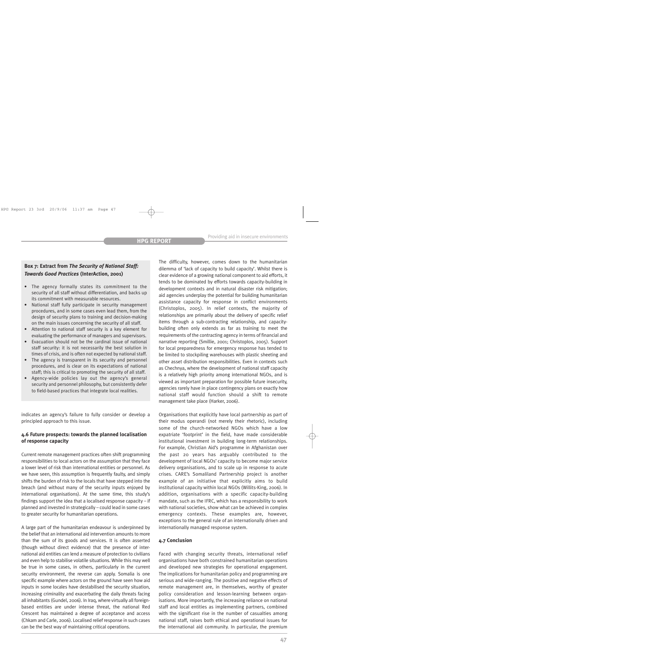# **Box 7: Extract from** *The Security of National Staff: Towards Good Practices* **(InterAction, 2001)**

- The agency formally states its commitment to the security of all staff without differentiation, and backs up its commitment with measurable resources.
- National staff fully participate in security management procedures, and in some cases even lead them, from the design of security plans to training and decision-making on the main issues concerning the security of all staff.
- Attention to national staff security is a key element for evaluating the performance of managers and supervisors.
- Evacuation should not be the cardinal issue of national staff security: it is not necessarily the best solution in times of crisis, and is often not expected by national staff.
- The agency is transparent in its security and personnel procedures, and is clear on its expectations of national staff; this is critical to promoting the security of all staff.
- Agency-wide policies lay out the agency's general security and personnel philosophy, but consistently defer to field-based practices that integrate local realities.

indicates an agency's failure to fully consider or develop a principled approach to this issue.

# **4.6 Future prospects: towards the planned localisation of response capacity**

Current remote management practices often shift programming responsibilities to local actors on the assumption that they face a lower level of risk than international entities or personnel. As we have seen, this assumption is frequently faulty, and simply shifts the burden of risk to the locals that have stepped into the breach (and without many of the security inputs enjoyed by international organisations). At the same time, this study's findings support the idea that a localised response capacity – if planned and invested in strategically – could lead in some cases to greater security for humanitarian operations.

A large part of the humanitarian endeavour is underpinned by the belief that an international aid intervention amounts to more than the sum of its goods and services. It is often asserted (though without direct evidence) that the presence of international aid entities can lend a measure of protection to civilians and even help to stabilise volatile situations. While this may well be true in some cases, in others, particularly in the current security environment, the reverse can apply. Somalia is one specific example where actors on the ground have seen how aid inputs in some locales have destabilised the security situation, increasing criminality and exacerbating the daily threats facing all inhabitants (Gundel, 2006). In Iraq, where virtually all foreignbased entities are under intense threat, the national Red Crescent has maintained a degree of acceptance and access (Chkam and Carle, 2006). Localised relief response in such cases can be the best way of maintaining critical operations.

The difficulty, however, comes down to the humanitarian dilemma of 'lack of capacity to build capacity'. Whilst there is clear evidence of a growing national component to aid efforts, it tends to be dominated by efforts towards capacity-building in development contexts and in natural disaster risk mitigation; aid agencies underplay the potential for building humanitarian assistance capacity for response in conflict environments (Christoplos, 2005). In relief contexts, the majority of relationships are primarily about the delivery of specific relief items through a sub-contracting relationship, and capacitybuilding often only extends as far as training to meet the requirements of the contracting agency in terms of financial and narrative reporting (Smillie, 2001; Christoplos, 2005). Support for local preparedness for emergency response has tended to be limited to stockpiling warehouses with plastic sheeting and other asset distribution responsibilities. Even in contexts such as Chechnya, where the development of national staff capacity is a relatively high priority among international NGOs, and is viewed as important preparation for possible future insecurity, agencies rarely have in place contingency plans on exactly how national staff would function should a shift to remote management take place (Harker, 2006).

Organisations that explicitly have local partnership as part of their modus operandi (not merely their rhetoric), including some of the church-networked NGOs which have a low expatriate 'footprint' in the field, have made considerable institutional investment in building long-term relationships. For example, Christian Aid's programme in Afghanistan over the past 20 years has arguably contributed to the development of local NGOs' capacity to become major service delivery organisations, and to scale up in response to acute crises. CARE's Somaliland Partnership project is another example of an initiative that explicitly aims to build institutional capacity within local NGOs (Willits-King, 2006). In addition, organisations with a specific capacity-building mandate, such as the IFRC, which has a responsibility to work with national societies, show what can be achieved in complex emergency contexts. These examples are, however, exceptions to the general rule of an internationally driven and internationally managed response system.

# **4.7 Conclusion**

Faced with changing security threats, international relief organisations have both constrained humanitarian operations and developed new strategies for operational engagement. The implications for humanitarian policy and programming are serious and wide-ranging. The positive and negative effects of remote management are, in themselves, worthy of greater policy consideration and lesson-learning between organisations. More importantly, the increasing reliance on national staff and local entities as implementing partners, combined with the significant rise in the number of casualties among national staff, raises both ethical and operational issues for the international aid community. In particular, the premium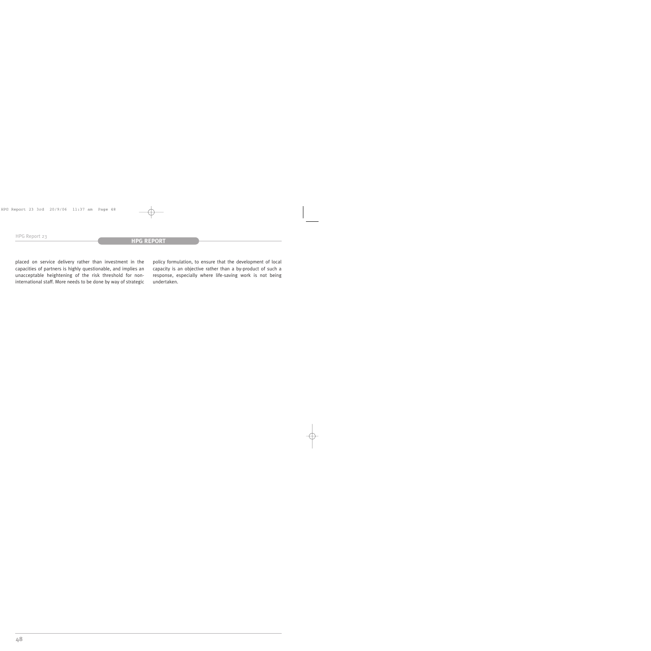placed on service delivery rather than investment in the capacities of partners is highly questionable, and implies an unacceptable heightening of the risk threshold for noninternational staff. More needs to be done by way of strategic

policy formulation, to ensure that the development of local capacity is an objective rather than a by-product of such a response, especially where life-saving work is not being undertaken.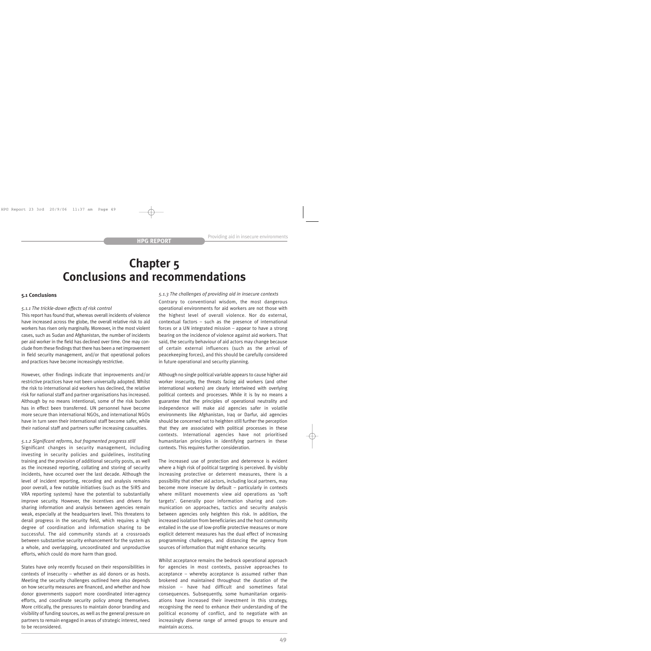# **Chapter 5 Conclusions and recommendations**

#### **5.1 Conclusions**

#### *5.1.1 The trickle-down effects of risk control*

This report has found that, whereas overall incidents of violence have increased across the globe, the overall relative risk to aid workers has risen only marginally. Moreover, in the most violent cases, such as Sudan and Afghanistan, the number of incidents per aid worker in the field has declined over time. One may conclude from these findings that there has been a net improvement in field security management, and/or that operational polices and practices have become increasingly restrictive.

However, other findings indicate that improvements and/or restrictive practices have not been universally adopted. Whilst the risk to international aid workers has declined, the relative risk for national staff and partner organisations has increased. Although by no means intentional, some of the risk burden has in effect been transferred. UN personnel have become more secure than international NGOs, and international NGOs have in turn seen their international staff become safer, while their national staff and partners suffer increasing casualties.

#### *5.1.2 Significant reforms, but fragmented progress still*

Significant changes in security management, including investing in security policies and guidelines, instituting training and the provision of additional security posts, as well as the increased reporting, collating and storing of security incidents, have occurred over the last decade. Although the level of incident reporting, recording and analysis remains poor overall, a few notable initiatives (such as the SIRS and VRA reporting systems) have the potential to substantially improve security. However, the incentives and drivers for sharing information and analysis between agencies remain weak, especially at the headquarters level. This threatens to derail progress in the security field, which requires a high degree of coordination and information sharing to be successful. The aid community stands at a crossroads between substantive security enhancement for the system as a whole, and overlapping, uncoordinated and unproductive efforts, which could do more harm than good.

States have only recently focused on their responsibilities in contexts of insecurity – whether as aid donors or as hosts. Meeting the security challenges outlined here also depends on how security measures are financed, and whether and how donor governments support more coordinated inter-agency efforts, and coordinate security policy among themselves. More critically, the pressures to maintain donor branding and visibility of funding sources, as well as the general pressure on partners to remain engaged in areas of strategic interest, need to be reconsidered.

#### *5.1.3 The challenges of providing aid in insecure contexts*

Contrary to conventional wisdom, the most dangerous operational environments for aid workers are not those with the highest level of overall violence. Nor do external, contextual factors – such as the presence of international forces or a UN integrated mission – appear to have a strong bearing on the incidence of violence against aid workers. That said, the security behaviour of aid actors may change because of certain external influences (such as the arrival of peacekeeping forces), and this should be carefully considered in future operational and security planning.

Although no single political variable appears to cause higher aid worker insecurity, the threats facing aid workers (and other international workers) are clearly intertwined with overlying political contexts and processes. While it is by no means a guarantee that the principles of operational neutrality and independence will make aid agencies safer in volatile environments like Afghanistan, Iraq or Darfur, aid agencies should be concerned not to heighten still further the perception that they are associated with political processes in these contexts. International agencies have not prioritised humanitarian principles in identifying partners in these contexts. This requires further consideration.

The increased use of protection and deterrence is evident where a high risk of political targeting is perceived. By visibly increasing protective or deterrent measures, there is a possibility that other aid actors, including local partners, may become more insecure by default – particularly in contexts where militant movements view aid operations as 'soft targets'. Generally poor information sharing and communication on approaches, tactics and security analysis between agencies only heighten this risk. In addition, the increased isolation from beneficiaries and the host community entailed in the use of low-profile protective measures or more explicit deterrent measures has the dual effect of increasing programming challenges, and distancing the agency from sources of information that might enhance security.

Whilst acceptance remains the bedrock operational approach for agencies in most contexts, passive approaches to acceptance – whereby acceptance is assumed rather than brokered and maintained throughout the duration of the mission – have had difficult and sometimes fatal consequences. Subsequently, some humanitarian organisations have increased their investment in this strategy, recognising the need to enhance their understanding of the political economy of conflict, and to negotiate with an increasingly diverse range of armed groups to ensure and maintain access.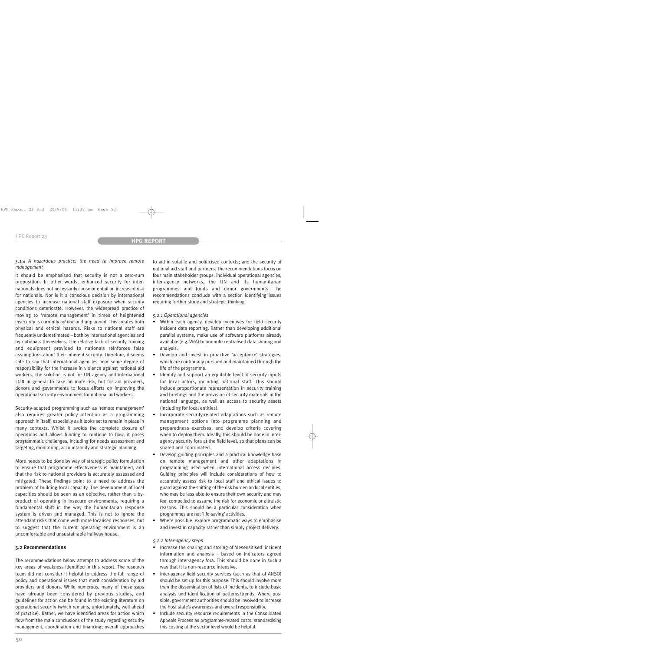#### *5.1.4 A hazardous practice: the need to improve remote management*

It should be emphasised that security is not a zero-sum proposition. In other words, enhanced security for internationals does not necessarily cause or entail an increased risk for nationals. Nor is it a conscious decision by international agencies to increase national staff exposure when security conditions deteriorate. However, the widespread practice of moving to 'remote management' in times of heightened insecurity is currently *ad hoc* and unplanned. This creates both physical and ethical hazards. Risks to national staff are frequently underestimated – both by international agencies and by nationals themselves. The relative lack of security training and equipment provided to nationals reinforces false assumptions about their inherent security. Therefore, it seems safe to say that international agencies bear some degree of responsibility for the increase in violence against national aid workers. The solution is not for UN agency and international staff in general to take on more risk, but for aid providers, donors and governments to focus efforts on improving the operational security environment for national aid workers.

Security-adapted programming such as 'remote management' also requires greater policy attention as a programming approach in itself, especially as it looks set to remain in place in many contexts. Whilst it avoids the complete closure of operations and allows funding to continue to flow, it poses programmatic challenges, including for needs assessment and targeting, monitoring, accountability and strategic planning.

More needs to be done by way of strategic policy formulation to ensure that programme effectiveness is maintained, and that the risk to national providers is accurately assessed and mitigated. These findings point to a need to address the problem of building local capacity. The development of local capacities should be seen as an objective, rather than a byproduct of operating in insecure environments, requiring a fundamental shift in the way the humanitarian response system is driven and managed. This is not to ignore the attendant risks that come with more localised responses, but to suggest that the current operating environment is an uncomfortable and unsustainable halfway house.

#### **5.2 Recommendations**

The recommendations below attempt to address some of the key areas of weakness identified in this report. The research team did not consider it helpful to address the full range of policy and operational issues that merit consideration by aid providers and donors. While numerous, many of these gaps have already been considered by previous studies, and guidelines for action can be found in the existing literature on operational security (which remains, unfortunately, well ahead of practice). Rather, we have identified areas for action which flow from the main conclusions of the study regarding security management, coordination and financing; overall approaches to aid in volatile and politicised contexts; and the security of national aid staff and partners. The recommendations focus on four main stakeholder groups: individual operational agencies, inter-agency networks, the UN and its humanitarian programmes and funds and donor governments. The recommendations conclude with a section identifying issues requiring further study and strategic thinking.

#### *5.2.1 Operational agencies*

- Within each agency, develop incentives for field security incident data reporting. Rather than developing additional parallel systems, make use of software platforms already available (e.g. VRA) to promote centralised data sharing and analysis.
- Develop and invest in proactive 'acceptance' strategies, which are continually pursued and maintained through the life of the programme.
- Identify and support an equitable level of security inputs for local actors, including national staff. This should include proportionate representation in security training and briefings and the provision of security materials in the national language, as well as access to security assets (including for local entities).
- Incorporate security-related adaptations such as remote management options into programme planning and preparedness exercises, and develop criteria covering when to deploy them. Ideally, this should be done in interagency security fora at the field level, so that plans can be shared and coordinated.
- Develop guiding principles and a practical knowledge base on remote management and other adaptations in programming used when international access declines. Guiding principles will include considerations of how to accurately assess risk to local staff and ethical issues to guard against the shifting of the risk burden on local entities, who may be less able to ensure their own security and may feel compelled to assume the risk for economic or altruistic reasons. This should be a particular consideration when programmes are not 'life-saving' activities.
- Where possible, explore programmatic ways to emphasise and invest in capacity rather than simply project delivery.

#### *5.2.2 Inter-agency steps*

- Increase the sharing and storing of 'desensitised' incident information and analysis – based on indicators agreed through inter-agency fora. This should be done in such a way that it is non-resource intensive.
- Inter-agency field security services (such as that of ANSO) should be set up for this purpose. This should involve more than the dissemination of lists of incidents, to include basic analysis and identification of patterns/trends. Where possible, government authorities should be involved to increase the host state's awareness and overall responsibility.
- Include security resource requirements in the Consolidated Appeals Process as programme-related costs; standardising this costing at the sector level would be helpful.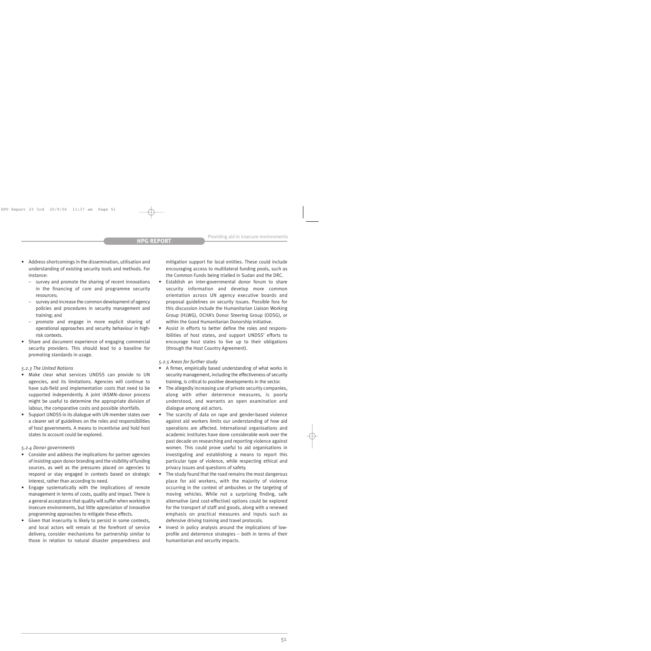- Address shortcomings in the dissemination, utilisation and understanding of existing security tools and methods. For instance:
	- survey and promote the sharing of recent innovations in the financing of core and programme security resources;
	- survey and increase the common development of agency policies and procedures in security management and training; and
	- promote and engage in more explicit sharing of operational approaches and security behaviour in highrisk contexts.
- Share and document experience of engaging commercial security providers. This should lead to a baseline for promoting standards in usage.

### *5.2.3 The United Nations*

- Make clear what services UNDSS can provide to UN agencies, and its limitations. Agencies will continue to have sub-field and implementation costs that need to be supported independently. A joint IASMN–donor process might be useful to determine the appropriate division of labour, the comparative costs and possible shortfalls.
- Support UNDSS in its dialogue with UN member states over a clearer set of guidelines on the roles and responsibilities of host governments. A means to incentivise and hold host states to account could be explored.

### *5.2.4 Donor governments*

- Consider and address the implications for partner agencies of insisting upon donor branding and the visibility of funding sources, as well as the pressures placed on agencies to respond or stay engaged in contexts based on strategic interest, rather than according to need.
- Engage systematically with the implications of remote management in terms of costs, quality and impact. There is a general acceptance that quality will suffer when working in insecure environments, but little appreciation of innovative programming approaches to mitigate these effects.
- Given that insecurity is likely to persist in some contexts, and local actors will remain at the forefront of service delivery, consider mechanisms for partnership similar to those in relation to natural disaster preparedness and

mitigation support for local entities. These could include encouraging access to multilateral funding pools, such as the Common Funds being trialled in Sudan and the DRC.

- Establish an inter-governmental donor forum to share security information and develop more common orientation across UN agency executive boards and proposal guidelines on security issues. Possible fora for this discussion include the Humanitarian Liaison Working Group (HLWG), OCHA's Donor Steering Group (ODSG), or within the Good Humanitarian Donorship initiative.
- Assist in efforts to better define the roles and responsibilities of host states, and support UNDSS' efforts to encourage host states to live up to their obligations (through the Host Country Agreement).

# *5.2.5 Areas for further study*

- A firmer, empirically based understanding of what works in security management, including the effectiveness of security training, is critical to positive developments in the sector.
- The allegedly increasing use of private security companies, along with other deterrence measures, is poorly understood, and warrants an open examination and dialogue among aid actors.
- The scarcity of data on rape and gender-based violence against aid workers limits our understanding of how aid operations are affected. International organisations and academic institutes have done considerable work over the past decade on researching and reporting violence against women. This could prove useful to aid organisations in investigating and establishing a means to report this particular type of violence, while respecting ethical and privacy issues and questions of safety.
- The study found that the road remains the most dangerous place for aid workers, with the majority of violence occurring in the context of ambushes or the targeting of moving vehicles. While not a surprising finding, safe alternative (and cost-effective) options could be explored for the transport of staff and goods, along with a renewed emphasis on practical measures and inputs such as defensive driving training and travel protocols.
- Invest in policy analysis around the implications of lowprofile and deterrence strategies – both in terms of their humanitarian and security impacts.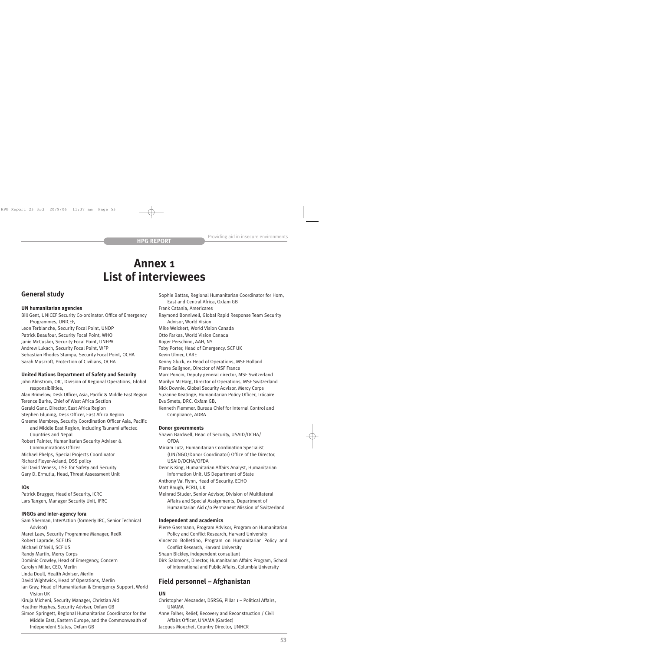# **Annex 1 List of interviewees**

# **General study**

## **UN humanitarian agencies**

Bill Gent, UNICEF Security Co-ordinator, Office of Emergency Programmes, UNICEF, Leon Terblanche, Security Focal Point, UNDP Patrick Beaufour, Security Focal Point, WHO Janie McCusker, Security Focal Point, UNFPA Andrew Lukach, Security Focal Point, WFP Sebastian Rhodes Stampa, Security Focal Point, OCHA Sarah Muscroft, Protection of Civilians, OCHA

# **United Nations Department of Safety and Security**

John Almstrom, OIC, Division of Regional Operations, Global responsibilities, Alan Brimelow, Desk Officer, Asia, Pacific & Middle East Region Terence Burke, Chief of West Africa Section Gerald Ganz, Director, East Africa Region Stephen Gluning, Desk Officer, East Africa Region Graeme Membrey, Security Coordination Officer Asia, Pacific and Middle East Region, including Tsunami affected Countries and Nepal Robert Painter, Humanitarian Security Adviser & Communications Officer Michael Phelps, Special Projects Coordinator Richard Floyer-Acland, DSS policy Sir David Veness, USG for Safety and Security Gary D. Ermutlu, Head, Threat Assessment Unit

### **IOs**

Patrick Brugger, Head of Security, ICRC Lars Tangen, Manager Security Unit, IFRC

### **INGOs and inter-agency fora**

Sam Sherman, InterAction (formerly IRC, Senior Technical Advisor) Maret Laev, Security Programme Manager, RedR Robert Laprade, SCF US Michael O'Neill, SCF US Randy Martin, Mercy Corps Dominic Crowley, Head of Emergency, Concern Carolyn Miller, CEO, Merlin Linda Doull, Health Adviser, Merlin David Wightwick, Head of Operations, Merlin Ian Gray, Head of Humanitarian & Emergency Support, World Vision UK Kiruja Micheni, Security Manager, Christian Aid Heather Hughes, Security Adviser, Oxfam GB Simon Springett, Regional Humanitarian Coordinator for the Middle East, Eastern Europe, and the Commonwealth of Independent States, Oxfam GB

Sophie Battas, Regional Humanitarian Coordinator for Horn, East and Central Africa, Oxfam GB Frank Catania, Americares Raymond Bonniwell, Global Rapid Response Team Security Advisor, World Vision Mike Weickert, World Vision Canada Otto Farkas, World Vision Canada Roger Perschino, AAH, NY Toby Porter, Head of Emergency, SCF UK Kevin Ulmer, CARE Kenny Gluck, ex Head of Operations, MSF Holland Pierre Salignon, Director of MSF France Marc Poncin, Deputy general director, MSF Switzerland Marilyn McHarg, Director of Operations, MSF Switzerland Nick Downie, Global Security Advisor, Mercy Corps Suzanne Keatinge, Humanitarian Policy Officer, Trócaire Eva Smets, DRC, Oxfam GB, Kenneth Flemmer, Bureau Chief for Internal Control and Compliance, ADRA

### **Donor governments**

Shawn Bardwell, Head of Security, USAID/DCHA/ **OFDA** 

Miriam Lutz, Humanitarian Coordination Specialist (UN/NGO/Donor Coordinator) Office of the Director, USAID/DCHA/OFDA

Dennis King, Humanitarian Affairs Analyst, Humanitarian Information Unit, US Department of State

Anthony Val Flynn, Head of Security, ECHO

Matt Baugh, PCRU, UK

Meinrad Studer, Senior Advisor, Division of Multilateral Affairs and Special Assignments, Department of Humanitarian Aid c/o Permanent Mission of Switzerland

### **Independent and academics**

Pierre Gassmann, Program Advisor, Program on Humanitarian Policy and Conflict Research, Harvard University

Vincenzo Bollettino, Program on Humanitarian Policy and Conflict Research, Harvard University

Shaun Bickley, independent consultant

Dirk Salomons, Director, Humanitarian Affairs Program, School of International and Public Affairs, Columbia University

# **Field personnel – Afghanistan**

# **UN**

Christopher Alexander, DSRSG, Pillar 1 – Political Affairs, UNAMA

Anne Falher, Relief, Recovery and Reconstruction / Civil Affairs Officer, UNAMA (Gardez)

Jacques Mouchet, Country Director, UNHCR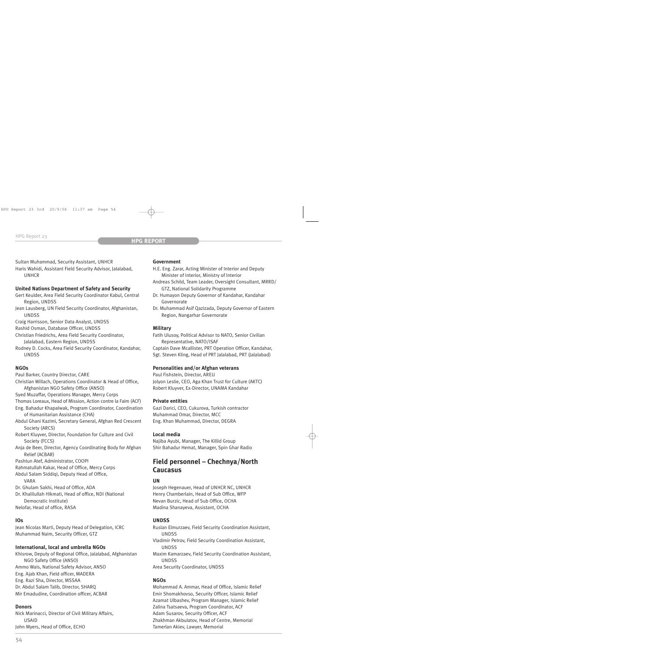Sultan Muhammad, Security Assistant, UNHCR

Haris Wahidi, Assistant Field Security Advisor, Jalalabad, UNHCR

# **United Nations Department of Safety and Security**

- Gert Keulder, Area Field Security Coordinator Kabul, Central Region, UNDSS
- Jean Lausberg, UN Field Security Coordinator, Afghanistan, UNDSS
- Craig Harrisson, Senior Data Analyst, UNDSS
- Rashid Osman, Database Officer, UNDSS
- Christian Friedrichs, Area Field Security Coordinator, Jalalabad, Eastern Region, UNDSS
- Rodney D. Cocks, Area Field Security Coordinator, Kandahar, UNDSS

# **NGOs**

- Paul Barker, Country Director, CARE
- Christian Willach, Operations Coordinator & Head of Office, Afghanistan NGO Safety Office (ANSO)
- Syed Muzaffar, Operations Manager, Mercy Corps
- Thomas Loreaux, Head of Mission, Action contre la Faim (ACF)
- Eng. Bahadur Khapalwak, Program Coordinator, Coordination of Humanitarian Assistance (CHA)
- Abdul Ghani Kazimi, Secretary General, Afghan Red Crescent Society (ARCS)
- Robert Kluyver, Director, Foundation for Culture and Civil Society (FCCS)
- Anja de Beer, Director, Agency Coordinating Body for Afghan Relief (ACBAR)
- Pashtun Atef, Administrator, COOPI
- Rahmatullah Kakar, Head of Office, Mercy Corps
- Abdul Salam Siddiqi, Deputy Head of Office, VARA
- Dr. Ghulam Sakhi, Head of Office, ADA
- Dr. Khalilullah Hikmati, Head of office, NDI (National Democratic Institute)
- Nelofar, Head of office, RASA

# **IOs**

Jean Nicolas Marti, Deputy Head of Delegation, ICRC Muhammad Naim, Security Officer, GTZ

# **International, local and umbrella NGOs**

Khisrow, Deputy of Regional Office, Jalalabad, Afghanistan NGO Safety Office (ANSO) Ammo Wais, National Safety Advisor, ANSO Eng. Ajab Khan, Field officer, MADERA Eng. Razi Sha, Director, MSSAA Dr. Abdul Salam Talib, Director, SHARQ Mir Emadudine, Coordination officer, ACBAR

### **Donors**

Nick Marinacci, Director of Civil Military Affairs, USAID John Myers, Head of Office, ECHO

### **Government**

- H.E. Eng. Zarar, Acting Minister of Interior and Deputy Minister of Interior, Ministry of Interior
- Andreas Schild, Team Leader, Oversight Consultant, MRRD/ GTZ, National Solidarity Programme
- Dr. Humayon Deputy Governor of Kandahar, Kandahar Governorate
- Dr. Muhammad Asif Qazizada, Deputy Governor of Eastern Region, Nangarhar Governorate

# **Military**

Fatih Ulusoy, Political Advisor to NATO, Senior Civilian Representative, NATO/ISAF

Captain Dave Mcallister, PRT Operation Officer, Kandahar, Sgt. Steven Kling, Head of PRT Jalalabad, PRT (Jalalabad)

# **Personalities and/or Afghan veterans**

Paul Fishstein, Director, AREU Jolyon Leslie, CEO, Aga Khan Trust for Culture (AKTC) Robert Kluyver, Ex-Director, UNAMA Kandahar

# **Private entities**

Gazi Darici, CEO, Cukurova, Turkish contractor Muhammad Omar, Director, MCC Eng. Khan Muhammad, Director, DEGRA

## **Local media**

Najiba Ayubi, Manager, The Killid Group Shir Bahadur Hemat, Manager, Spin Ghar Radio

# **Field personnel – Chechnya/North Caucasus**

### **UN**

Joseph Hegenauer, Head of UNHCR NC, UNHCR Henry Chamberlain, Head of Sub Office, WFP Nevan Burzic, Head of Sub Office, OCHA Madina Shanayeva, Assistant, OCHA

# **UNDSS**

Ruslan Elmurzaev, Field Security Coordination Assistant, UNDSS Vladimir Petrov, Field Security Coordination Assistant, UNDSS Maxim Kamarzaev, Field Security Coordination Assistant, UNDSS Area Security Coordinator, UNDSS

### **NGOs**

Mohammad A. Ammar, Head of Office, Islamic Relief Emir Shomakhovso, Security Officer, Islamic Relief Azamat Ulbashev, Program Manager, Islamic Relief Zalina Tsatsaeva, Program Coordinator, ACF Adam Susarov, Security Officer, ACF Zhakhman Akbulatov, Head of Centre, Memorial Tamerlan Akiev, Lawyer, Memorial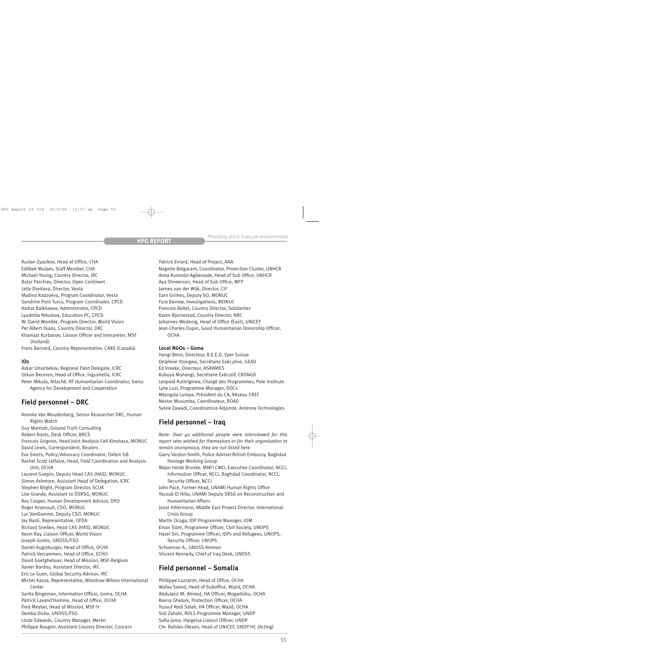Ruslan Zyazikov, Head of Office, CHA Edilbek Mulaev, Staff Member, CHA

Michael Young, Country Director, IRC

Batyr Parchiev, Director, Open Continent

Leila Dzeitova, Director, Vesta

Madina Kodzoeva, Program Coordinator, Vesta

Sandrine Pont Turco, Program Coordinator, CPCD

Aishat Balkhaeva, Administrator, CPCD

Lyudmila Nikulova, Education PC, CPCD

W. David Womble, Program Director, World Vision Per Albert Ilsaas, Country Director, DRC

Khamzat Kurbanov, Liaison Officer and Interpreter, MSF

(Holland) Frans Barnard, Country Representative, CARE (Canada)

# **IOs**

Askar Umarbekov, Regional Field Delegate, ICRC Ozkan Beceren, Head of Office, Ingushetia, ICRC Peter Mikula, Attaché, RF Humanitarian Coordinator, Swiss Agency for Development and Cooperation

# **Field personnel – DRC**

Anneke Van Woudenberg, Senior Researcher DRC, Human Rights Watch Guy Marriott, Ground Truth Consulting Robert Roots, Desk Officer, BRCS Francois Grignon, Head Joint Analysis Cell Kinshasa, MONUC David Lewis, Correspondent, Reuters Eva Smets, Policy/Advocacy Coordinator, Oxfam GB Rachel Scott Leflaive, Head, Field Coordination and Analysis Unit, OCHA Laurent Guepin, Deputy Head CAS (HAS), MONUC Simon Ashmore, Assistant Head of Delegation, ICRC Stephen Blight, Program Director, SCUK Lise Grande, Assistant to DSRSG, MONUC Ros Cooper, Human Development Advisor, DfID Roger Arsenault, CSO, MONUC Luc VanDamme, Deputy CSO, MONUC Jay Nash, Representative, OFDA Richard Snellen, Head CAS (HAS), MONUC Kevin Ray, Liaison Officer, World Vision Joseph Gomis, UNDSS/FSO Daniel Augstburger, Head of Office, OCHA Patrick Vercammen, Head of Office, ECHO David Goetghebuer, Head of Mission, MSF-Belgium Xavier Bardou, Assistant Director, IRC Eric Le Guen, Global Security Advisor, IRC Michel Kassa, Representative, Woodrow Wilson International Center Sarita Bingeman, Information Officer, Goma, OCHA Patrick Lavand'Homme, Head of Office, OCHA Fred Meylan, Head of Mission, MSF-H Demba Dicko, UNDSS/FSO Linda Edwards, Country Manager, Merlin Philippe Rougier, Assistant Country Director, Concern

Patrick Evrard, Head of Project, AAA

Nagette Belgacem, Coordinator, Protection Cluster, UNHCR Anna Kumodzi-Agbeviade, Head of Sub Office, UNHCR Aya Shneerson, Head of Sub Office, WFP Jannes van der Wijk, Director, CIF Earn Grimes, Deputy SO, MONUC Fura Barrow, Investigations, MONUC Francois Bellet, Country Director, Solidarites Karen Bjornestad, Country Director, NRC Johannes Wedenig, Head of Office (East), UNICEF Jean-Charles Dupin, Good Humanitarian Donorship Officer, **OCHA** 

# **Local NGOs – Goma**

Hangi Binni, Directeur, B.E.E.D. Eper Suisse Delphine Ittongwa, Secrétaire Exécutive, GEAD Ed Vreeke, Directeur, ASRAMES Kubuya Muhangi, Secrétaire Exécutif, CRONGD Leopold Rutinigirwa, Chargé des Programmes, Pole Institute Lyne Lusi, Programme Manager, DOCs Mtangala Lumpa, Président du CA, Réseau CREF Nestor Musumba, Coordinateur, BOAD Sylvie Zawadi, Coordinatrice Adjointe, Antenna Technologies

# **Field personnel – Iraq**

*Note: Over 40 additional people were interviewed for this report who wished for themselves or for their organization to remain anonymous; they are not listed here.* Garry Vardon-Smith, Police Adviser British Embassy, Baghdad Hostage Working Group Major Heide Bronke, MNFI CMO, Executive Coordinator, NCCI, Information Officer, NCCI, Baghdad Coordinator, NCCI, Security Officer, NCCI John Pace, Former Head, UNAMI Human Rights Office Yacoub El Hillo, UNAMI Deputy SRSG on Reconstruction and Humanitarian Affairs Joost Hiltermann, Middle East Project Director, International Crisis Group Martin Ocaga, IDP Programme Manager, IOM Eman Siam, Programme Officer, Civil Society, UNOPS Hazel Siri, Programme Officer, IDPs and Refugees, UNOPS, Security Officer, UNOPS Schoeman A., UNDSS Amman Vincent Kennedy, Chief of Iraq Desk, UNDSS

# **Field personnel – Somalia**

Phillippe Lazzarini, Head of Office, OCHA Wafaa Saeed, Head of Suboffice, Wajid, OCHA Abdulaziz M. Ahmed, HA Officer, Mogadishu, OCHA Reena Ghelani, Protection Officer, OCHA Yussuf Abdi Salah, HA Officer, Wajid, OCHA Sidi Zahabi, ROLS Programme Manager, UNDP Safia Jama, Hargeisa Liaison Officer, UNDP Chr. Balslev-Olesen, Head of UNICEF, UNDP HC (Acting)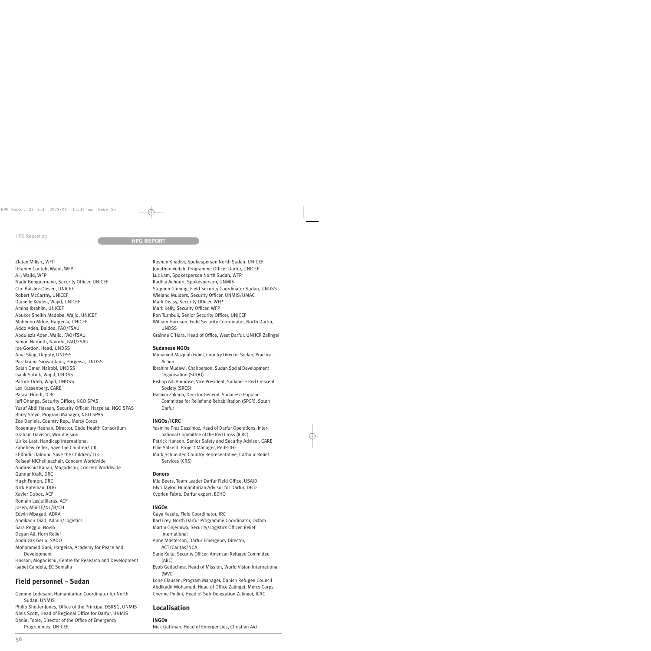Zlatan Milisic, WFP Ibrahim Conteh, Wajid, WFP Ali, Wajid, WFP Nadir Benguernane, Security Officer, UNICEF Chr. Balslev-Olesen, UNICEF Robert McCarthy, UNICEF Danielle Keulen, Wajid, UNICEF Amina Ibrahim, UNICEF Abukor Sheikh Madobe, Wajid, UNICEF Mahimbo Mdoe, Hargeisa, UNICEF Addo Aden, Baidoa, FAO/FSAU Abdulaziz Aden, Wajid, FAO/FSAU Simon Narbeth, Nairobi, FAO/FSAU Joe Gordon, Head, UNDSS Arve Skog, Deputy, UNDSS Parakrama Siriwardana, Hargeisa, UNDSS Salah Omer, Nairobi, UNDSS Isaak Subuk, Wajid, UNDSS Patrick Udeh, Wajid, UNDSS Lex Kassenberg, CARE Pascal Hundt, ICRC Jeff Ohanga, Security Officer, NGO SPAS Yusuf Abdi Hassan, Security Officer, Hargeisa, NGO SPAS Barry Steyn, Program Manager, NGO SPAS Zoe Daniels, Country Rep., Mercy Corps Rosemary Heenan, Director, Gedo Health Consortium Graham Davison, World Vision Ulrike Last, Handicap International Zabebew Zellek, Save the Children/ UK El-Khidir Daloum, Save the Children/ UK Reiseal NiCheilleachair, Concern Worldwide Abdirashid Kahaji, Mogadishu, Concern Worldwide Gunnar Kraft, DRC Hugh Fenton, DRC Nick Bateman, DDG Xavier Duboc, ACF Romain Lasjuilliaras, ACF Josep, MSF/E/NL/B/CH Edwin Mbagati, ADRA Abdikadir Diad, Admin/Logistics Sara Reggio, Novib Degan Ali, Horn Relief Abdirizak Gerio, SADO Mohammed Gani, Hargeisa, Academy for Peace and Development Hassan, Mogadishu, Centre for Research and Development Isabel Candela, EC Somalia

# **Field personnel – Sudan**

Gemmo Lodesani, Humanitarian Coordinator for North Sudan, UNMIS Philip Shetler-Jones, Office of the Principal DSRSG, UNMIS Niels Scott, Head of Regional Office for Darfur, UNMIS Daniel Toole, Director of the Office of Emergency

Programmes, UNICEF

Roshan Khadivi, Spokesperson North Sudan, UNICEF Jonathan Veitch, Programme Officer Darfur, UNICEF Luc Lam, Spokesperson North Sudan, WFP Radhia Achouri, Spokesperson, UNMIS Stephen Gluning, Field Security Coordinator Sudan, UNDSS Wieland Mulders, Security Officer, UNMIS/UMAC Mark Deasy, Security Officer, WFP Mark Kelly, Security Officer, WFP Ron Turnbull, Senior Security Officer, UNICEF William Harrison, Field Security Coordinator, North Darfur, UNDSS Grainne O'Hara, Head of Office, West Darfur, UNHCR Zalingei

# **Sudanese NGOs**

Mohamed Mazjoub Fidiel, Country Director Sudan, Practical Action

Ibrahim Mudawi, Chairperson, Sudan Social Development Organisation (SUDO)

Bishop Adi Ambrose, Vice President, Sudanese Red Crescent Society (SRCS)

Hashim Zakaria, Director-General, Sudanese Popular Committee for Relief and Rehabilitation (SPCR), South Darfur

# **INGOs/ICRC**

Yasmine Praz Dessimoz, Head of Darfur Operations, International Committee of the Red Cross (ICRC) Patrick Hanson, Senior Safety and Security Advisor, CARE Ellie Salkeld, Project Manager, RedR-IHE Mark Schneider, Country Representative, Catholic Relief Services (CRS)

# **Donors**

Mia Beers, Team Leader Darfur Field Office, USAID Glyn Taylor, Humanitarian Advisor for Darfur, DFID Cyprien Fabre, Darfur expert, ECHO

# **INGOs**

Gaya Kezele, Field Coordinator, IRC Karl Frey, North Darfur Programme Coordinator, Oxfam Martin Onjerinwa, Security/Logistics Officer, Relief International Anne Masterson, Darfur Emergency Director, ACT/Caritas/NCA Sarjo Keita, Security Officer, American Refugee Committee (ARC) Eyob Gedachew, Head of Mission, World Vision International (WVI) Lone Clausen, Program Manager, Danish Refugee Council Abdikadir Mohamud, Head of Office Zalingei, Mercy Corps Cherine Pollini, Head of Sub-Delegation Zalingei, ICRC

# **Localisation**

# **INGOs**

Nick Guttman, Head of Emergencies, Christian Aid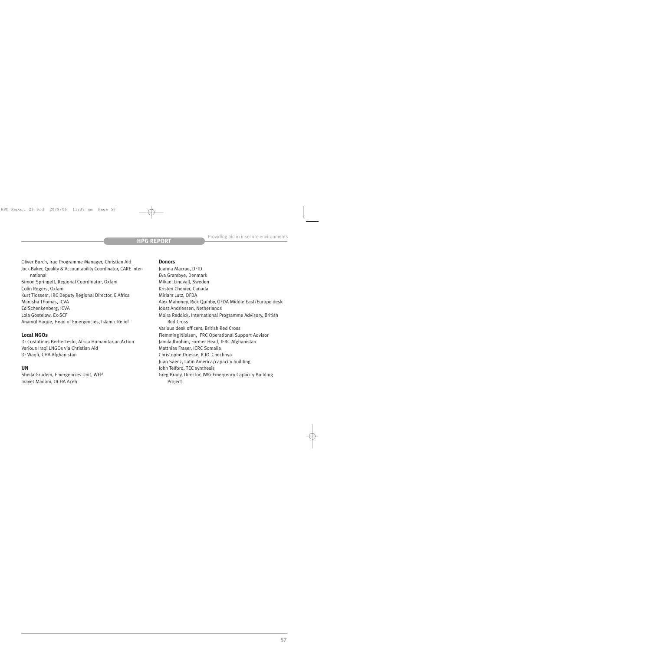Oliver Burch, Iraq Programme Manager, Christian Aid Jock Baker, Quality & Accountability Coordinator, CARE International Simon Springett, Regional Coordinator, Oxfam Colin Rogers, Oxfam Kurt Tjossem, IRC Deputy Regional Director, E Africa Manisha Thomas, ICVA Ed Schenkenberg, ICVA Lola Gostelow, Ex-SCF Anamul Haque, Head of Emergencies, Islamic Relief

# **Local NGOs**

Dr Costatinos Berhe-Tesfu, Africa Humanitarian Action Various Iraqi LNGOs via Christian Aid Dr Waqfi, CHA Afghanistan

# **UN**

Sheila Grudem, Emergencies Unit, WFP Inayet Madani, OCHA Aceh

### **Donors**

Joanna Macrae, DFID Eva Grambye, Denmark Mikael Lindvall, Sweden Kristen Chenier, Canada Miriam Lutz, OFDA Alex Mahoney, Rick Quinby, OFDA Middle East/Europe desk Joost Andriessen, Netherlands Moira Reddick, International Programme Advisory, British Red Cross Various desk officers, British Red Cross Flemming Nielsen, IFRC Operational Support Advisor Jamila Ibrohim, Former Head, IFRC Afghanistan Matthias Fraser, ICRC Somalia Christophe Driesse, ICRC Chechnya Juan Saenz, Latin America/capacity building John Telford, TEC synthesis Greg Brady, Director, IWG Emergency Capacity Building Project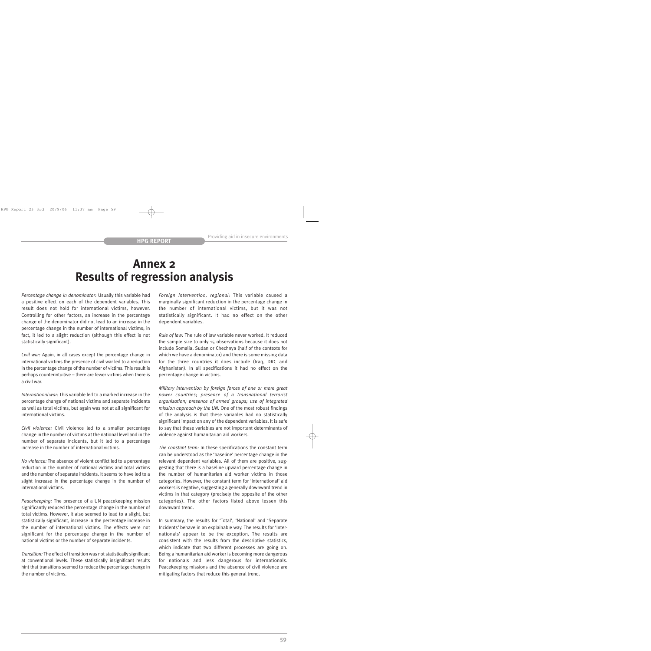# **Annex 2 Results of regression analysis**

*Percentage change in denominator:* Usually this variable had a positive effect on each of the dependent variables. This result does not hold for international victims, however. Controlling for other factors, an increase in the percentage change of the denominator did not lead to an increase in the percentage change in the number of international victims; in fact, it led to a slight reduction (although this effect is not statistically significant).

*Civil war:* Again, in all cases except the percentage change in international victims the presence of civil war led to a reduction in the percentage change of the number of victims. This result is perhaps counterintuitive – there are fewer victims when there is a civil war.

*International war:* This variable led to a marked increase in the percentage change of national victims and separate incidents as well as total victims, but again was not at all significant for international victims.

*Civil violence:* Civil violence led to a smaller percentage change in the number of victims at the national level and in the number of separate incidents, but it led to a percentage increase in the number of international victims.

*No violence:* The absence of violent conflict led to a percentage reduction in the number of national victims and total victims and the number of separate incidents. It seems to have led to a slight increase in the percentage change in the number of international victims.

*Peacekeeping:* The presence of a UN peacekeeping mission significantly reduced the percentage change in the number of total victims. However, it also seemed to lead to a slight, but statistically significant, increase in the percentage increase in the number of international victims. The effects were not significant for the percentage change in the number of national victims or the number of separate incidents.

*Transition:* The effect of transition was not statistically significant at conventional levels. These statistically insignificant results hint that transitions seemed to reduce the percentage change in the number of victims.

*Foreign intervention, regional:* This variable caused a marginally significant reduction in the percentage change in the number of international victims, but it was not statistically significant. It had no effect on the other dependent variables.

*Rule of law:* The rule of law variable never worked. It reduced the sample size to only 15 observations because it does not include Somalia, Sudan or Chechnya (half of the contexts for which we have a denominator) and there is some missing data for the three countries it does include (Iraq, DRC and Afghanistan). In all specifications it had no effect on the percentage change in victims.

*Military intervention by foreign forces of one or more great power countries; presence of a transnational terrorist organisation; presence of armed groups; use of integrated mission approach by the UN.* One of the most robust findings of the analysis is that these variables had no statistically significant impact on any of the dependent variables. It is safe to say that these variables are not important determinants of violence against humanitarian aid workers.

*The constant term:* In these specifications the constant term can be understood as the 'baseline' percentage change in the relevant dependent variables. All of them are positive, suggesting that there is a baseline upward percentage change in the number of humanitarian aid worker victims in those categories. However, the constant term for 'international' aid workers is negative, suggesting a generally downward trend in victims in that category (precisely the opposite of the other categories). The other factors listed above lessen this downward trend.

In summary, the results for 'Total', 'National' and 'Separate Incidents' behave in an explainable way. The results for 'Internationals' appear to be the exception. The results are consistent with the results from the descriptive statistics, which indicate that two different processes are going on. Being a humanitarian aid worker is becoming more dangerous for nationals and less dangerous for internationals. Peacekeeping missions and the absence of civil violence are mitigating factors that reduce this general trend.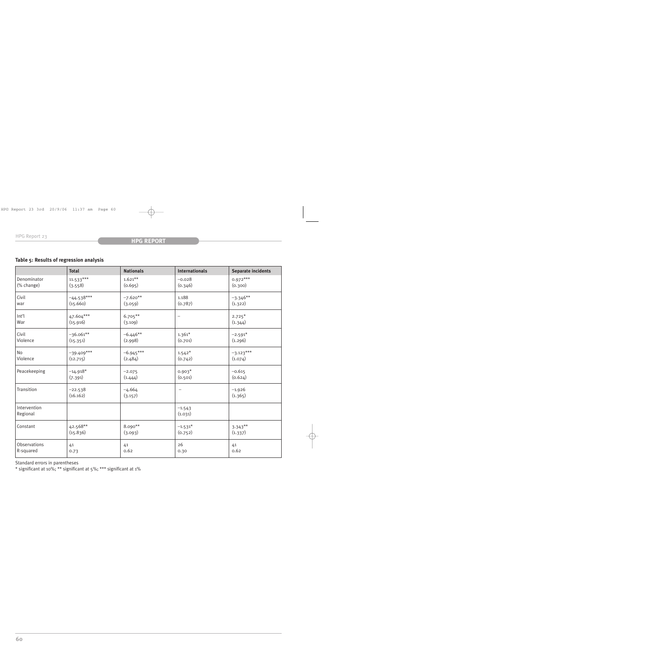# **Table 5: Results of regression analysis**

|                          | <b>Total</b>          | <b>Nationals</b>    | <b>Internationals</b>    | <b>Separate incidents</b> |
|--------------------------|-----------------------|---------------------|--------------------------|---------------------------|
| Denominator              | $11.533***$           | $1.621***$          | $-0.028$                 | $0.972***$                |
| (% change)               | (3.558)               | (0.695)             | (0.346)                  | (0.300)                   |
| Civil                    | $-44.538***$          | $-7.620**$          | 1.188                    | $-3.346**$                |
| war                      | (15.660)              | (3.059)             | (0.787)                  | (1.322)                   |
| Int'l                    | 47.604***             | $6.705***$          | $\overline{\phantom{m}}$ | $2.725*$                  |
| War                      | (15.916)              | (3.109)             |                          | (1.344)                   |
| Civil                    | $-36.061**$           | $-6.446**$          | $1.361*$                 | $-2.591*$                 |
| Violence                 | (15.351)              | (2.998)             | (0.701)                  | (1.296)                   |
| No                       | $-39.409***$          | $-6.945***$         | $1.542*$                 | $-3.123***$               |
| Violence                 | (12.715)              | (2.484)             | (0.742)                  | (1.074)                   |
| Peacekeeping             | $-14.918*$            | $-2.075$            | $0.903*$                 | $-0.615$                  |
|                          | (7.391)               | (1.444)             | (0.501)                  | (0.624)                   |
| Transition               | $-22.538$<br>(16.162) | $-4.664$<br>(3.157) | -                        | $-1.926$<br>(1.365)       |
| Intervention<br>Regional |                       |                     | $-1.543$<br>(1.031)      |                           |
| Constant                 | 42.568**              | 8.090**             | $-1.531*$                | $3.343***$                |
|                          | (15.836)              | (3.093)             | (0.752)                  | (1.337)                   |
| Observations             | 41                    | 41                  | 26                       | 41                        |
| R-squared                | 0.73                  | 0.62                | 0.30                     | 0.62                      |

Standard errors in parentheses

\* significant at 10%; \*\* significant at 5%; \*\*\* significant at 1%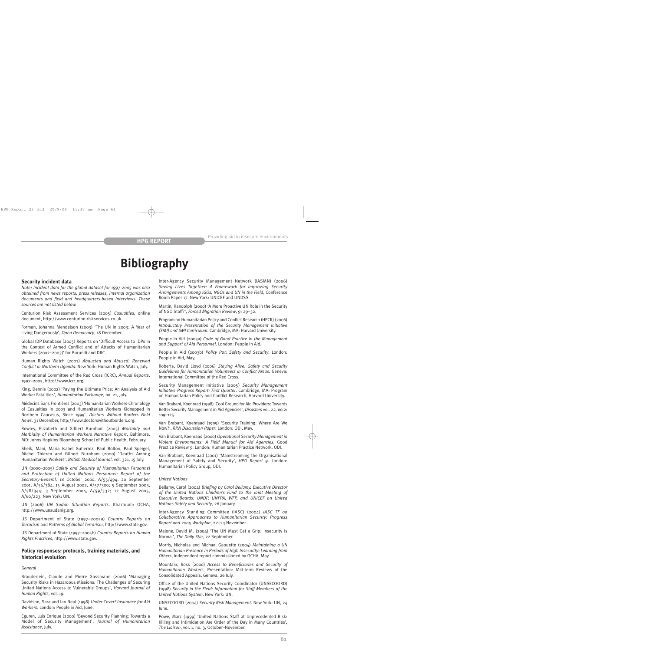# **Bibliography**

#### **Security incident data**

*Note: Incident data for the global dataset for 1997-2005 was also obtained from news reports, press releases, internal organization documents and field and headquarters-based interviews. These sources are not listed below.*

Centurion Risk Assessment Services (2005) *Casualties*, online document, http://www.centurion-riskservices.co.uk.

Forman, Johanna Mendelson (2003) 'The UN in 2003: A Year of Living Dangerously', *Open Democracy*, 18 December.

Global IDP Database (2005) Reports on 'Difficult Access to IDPs in the Context of Armed Conflict and of Attacks of Humanitarian Workers (2002–2003)' for Burundi and DRC.

Human Rights Watch (2003) *Abducted and Abused: Renewed Conflict in Northern Uganda*. New York: Human Rights Watch, July.

International Committee of the Red Cross (ICRC), *Annual Reports*, 1997–2005, http://www.icrc.org.

King, Dennis (2002) 'Paying the Ultimate Price: An Analysis of Aid Worker Fatalities', *Humanitarian Exchange*, no. 21, July.

Médecins Sans Frontières (2003) 'Humanitarian Workers-Chronology of Casualties in 2003 and Humanitarian Workers Kidnapped in Northern Caucasus, Since 1999', *Doctors Without Borders Field News*, 31 December, http://www.doctorswithoutborders.org.

Rowley, Elizabeth and Gilbert Burnham (2005) *Mortality and Morbidity of Humanitarian Workers Narrative Report*, Baltimore, MD: Johns Hopkins Bloomberg School of Public Health, February.

Sheik, Mani, Maria Isabel Gutierrez, Paul Bolton, Paul Speigel, Michel Thieren and Gilbert Burnham (2000) 'Deaths Among Humanitarian Workers', *British Medical Journal*, vol. 321, 15 July.

UN (2000–2005) *Safety and Security of Humanitarian Personnel and Protection of United Nations Personnel: Report of the Secretary-General*, 18 October 2000, A/55/494, 20 September 2001, A/56/384, 15 August 2002, A/57/300; 5 September 2003, A/58/344; 3 September 2004, A/59/332; 12 August 2005, A/60/223. New York: UN.

UN (2006) *UN Sudan Situation Reports*. Khartoum: OCHA, http://www.unsudanig.org.

US Department of State (1997–2005a) *Country Reports on Terrorism* and *Patterns of Global Terrorism*, http://www.state.gov.

US Department of State (1997–2005b) *Country Reports on Human Rights Practices*, http://www.state.gov.

#### **Policy responses: protocols, training materials, and historical evolution**

#### *General*

Brauderlein, Claude and Pierre Gassmann (2006) 'Managing Security Risks in Hazardous Missions: The Challenges of Securing United Nations Access to Vulnerable Groups', *Harvard Journal of Human Rights*, vol. 19.

Davidson, Sara and Ian Neal (1998) *Under Cover? Insurance for Aid Workers*. London: People in Aid, June.

Eguren, Luis Enrique (2000) 'Beyond Security Planning: Towards a Model of Security Management', *Journal of Humanitarian Assistance*, July.

Inter-Agency Security Management Network (IASMN) (2006) *Saving Lives Together: A Framework for Improving Security Arrangements Among IGOs, NGOs and UN in the Field*, Conference Room Paper 17. New York: UNICEF and UNDSS.

Martin, Randolph (2000) 'A More Proactive UN Role in the Security of NGO Staff?', *Forced Migration Review*, 9: 29–32.

Program on Humanitarian Policy and Conflict Research (HPCR) (2006) *Introductory Presentation of the Security Management Initiative (SMI) and SMI Curriculum*. Cambridge, MA: Harvard University.

People in Aid (2003a) *Code of Good Practice in the Management and Support of Aid Personnel*. London: People in Aid.

People in Aid (2003b) *Policy Pot: Safety and Security*. London: People in Aid, May.

Roberts, David Lloyd (2006) *Staying Alive: Safety and Security Guidelines for Humanitarian Volunteers in Conflict Areas*. Geneva: International Committee of the Red Cross.

Security Management Initiative (2005) *Security Management Initiative Progress Report: First Quarter*. Cambridge, MA: Program on Humanitarian Policy and Conflict Research, Harvard University.

Van Brabant, Koenraad (1998) 'Cool Ground for Aid Providers: Towards Better Security Management in Aid Agencies', *Disasters* vol. 22, no.2: 109–125.

Van Brabant, Koenraad (1999) 'Security Training: Where Are We Now?', *RRN Discussion Paper*. London: ODI, May.

Van Brabant, Koenraad (2000) *Operational Security Management in Violent Environments: A Field Manual for Aid Agencies*, Good Practice Review 9. London: Humanitarian Practice Network, ODI.

Van Brabant, Koenraad (2001) 'Mainstreaming the Organisational Management of Safety and Security', *HPG Report 9*. London: Humanitarian Policy Group, ODI.

#### *United Nations*

Bellamy, Carol (2004) *Briefing by Carol Bellamy, Executive Director of the United Nations Children's Fund to the Joint Meeting of Executive Boards: UNDP, UNFPA, WFP, and UNICEF on United Nations Safety and Security*, 26 January.

Inter-Agency Standing Committee (IASC) (2004) *IASC TF on Collaborative Approaches to Humanitarian Security: Progress Report and 2005 Workplan*, 22–23 November.

Malone, David M. (2004) 'The UN Must Get a Grip: Insecurity Is Normal', *The Daily Star*, 22 September.

Morris, Nicholas and Michael Gaouette (2004) *Maintaining a UN Humanitarian Presence in Periods of High Insecurity: Learning from Others*, independent report commissioned by OCHA, May.

Mountain, Ross (2000) *Access to Beneficiaries and Security of Humanitarian Workers*, Presentation: Mid-term Reviews of the Consolidated Appeals, Geneva, 26 July.

Office of the United Nations Security Coordinator (UNSECOORD) (1998) *Security in the Field: Information for Staff Members of the United Nations System*. New York: UN.

UNSECOORD (2004) *Security Risk Management*. New York: UN, 24 June.

Powe, Marc (1999) 'United Nations Staff at Unprecedented Risk: Killing and Intimidation Are Order of the Day in Many Countries', *The Liaison*, vol. 1, no. 3, October–November.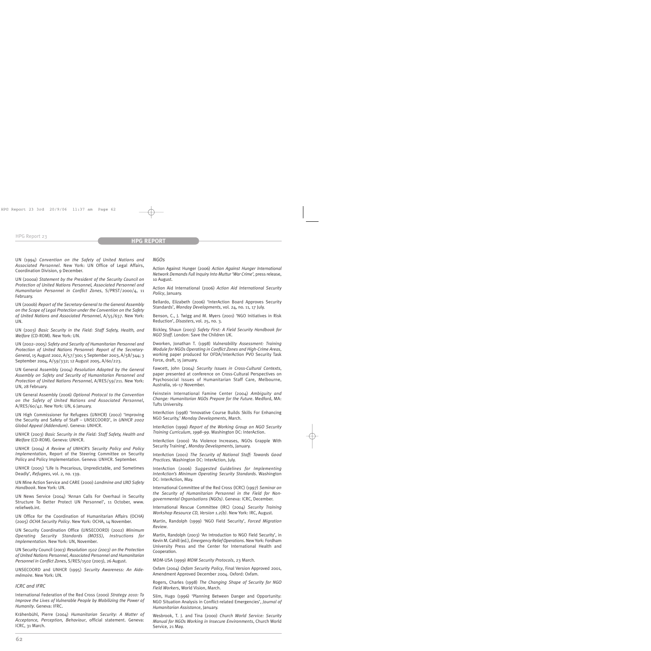UN (1994) *Convention on the Safety of United Nations and Associated Personnel*. New York: UN Office of Legal Affairs, Coordination Division, 9 December.

UN (2000a) *Statement by the President of the Security Council on Protection of United Nations Personnel, Associated Personnel and Humanitarian Personnel in Conflict Zones*, S/PRST/2000/4, 11 February.

UN (2000b) *Report of the Secretary-General to the General Assembly on the Scope of Legal Protection under the Convention on the Safety of United Nations and Associated Personnel*, A/55/637. New York: UN.

UN (2003) *Basic Security in the Field: Staff Safety, Health, and Welfare* (CD-ROM). New York: UN.

UN (2002–2005) *Safety and Security of Humanitarian Personnel and Protection of United Nations Personnel: Report of the Secretary-General*, 15 August 2002, A/57/300; 5 September 2003, A/58/344; 3 September 2004, A/59/332; 12 August 2005, A/60/223.

UN General Assembly (2004) *Resolution Adopted by the General Assembly on Safety and Security of Humanitarian Personnel and Protection of United Nations Personnel*, A/RES/59/211. New York: UN, 28 February.

UN General Assembly (2006) *Optional Protocol to the Convention on the Safety of United Nations and Associated Personnel*, A/RES/60/42. New York: UN, 6 January.

UN High Commissioner for Refugees (UNHCR) (2002) 'Improving the Security and Safety of Staff – UNSECOORD', in *UNHCR 2002 Global Appeal (Addendum)*. Geneva: UNHCR.

UNHCR (2003) *Basic Security in the Field: Staff Safety, Health and Welfare* (CD-ROM). Geneva: UNHCR.

UNHCR (2004) *A Review of UNHCR's Security Policy and Policy Implementation*, Report of the Steering Committee on Security Policy and Policy Implementation. Geneva: UNHCR. September.

UNHCR (2005) 'Life Is Precarious, Unpredictable, and Sometimes Deadly', *Refugees*, vol. 2, no. 139.

UN Mine Action Service and CARE (2000) *Landmine and UXO Safety Handbook*. New York: UN.

UN News Service (2004) 'Annan Calls For Overhaul in Security Structure To Better Protect UN Personnel', 11 October, www. reliefweb.int.

UN Office for the Coordination of Humanitarian Affairs (OCHA) (2005) *OCHA Security Policy*. New York: OCHA, 14 November.

UN Security Coordination Office (UNSECOORD) (2002) *Minimum Operating Security Standards (MOSS), Instructions for Implementation*. New York: UN, November.

UN Security Council (2003) *Resolution 1502 (2003) on the Protection of United Nations Personnel, Associated Personnel and Humanitarian Personnel in Conflict Zones*, S/RES/1502 (2003), 26 August.

UNSECOORD and UNHCR (1995) *Security Awareness: An Aidemémoire*. New York: UN.

#### *ICRC and IFRC*

International Federation of the Red Cross (2000) *Strategy 2010: To Improve the Lives of Vulnerable People by Mobilizing the Power of Humanity*. Geneva: IFRC.

Krähenbühl, Pierre (2004) *Humanitarian Security: A Matter of Acceptance, Perception, Behaviour*, official statement. Geneva: ICRC, 31 March.

#### *NGOs*

Action Against Hunger (2006) *Action Against Hunger International Network Demands Full Inquiry Into Muttur 'War Crime'*, press release, 10 August.

Action Aid International (2006) *Action Aid International Security Policy*, January.

Bellardo, Elizabeth (2006) 'InterAction Board Approves Security Standards', *Monday Developments*, vol. 24, no. 11, 17 July.

Benson, C., J. Twigg and M. Myers (2001) 'NGO Initiatives in Risk Reduction', *Disasters*, vol. 25, no. 3.

Bickley, Shaun (2003) *Safety First: A Field Security Handbook for NGO Staff*. London: Save the Children UK.

Dworken, Jonathan T. (1998) *Vulnerability Assessment: Training Module for NGOs Operating in Conflict Zones and High-Crime Areas*, working paper produced for OFDA/InterAction PVO Security Task Force, draft, 15 January.

Fawcett, John (2004) *Security Issues in Cross-Cultural Contexts*, paper presented at conference on Cross-Cultural Perspectives on Psychosocial Issues of Humanitarian Staff Care, Melbourne, Australia, 16–17 November.

Feinstein International Famine Center (2004) *Ambiguity and Change: Humanitarian NGOs Prepare for the Future*. Medford, MA: Tufts University.

InterAction (1998) 'Innovative Course Builds Skills For Enhancing NGO Security,' *Monday Developments*, March.

InterAction (1999) *Report of the Working Group on NGO Security Training Curriculum*, *1998–99*. Washington DC: InterAction.

InterAction (2000) 'As Violence Increases, NGOs Grapple With Security Training', *Monday Developments*, January.

InterAction (2001) *The Security of National Staff: Towards Good Practices*. Washington DC: InterAction, July.

InterAction (2006) *Suggested Guidelines for Implementing InterAction's Minimum Operating Security Standards*. Washington DC: InterAction, May.

International Committee of the Red Cross (ICRC) (1997) *Seminar on the Security of Humanitarian Personnel in the Field for Nongovernmental Organisations (NGOs)*. Geneva: ICRC, December.

International Rescue Committee (IRC) (2004) *Security Training Workshop Resource CD, Version 1.2(b)*. New York: IRC, August.

Martin, Randolph (1999) 'NGO Field Security', *Forced Migration Review*.

Martin, Randolph (2003) 'An Introduction to NGO Field Security', in Kevin M. Cahill (ed.), *Emergency Relief Operations*. New York: Fordham University Press and the Center for International Health and Cooperation.

MDM-USA (1999) *MDM Security Protocols*, 23 March.

Oxfam (2004) *Oxfam Security Policy*, Final Version Approved 2001, Amendment Approved December 2004. Oxford: Oxfam.

Rogers, Charles (1998) *The Changing Shape of Security for NGO Field Workers*, World Vision, March.

Slim, Hugo (1996) 'Planning Between Danger and Opportunity: NGO Situation Analysis in Conflict-related Emergencies', *Journal of Humanitarian Assistance*, January.

Wesbrook, T. J. and Tina (2000) *Church World Service: Security Manual for NGOs Working in Insecure Environments*, Church World Service, 21 May.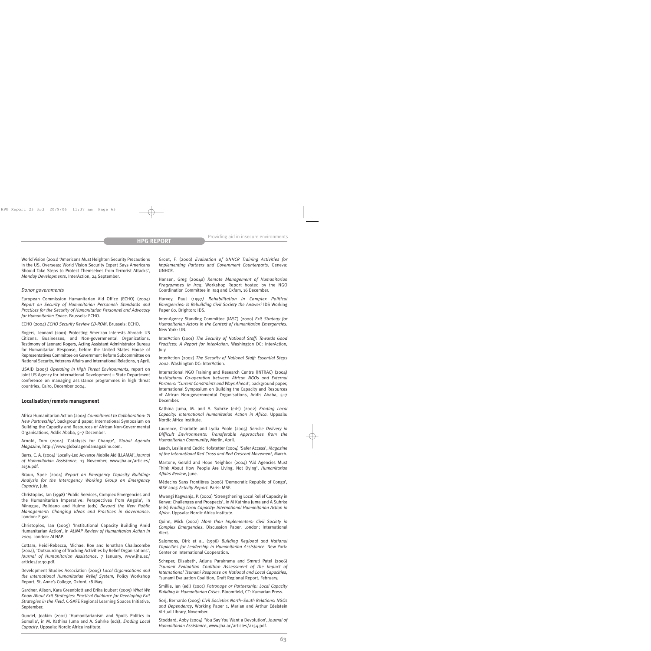World Vision (2001) 'Americans Must Heighten Security Precautions in the US, Overseas: World Vision Security Expert Says Americans Should Take Steps to Protect Themselves from Terrorist Attacks', *Monday Developments*, InterAction, 24 September.

#### *Donor governments*

European Commission Humanitarian Aid Office (ECHO) (2004) *Report on Security of Humanitarian Personnel: Standards and Practices for the Security of Humanitarian Personnel and Advocacy for Humanitarian Space*. Brussels: ECHO.

ECHO (2004) *ECHO Security Review CD-ROM*. Brussels: ECHO.

Rogers, Leonard (2001) Protecting American Interests Abroad: US Citizens, Businesses, and Non-governmental Organizations, Testimony of Leonard Rogers, Acting Assistant Administrator Bureau for Humanitarian Response, before the United States House of Representatives Committee on Government Reform Subcommittee on National Security, Veterans Affairs and International Relations, 3 April.

USAID (2005) *Operating in High Threat Environments*, report on joint US Agency for International Development – State Department conference on managing assistance programmes in high threat countries, Cairo, December 2004.

#### **Localisation/remote management**

Africa Humanitarian Action (2004) *Commitment to Collaboration: 'A New Partnership'*, background paper, International Symposium on Building the Capacity and Resources of African Non-Governmental Organisations, Addis Ababa, 5–7 December.

Arnold, Tom (2004) 'Catalysts for Change', *Global Agenda Magazine*, http://www.globalagendamagazine.com.

Barrs, C. A. (2004) 'Locally-Led Advance Mobile Aid (LLAMA)', *Journal of Humanitarian Assistance*, 13 November, www.jha.ac/articles/ a156.pdf.

Braun, Spee (2004) *Report on Emergency Capacity Building: Analysis for the Interagency Working Group on Emergency Capacity*, July.

Christoplos, Ian (1998) 'Public Services, Complex Emergencies and the Humanitarian Imperative: Perspectives from Angola', in Minogue, Polidano and Hulme (eds) *Beyond the New Public Management: Changing Ideas and Practices in Governance*. London: Elgar.

Christoplos, Ian (2005) 'Institutional Capacity Building Amid Humanitarian Action', in *ALNAP Review of Humanitarian Action in 2004*. London: ALNAP.

Cottam, Heidi-Rebecca, Michael Roe and Jonathan Challacombe (2004), 'Outsourcing of Trucking Activities by Relief Organisations', *Journal of Humanitarian Assistance*, 7 January, www.jha.ac/ articles/a130.pdf.

Development Studies Association (2005) *Local Organisations and the International Humanitarian Relief System,* Policy Workshop Report, St. Anne's College, Oxford, 18 May.

Gardner, Alison, Kara Greenblott and Erika Joubert (2005) *What We Know About Exit Strategies: Practical Guidance for Developing Exit Strategies in the Field*, C-SAFE Regional Learning Spaces Initiative, September.

Gundel, Joakim (2002) 'Humanitarianism and Spoils Politics in Somalia', in M. Kathina Juma and A. Suhrke (eds), *Eroding Local Capacity*. Uppsala: Nordic Africa Institute.

Groot, F. (2000) *Evaluation of UNHCR Training Activities for Implementing Partners and Government Counterparts*. Geneva: UNHCR.

Hansen, Greg (2004a) *Remote Management of Humanitarian Programmes in Iraq*, Workshop Report hosted by the NGO Coordination Committee in Iraq and Oxfam, 16 December.

Harvey, Paul (1997*) Rehabilitation in Complex Political Emergencies: Is Rebuilding Civil Society the Answer?* IDS Working Paper 60. Brighton: IDS.

Inter-Agency Standing Committee (IASC) (2000) *Exit Strategy for Humanitarian Actors in the Context of Humanitarian Emergencies*. New York: UN.

InterAction (2001) *The Security of National Staff: Towards Good Practices: A Report for InterAction*. Washington DC: InterAction, July.

InterAction (2002) *The Security of National Staff: Essential Steps 2002*. Washington DC: InterAction.

International NGO Training and Research Centre (INTRAC) (2004) *Institutional Co-operation between African NGOs and External Partners: 'Current Constraints and Ways Ahead'*, background paper, International Symposium on Building the Capacity and Resources of African Non-governmental Organisations, Addis Ababa, 5–7 December.

Kathina Juma, M. and A. Suhrke (eds) (2002) *Eroding Local Capacity: International Humanitarian Action in Africa*. Uppsala: Nordic Africa Institute.

Laurence, Charlotte and Lydia Poole (2005) *Service Delivery in Difficult Environments: Transferable Approaches from the Humanitarian Community*, Merlin, April.

Leach, Leslie and Cedric Hofstetter (2004) 'Safer Access', *Magazine of the International Red Cross and Red Crescent Movement*, March.

Martone, Gerald and Hope Neighbor (2004) 'Aid Agencies Must Think About How People Are Living, Not Dying', *Humanitarian Affairs Review*, June.

Médecins Sans Frontières (2006) 'Democratic Republic of Congo', *MSF 2005 Activity Report*. Paris: MSF.

Mwangi Kagwanja, P. (2002) 'Strengthening Local Relief Capacity in Kenya: Challenges and Prospects', in M Kathina Juma and A Suhrke (eds) *Eroding Local Capacity: International Humanitarian Action in Africa*. Uppsala: Nordic Africa Institute.

Quinn, Mick (2002) *More than Implementers: Civil Society in Complex Emergencies*, Discussion Paper. London: International Alert.

Salomons, Dirk et al. (1998) *Building Regional and National Capacities for Leadership in Humanitarian Assistance*. New York: Center on International Cooperation.

Scheper, Elisabeth, Arjuna Parakrama and Smruti Patel (2006) *Tsunami Evaluation Coalition Assessment of the Impact of International Tsunami Response on National and Local Capacities*, Tsunami Evaluation Coalition, Draft Regional Report, February.

Smillie, Ian (ed.) (2001) *Patronage or Partnership: Local Capacity Building in Humanitarian Crises*. Bloomfield, CT: Kumarian Press.

Sorj, Bernardo (2005) *Civil Societies North–South Relations: NGOs and Dependency*, Working Paper 1, Marian and Arthur Edelstein Virtual Library, November.

Stoddard, Abby (2004) 'You Say You Want a Devolution', *Journal of Humanitarian Assistance*, www.jha.ac/articles/a154.pdf.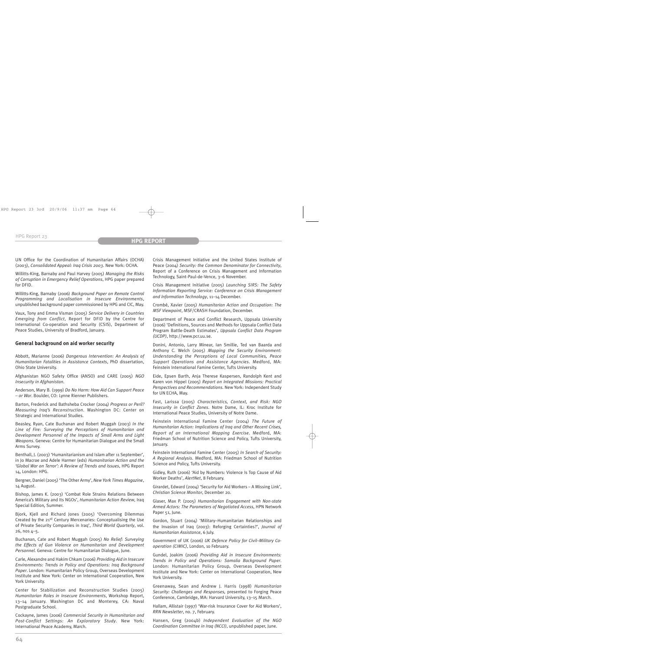UN Office for the Coordination of Humanitarian Affairs (OCHA) (2003), *Consolidated Appeal: Iraq Crisis 2003*. New York: OCHA.

Willitts-King, Barnaby and Paul Harvey (2005) *Managing the Risks of Corruption in Emergency Relief Operations*, HPG paper prepared for DFID.

Willitts-King, Barnaby (2006) *Background Paper on Remote Control Programming and Localisation in Insecure Environments*, unpublished background paper commissioned by HPG and CIC, May.

Vaux, Tony and Emma Visman (2005) *Service Delivery in Countries Emerging from Conflict*, Report for DFID by the Centre for International Co-operation and Security (CSIS), Department of Peace Studies, University of Bradford, January.

## **General background on aid worker security**

Abbott, Marianne (2006) *Dangerous Intervention: An Analysis of Humanitarian Fatalities in Assistance Contexts*, PhD dissertation, Ohio State University.

Afghanistan NGO Safety Office (ANSO) and CARE (2005) *NGO Insecurity in Afghanistan*.

Anderson, Mary B. (1999) *Do No Harm: How Aid Can Support Peace – or War*. Boulder, CO: Lynne Rienner Publishers.

Barton, Frederick and Bathsheba Crocker (2004) *Progress or Peril? Measuring Iraq's Reconstruction*. Washington DC: Center on Strategic and International Studies.

Beasley, Ryan, Cate Buchanan and Robert Muggah (2003) *In the Line of Fire: Surveying the Perceptions of Humanitarian and Development Personnel of the Impacts of Small Arms and Light Weapons*. Geneva: Centre for Humanitarian Dialogue and the Small Arms Survey.

Benthall, J. (2003) 'Humanitarianism and Islam after 11 September', in Jo Macrae and Adele Harmer (eds) *Humanitarian Action and the 'Global War on Terror': A Review of Trends and Issues*, HPG Report 14, London: HPG.

Bergner, Daniel (2005) 'The Other Army', *New York Times Magazine*, 14 August.

Bishop, James K. (2003) 'Combat Role Strains Relations Between America's Military and Its NGOs', *Humanitarian Action Review*, Iraq Special Edition*,* Summer.

Bjork, Kjell and Richard Jones (2005) 'Overcoming Dilemmas Created by the 21<sup>st</sup> Century Mercenaries: Conceptualising the Use of Private Security Companies in Iraq', *Third World Quarterly*, vol. 26, nos 4–5.

Buchanan, Cate and Robert Muggah (2005) *No Relief: Surveying the Effects of Gun Violence on Humanitarian and Development Personnel*. Geneva: Centre for Humanitarian Dialogue, June.

Carle, Alexandre and Hakim Chkam (2006) *Providing Aid in Insecure Environments: Trends in Policy and Operations: Iraq Background Paper*. London: Humanitarian Policy Group, Overseas Development Institute and New York: Center on International Cooperation, New York University.

Center for Stabilization and Reconstruction Studies (2005) *Humanitarian Roles in Insecure Environments*, Workshop Report, 13–14 January. Washington DC and Monterey, CA: Naval Postgraduate School.

Cockayne, James (2006) *Commercial Security in Humanitarian and Post-Conflict Settings: An Exploratory Study*. New York: International Peace Academy, March.

Crisis Management Initiative and the United States Institute of Peace (2004) *Security: the Common Denominator for Connectivity*, Report of a Conference on Crisis Management and Information Technology, Saint-Paul-de-Vence, 3–6 November.

Crisis Management Initiative (2005) *Launching SIRS: The Safety Information Reporting Service: Conference on Crisis Management and Information Technology*, 11–14 December.

Crombé, Xavier (2005) *Humanitarian Action and Occupation: The MSF Viewpoint*, MSF/CRASH Foundation, December.

Department of Peace and Conflict Research, Uppsala University (2006) 'Definitions, Sources and Methods for Uppsala Conflict Data Program Battle-Death Estimates', *Uppsala Conflict Data Program (UCDP)*, http://www.pcr.uu.se.

Donini, Antonio, Larry Minear, Ian Smillie, Ted van Baarda and Anthony C. Welch (2005) *Mapping the Security Environment: Understanding the Perceptions of Local Communities, Peace Support Operations and Assistance Agencies*. Medford, MA: Feinstein International Famine Center, Tufts University.

Eide, Epsen Barth, Anja Therese Kaspersen, Randolph Kent and Karen von Hippel (2005) *Report on Integrated Missions: Practical Perspectives and Recommendations*. New York: Independent Study for UN ECHA, May.

Fast, Larissa (2005) *Characteristics, Context, and Risk: NGO Insecurity in Conflict Zones*. Notre Dame, IL: Kroc Institute for International Peace Studies, University of Notre Dame.

Feinstein International Famine Center (2004) *The Future of Humanitarian Action: Implications of Iraq and Other Recent Crises, Report of an International Mapping Exercise*. Medford, MA: Friedman School of Nutrition Science and Policy, Tufts University, January.

Feinstein International Famine Center (2005) *In Search of Security: A Regional Analysis*. Medford, MA: Friedman School of Nutrition Science and Policy, Tufts University.

Gidley, Ruth (2006) 'Aid by Numbers: Violence Is Top Cause of Aid Worker Deaths', *AlertNet*, 8 February.

Girardet, Edward (2004) 'Security for Aid Workers – A Missing Link', *Christian Science Monitor*, December 20.

Glaser, Max P. (2005) *Humanitarian Engagement with Non-state Armed Actors: The Parameters of Negotiated Access*, HPN Network Paper 51, June.

Gordon, Stuart (2004) 'Military–Humanitarian Relationships and the Invasion of Iraq (2003): Reforging Certainties?', *Journal of Humanitarian Assistance*, 6 July.

Government of UK (2006) *UK Defence Policy for Civil–Military Cooperation (CIMIC)*, London, 10 February.

Gundel, Joakim (2006) *Providing Aid in Insecure Environments: Trends in Policy and Operations: Somalia Background Paper*. London: Humanitarian Policy Group, Overseas Development Institute and New York: Center on International Cooperation, New York University.

Greenaway, Sean and Andrew J. Harris (1998) *Humanitarian Security: Challenges and Responses,* presented to Forging Peace Conference, Cambridge, MA: Harvard University, 13–15 March.

Hallam, Allistair (1997) 'War-risk Insurance Cover for Aid Workers', *RRN Newsletter*, no. 7, February.

Hansen, Greg (2004b) *Independent Evaluation of the NGO Coordination Committee in Iraq (NCCI)*, unpublished paper, June.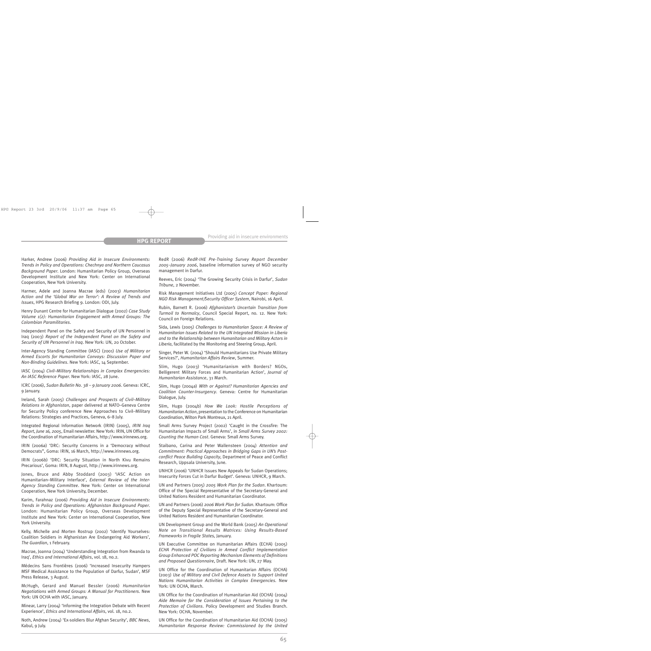Harker, Andrew (2006) *Providing Aid in Insecure Environments: Trends in Policy and Operations: Chechnya and Northern Caucasus Background Paper*. London: Humanitarian Policy Group, Overseas Development Institute and New York: Center on International Cooperation, New York University.

Harmer, Adele and Joanna Macrae (eds) (2003) *Humanitarian Action and the 'Global War on Terror': A Review of Trends and Issues*, HPG Research Briefing 9. London: ODI, July.

Henry Dunant Centre for Humanitarian Dialogue (2002) *Case Study Volume 1(2): Humanitarian Engagement with Armed Groups: The Colombian Paramilitaries*.

Independent Panel on the Safety and Security of UN Personnel in Iraq (2003) *Report of the Independent Panel on the Safety and Security of UN Personnel in Iraq*. New York: UN, 20 October.

Inter-Agency Standing Committee (IASC) (2001) *Use of Military or Armed Escorts for Humanitarian Convoys: Discussion Paper and Non-Binding Guidelines*. New York: IASC, 14 September.

IASC (2004) *Civil–Military Relationships in Complex Emergencies: An IASC Reference Paper*. New York: IASC, 28 June.

ICRC (2006), *Sudan Bulletin No. 38 – 9 January 2006*. Geneva: ICRC, 9 January.

Ireland, Sarah (2005) *Challenges and Prospects of Civil–Military Relations in Afghanistan*, paper delivered at NATO–Geneva Centre for Security Policy conference New Approaches to Civil–Military Relations: Strategies and Practices, Geneva, 6–8 July.

Integrated Regional Information Network (IRIN) (2005), *IRIN Iraq Report, June 16, 2005*, Email newsletter. New York: IRIN, UN Office for the Coordination of Humanitarian Affairs, http://www.irinnews.org.

IRIN (2006a) 'DRC: Security Concerns in a 'Democracy without Democrats'', Goma: IRIN, 16 March, http://www.irinnews.org.

IRIN (2006b) 'DRC: Security Situation in North Kivu Remains Precarious', Goma: IRIN, 8 August, http://www.irinnews.org.

Jones, Bruce and Abby Stoddard (2003) 'IASC Action on Humanitarian–Military Interface', *External Review of the Inter-Agency Standing Committee*. New York: Center on International Cooperation, New York University, December.

Karim, Farahnaz (2006) *Providing Aid in Insecure Environments: Trends in Policy and Operations: Afghanistan Background Paper*. London: Humanitarian Policy Group, Overseas Development Institute and New York: Center on International Cooperation, New York University.

Kelly, Michelle and Morten Rostrup (2002) 'Identify Yourselves: Coalition Soldiers in Afghanistan Are Endangering Aid Workers', *The Guardian*, 1 February.

Macrae, Joanna (2004) 'Understanding Integration from Rwanda to Iraq', *Ethics and International Affairs*, vol. 18, no.2.

Médecins Sans Frontières (2006) 'Increased Insecurity Hampers MSF Medical Assistance to the Population of Darfur, Sudan', MSF Press Release, 3 August.

McHugh, Gerard and Manuel Bessler (2006) *Humanitarian Negotiations with Armed Groups: A Manual for Practitioners*. New York: UN OCHA with IASC, January.

Minear, Larry (2004) 'Informing the Integration Debate with Recent Experience', *Ethics and International Affairs*, vol. 18, no.2.

Noth, Andrew (2004) 'Ex-soldiers Blur Afghan Security', *BBC News*, Kabul, 9 July.

RedR (2006) *RedR-IHE Pre-Training Survey Report December 2005–January 2006*, baseline information survey of NGO security management in Darfur.

Reeves, Eric (2004) 'The Growing Security Crisis in Darfur', *Sudan Tribune*, 2 November.

Risk Management Initiatives Ltd (2005) *Concept Paper: Regional NGO Risk Management/Security Officer System*, Nairobi, 16 April.

Rubin, Barnett R. (2006) *Afghanistan's Uncertain Transition from Turmoil to Normalcy*, Council Special Report, no. 12. New York: Council on Foreign Relations.

Sida, Lewis (2005) *Challenges to Humanitarian Space: A Review of Humanitarian Issues Related to the UN Integrated Mission in Liberia and to the Relationship between Humanitarian and Military Actors in Liberia*, facilitated by the Monitoring and Steering Group, April.

Singer, Peter W. (2004) 'Should Humanitarians Use Private Military Services?', *Humanitarian Affairs Review*, Summer.

Slim, Hugo (2003) 'Humanitarianism with Borders? NGOs, Belligerent Military Forces and Humanitarian Action', *Journal of Humanitarian Assistance*, 31 March.

Slim, Hugo (2004a) *With or Against? Humanitarian Agencies and Coalition Counter-Insurgency*. Geneva: Centre for Humanitarian Dialogue, July.

Slim, Hugo (2004b) *How We Look: Hostile Perceptions of Humanitarian Action*, presentation to the Conference on Humanitarian Coordination, Wilton Park Montreux, 21 April.

Small Arms Survey Project (2002) 'Caught in the Crossfire: The Humanitarian Impacts of Small Arms', in *Small Arms Survey 2002: Counting the Human Cost*. Geneva: Small Arms Survey.

Staibano, Carina and Peter Wallensteen (2004) *Attention and Commitment: Practical Approaches in Bridging Gaps in UN's Postconflict Peace Building Capacity*, Department of Peace and Conflict Research, Uppsala University, June.

UNHCR (2006) 'UNHCR Issues New Appeals for Sudan Operations; Insecurity Forces Cut in Darfur Budget'. Geneva: UNHCR, 9 March.

UN and Partners (2005) *2005 Work Plan for the Sudan*. Khartoum: Office of the Special Representative of the Secretary-General and United Nations Resident and Humanitarian Coordinator.

UN and Partners (2006) *2006 Work Plan for Sudan*. Khartoum: Office of the Deputy Special Representative of the Secretary-General and United Nations Resident and Humanitarian Coordinator.

UN Development Group and the World Bank (2005) *An Operational Note on Transitional Results Matrices: Using Results-Based Frameworks in Fragile States,* January.

UN Executive Committee on Humanitarian Affairs (ECHA) (2005) *ECHA Protection of Civilians in Armed Conflict Implementation Group Enhanced POC Reporting Mechanism Elements of Definitions and Proposed Questionnaire*, Draft. New York: UN, 27 May.

UN Office for the Coordination of Humanitarian Affairs (OCHA) (2003) *Use of Military and Civil Defence Assets to Support United Nations Humanitarian Activities in Complex Emergencies*. New York: UN OCHA, March.

UN Office for the Coordination of Humanitarian Aid (OCHA) (2004) *Aide Memoire for the Consideration of Issues Pertaining to the Protection of Civilians*. Policy Development and Studies Branch. New York: OCHA, November.

UN Office for the Coordination of Humanitarian Aid (OCHA) (2005) *Humanitarian Response Review: Commissioned by the United*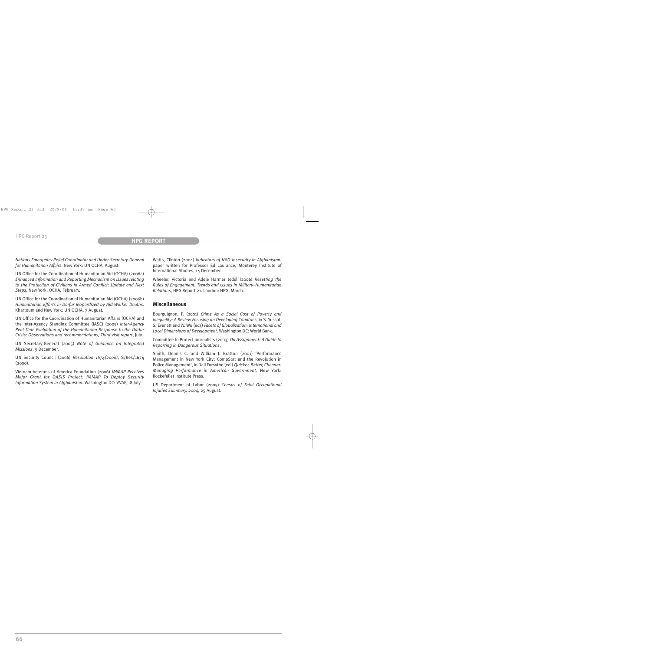*Nations Emergency Relief Coordinator and Under-Secretary-General for Humanitarian Affairs*. New York: UN OCHA, August.

UN Office for the Coordination of Humanitarian Aid (OCHA) (2006a) *Enhanced Information and Reporting Mechanism on issues relating to the Protection of Civilians in Armed Conflict: Update and Next Steps*. New York: OCHA, February.

UN Office for the Coordination of Humanitarian Aid (OCHA) (2006b) *Humanitarian Efforts in Darfur Jeopardized by Aid Worker Deaths*. Khartoum and New York: UN OCHA, 7 August.

UN Office for the Coordination of Humanitarian Affairs (OCHA) and the Inter-Agency Standing Committee (IASC) (2005) *Inter-Agency Real-Time Evaluation of the Humanitarian Response to the Darfur Crisis: Observations and recommendations, Third visit report*, July.

UN Secretary-General (2005) *Note of Guidance on Integrated Missions*, 9 December.

UN Security Council (2006) *Resolution 1674(2000)*, S/Res/1674 (2000).

Vietnam Veterans of America Foundation (2006) *IMMAP Receives Major Grant for OASIS Project: iMMAP To Deploy Security Information System in Afghanistan*. Washington DC: VVAF, 18 July.

Watts, Clinton (2004) *Indicators of NGO Insecurity in Afghanistan*, paper written for Professor Ed Laurance, Monterey Institute of International Studies, 14 December.

Wheeler, Victoria and Adele Harmer (eds) (2006) *Resetting the Rules of Engagement: Trends and Issues in Military–Humanitarian Relations*, HPG Report 21. London: HPG, March.

## **Miscellaneous**

Bourguignon, F. (2001) *Crime As a Social Cost of Poverty and Inequality: A Review Focusing on Developing Countries*, in S. Yussuf, S. Evenett and W. Wu (eds) *Facets of Globalization: International and Local Dimensions of Development*. Washington DC: World Bank.

Committee to Protect Journalists (2003) *On Assignment: A Guide to Reporting in Dangerous Situations*.

Smith, Dennis C. and William J. Bratton (2001) 'Performance Management in New York City: CompStat and the Revolution in Police Management', in Dall Forsythe (ed.) *Quicker, Better, Cheaper: Managing Performance in American Government*. New York: Rockefeller Institute Press.

US Department of Labor (2005) *Census of Fatal Occupational Injuries Summary, 2004*, 25 August.